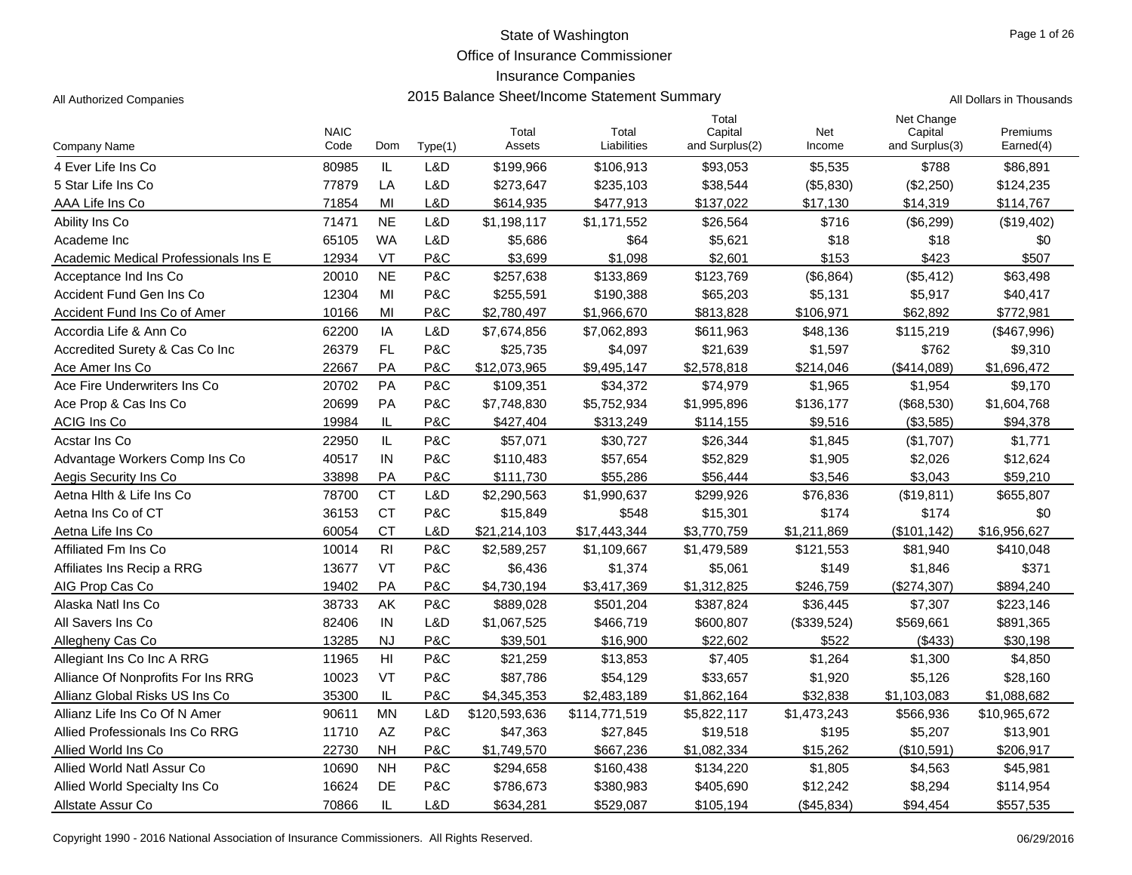Office of Insurance Commissioner

### Insurance Companies

| Page 1 of 26 |  |
|--------------|--|
|              |  |

| <b>Company Name</b>                  | <b>NAIC</b><br>Code | Dom                    | Type(1) | Total<br>Assets | Total<br>Liabilities | Total<br>Capital<br>and Surplus(2) | Net<br>Income | Net Change<br>Capital<br>and Surplus(3) | Premiums<br>Earned(4) |
|--------------------------------------|---------------------|------------------------|---------|-----------------|----------------------|------------------------------------|---------------|-----------------------------------------|-----------------------|
| 4 Ever Life Ins Co                   | 80985               | IL                     | L&D     | \$199,966       | \$106,913            | \$93,053                           | \$5,535       | \$788                                   | \$86,891              |
| 5 Star Life Ins Co                   | 77879               | LA                     | L&D     | \$273,647       | \$235,103            | \$38,544                           | (\$5,830)     | (\$2,250)                               | \$124,235             |
| AAA Life Ins Co                      | 71854               | MI                     | L&D     | \$614,935       | \$477,913            | \$137,022                          | \$17,130      | \$14,319                                | \$114,767             |
| Ability Ins Co                       | 71471               | <b>NE</b>              | L&D     | \$1,198,117     | \$1,171,552          | \$26,564                           | \$716         | (\$6,299)                               | (\$19,402)            |
| Academe Inc                          | 65105               | <b>WA</b>              | L&D     | \$5,686         | \$64                 | \$5,621                            | \$18          | \$18                                    | \$0                   |
| Academic Medical Professionals Ins E | 12934               | VT                     | P&C     | \$3.699         | \$1,098              | \$2,601                            | \$153         | \$423                                   | \$507                 |
| Acceptance Ind Ins Co                | 20010               | <b>NE</b>              | P&C     | \$257,638       | \$133,869            | \$123,769                          | (\$6,864)     | (\$5,412)                               | \$63,498              |
| Accident Fund Gen Ins Co             | 12304               | MI                     | P&C     | \$255,591       | \$190,388            | \$65,203                           | \$5,131       | \$5,917                                 | \$40,417              |
| Accident Fund Ins Co of Amer         | 10166               | MI                     | P&C     | \$2,780,497     | \$1,966,670          | \$813,828                          | \$106.971     | \$62,892                                | \$772,981             |
| Accordia Life & Ann Co               | 62200               | IA                     | L&D     | \$7,674,856     | \$7,062,893          | \$611,963                          | \$48,136      | \$115,219                               | (\$467,996)           |
| Accredited Surety & Cas Co Inc       | 26379               | FL                     | P&C     | \$25,735        | \$4,097              | \$21,639                           | \$1,597       | \$762                                   | \$9,310               |
| Ace Amer Ins Co                      | 22667               | PA                     | P&C     | \$12,073,965    | \$9,495,147          | \$2,578,818                        | \$214,046     | (\$414,089)                             | \$1,696,472           |
| Ace Fire Underwriters Ins Co.        | 20702               | PA                     | P&C     | \$109,351       | \$34,372             | \$74,979                           | \$1,965       | \$1,954                                 | \$9,170               |
| Ace Prop & Cas Ins Co                | 20699               | PA                     | P&C     | \$7,748,830     | \$5,752,934          | \$1,995,896                        | \$136,177     | (\$68,530)                              | \$1,604,768           |
| <b>ACIG Ins Co</b>                   | 19984               | IL                     | P&C     | \$427,404       | \$313,249            | \$114,155                          | \$9,516       | (\$3,585)                               | \$94,378              |
| Acstar Ins Co                        | 22950               | IL                     | P&C     | \$57,071        | \$30,727             | \$26,344                           | \$1,845       | (\$1,707)                               | \$1,771               |
| Advantage Workers Comp Ins Co        | 40517               | IN                     | P&C     | \$110,483       | \$57,654             | \$52,829                           | \$1,905       | \$2,026                                 | \$12,624              |
| Aegis Security Ins Co                | 33898               | PA                     | P&C     | \$111,730       | \$55,286             | \$56,444                           | \$3,546       | \$3,043                                 | \$59,210              |
| Aetna Hith & Life Ins Co             | 78700               | <b>CT</b>              | L&D     | \$2,290,563     | \$1,990,637          | \$299,926                          | \$76,836      | (\$19,811)                              | \$655,807             |
| Aetna Ins Co of CT                   | 36153               | <b>CT</b>              | P&C     | \$15,849        | \$548                | \$15,301                           | \$174         | \$174                                   | \$0                   |
| Aetna Life Ins Co                    | 60054               | <b>CT</b>              | L&D     | \$21,214,103    | \$17,443,344         | \$3,770,759                        | \$1,211,869   | (\$101, 142)                            | \$16,956,627          |
| Affiliated Fm Ins Co                 | 10014               | R <sub>l</sub>         | P&C     | \$2,589,257     | \$1,109,667          | \$1,479,589                        | \$121,553     | \$81,940                                | \$410,048             |
| Affiliates Ins Recip a RRG           | 13677               | VT                     | P&C     | \$6,436         | \$1,374              | \$5,061                            | \$149         | \$1,846                                 | \$371                 |
| AIG Prop Cas Co                      | 19402               | PA                     | P&C     | \$4,730,194     | \$3,417,369          | \$1,312,825                        | \$246,759     | (\$274,307)                             | \$894,240             |
| Alaska Natl Ins Co                   | 38733               | AK                     | P&C     | \$889,028       | \$501,204            | \$387,824                          | \$36,445      | \$7,307                                 | \$223,146             |
| All Savers Ins Co                    | 82406               | IN                     | L&D     | \$1,067,525     | \$466,719            | \$600,807                          | (\$339,524)   | \$569,661                               | \$891,365             |
| Allegheny Cas Co                     | 13285               | <b>NJ</b>              | P&C     | \$39,501        | \$16,900             | \$22,602                           | \$522         | (\$433)                                 | \$30,198              |
| Allegiant Ins Co Inc A RRG           | 11965               | $\mathsf{H}\mathsf{I}$ | P&C     | \$21,259        | \$13,853             | \$7,405                            | \$1,264       | \$1,300                                 | \$4,850               |
| Alliance Of Nonprofits For Ins RRG   | 10023               | VT                     | P&C     | \$87,786        | \$54,129             | \$33,657                           | \$1,920       | \$5,126                                 | \$28,160              |
| Allianz Global Risks US Ins Co       | 35300               | IL                     | P&C     | \$4,345,353     | \$2,483,189          | \$1,862,164                        | \$32,838      | \$1,103,083                             | \$1,088,682           |
| Allianz Life Ins Co Of N Amer        | 90611               | <b>MN</b>              | L&D     | \$120,593,636   | \$114,771,519        | \$5,822,117                        | \$1,473,243   | \$566,936                               | \$10,965,672          |
| Allied Professionals Ins Co RRG      | 11710               | AZ                     | P&C     | \$47,363        | \$27,845             | \$19,518                           | \$195         | \$5,207                                 | \$13,901              |
| Allied World Ins Co                  | 22730               | <b>NH</b>              | P&C     | \$1,749,570     | \$667,236            | \$1,082,334                        | \$15,262      | (\$10,591)                              | \$206,917             |
| Allied World Natl Assur Co           | 10690               | <b>NH</b>              | P&C     | \$294,658       | \$160,438            | \$134,220                          | \$1,805       | \$4,563                                 | \$45,981              |
| Allied World Specialty Ins Co        | 16624               | <b>DE</b>              | P&C     | \$786,673       | \$380,983            | \$405,690                          | \$12,242      | \$8,294                                 | \$114,954             |
| Allstate Assur Co                    | 70866               | IL                     | L&D     | \$634,281       | \$529,087            | \$105,194                          | (\$45,834)    | \$94,454                                | \$557,535             |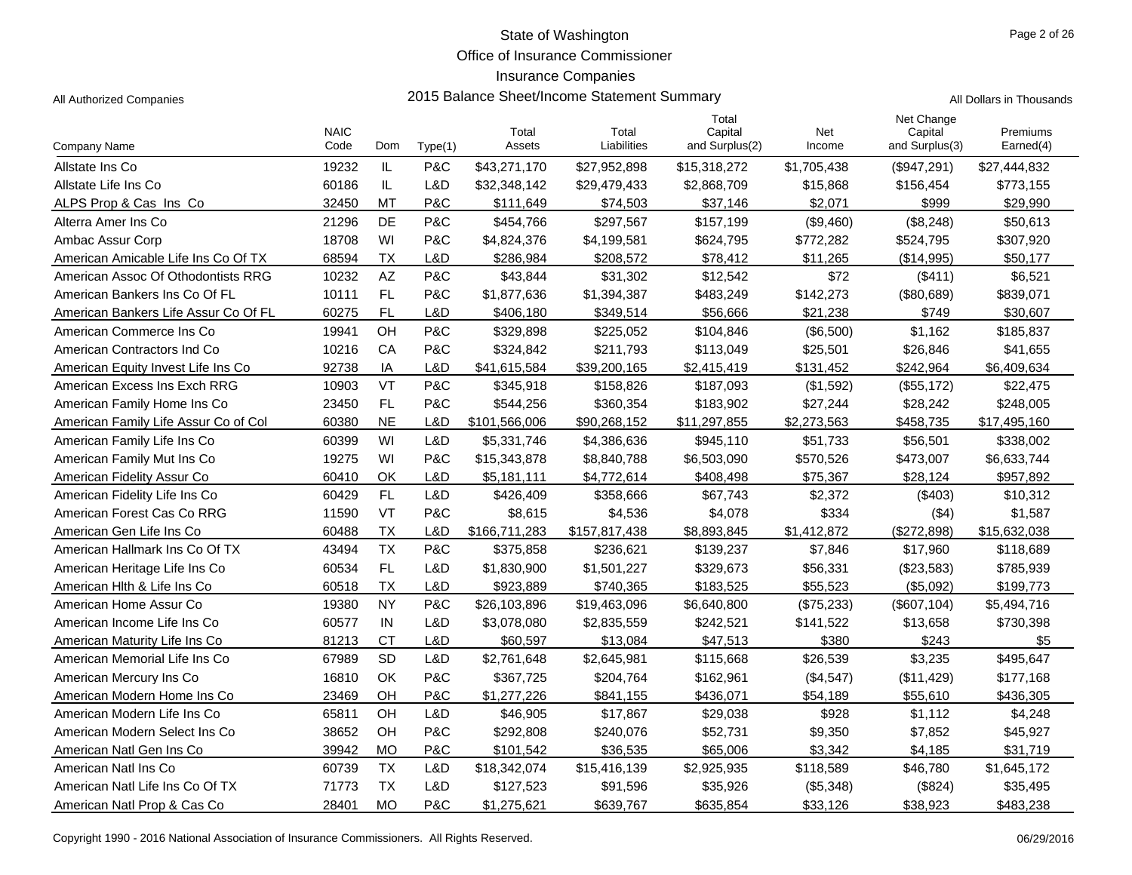Office of Insurance Commissioner

#### Insurance Companies

| ll Dollars in Thousands |  |  |
|-------------------------|--|--|
|                         |  |  |

|                                      | <b>NAIC</b> |            |         | Total         | Total         | Total<br>Capital | Net         | Net Change<br>Capital | Premiums     |
|--------------------------------------|-------------|------------|---------|---------------|---------------|------------------|-------------|-----------------------|--------------|
| Company Name                         | Code        | <b>Dom</b> | Type(1) | Assets        | Liabilities   | and Surplus(2)   | Income      | and Surplus(3)        | Earned(4)    |
| Allstate Ins Co                      | 19232       | IL         | P&C     | \$43,271,170  | \$27,952,898  | \$15,318,272     | \$1,705,438 | (\$947,291)           | \$27,444,832 |
| Allstate Life Ins Co                 | 60186       | IL         | L&D     | \$32,348,142  | \$29,479,433  | \$2,868,709      | \$15,868    | \$156,454             | \$773,155    |
| ALPS Prop & Cas Ins Co               | 32450       | MT         | P&C     | \$111,649     | \$74,503      | \$37,146         | \$2,071     | \$999                 | \$29,990     |
| Alterra Amer Ins Co                  | 21296       | <b>DE</b>  | P&C     | \$454,766     | \$297,567     | \$157,199        | (\$9,460)   | (\$8,248)             | \$50,613     |
| Ambac Assur Corp                     | 18708       | WI         | P&C     | \$4,824,376   | \$4,199,581   | \$624,795        | \$772,282   | \$524,795             | \$307,920    |
| American Amicable Life Ins Co Of TX  | 68594       | ТX         | L&D     | \$286.984     | \$208.572     | \$78.412         | \$11,265    | (S14.995)             | \$50.177     |
| American Assoc Of Othodontists RRG   | 10232       | AZ         | P&C     | \$43,844      | \$31,302      | \$12,542         | \$72        | (\$411)               | \$6,521      |
| American Bankers Ins Co Of FL        | 10111       | FL.        | P&C     | \$1,877,636   | \$1,394,387   | \$483,249        | \$142,273   | (\$80,689)            | \$839,071    |
| American Bankers Life Assur Co Of FL | 60275       | <b>FL</b>  | L&D     | \$406,180     | \$349,514     | \$56,666         | \$21,238    | \$749                 | \$30,607     |
| American Commerce Ins Co             | 19941       | OH         | P&C     | \$329,898     | \$225,052     | \$104,846        | (\$6,500)   | \$1,162               | \$185,837    |
| American Contractors Ind Co          | 10216       | CA         | P&C     | \$324,842     | \$211,793     | \$113,049        | \$25,501    | \$26,846              | \$41,655     |
| American Equity Invest Life Ins Co   | 92738       | IA         | L&D     | \$41,615,584  | \$39,200,165  | \$2,415,419      | \$131,452   | \$242,964             | \$6,409,634  |
| American Excess Ins Exch RRG         | 10903       | VT         | P&C     | \$345,918     | \$158,826     | \$187,093        | (\$1,592)   | (\$55,172)            | \$22,475     |
| American Family Home Ins Co          | 23450       | FL         | P&C     | \$544,256     | \$360,354     | \$183,902        | \$27,244    | \$28,242              | \$248,005    |
| American Family Life Assur Co of Col | 60380       | <b>NE</b>  | L&D     | \$101,566,006 | \$90,268,152  | \$11,297,855     | \$2,273,563 | \$458,735             | \$17,495,160 |
| American Family Life Ins Co          | 60399       | WI         | L&D     | \$5,331,746   | \$4,386,636   | \$945,110        | \$51,733    | \$56,501              | \$338,002    |
| American Family Mut Ins Co           | 19275       | WI         | P&C     | \$15,343,878  | \$8,840,788   | \$6,503,090      | \$570,526   | \$473,007             | \$6,633,744  |
| American Fidelity Assur Co           | 60410       | OK         | L&D     | \$5,181,111   | \$4,772,614   | \$408,498        | \$75,367    | \$28,124              | \$957,892    |
| American Fidelity Life Ins Co        | 60429       | FL.        | L&D     | \$426,409     | \$358,666     | \$67,743         | \$2,372     | $($ \$403)            | \$10,312     |
| American Forest Cas Co RRG           | 11590       | VT         | P&C     | \$8,615       | \$4,536       | \$4,078          | \$334       | ( \$4)                | \$1,587      |
| American Gen Life Ins Co             | 60488       | <b>TX</b>  | L&D     | \$166,711,283 | \$157,817,438 | \$8,893,845      | \$1,412,872 | (\$272,898)           | \$15,632,038 |
| American Hallmark Ins Co Of TX       | 43494       | <b>TX</b>  | P&C     | \$375,858     | \$236,621     | \$139,237        | \$7,846     | \$17,960              | \$118,689    |
| American Heritage Life Ins Co        | 60534       | FL.        | L&D     | \$1,830,900   | \$1,501,227   | \$329,673        | \$56,331    | (\$23,583)            | \$785,939    |
| American Hith & Life Ins Co          | 60518       | <b>TX</b>  | L&D     | \$923,889     | \$740,365     | \$183,525        | \$55,523    | (\$5,092)             | \$199,773    |
| American Home Assur Co               | 19380       | <b>NY</b>  | P&C     | \$26,103,896  | \$19,463,096  | \$6,640,800      | (\$75,233)  | (\$607, 104)          | \$5,494,716  |
| American Income Life Ins Co          | 60577       | IN         | L&D     | \$3,078,080   | \$2,835,559   | \$242,521        | \$141,522   | \$13,658              | \$730,398    |
| American Maturity Life Ins Co        | 81213       | <b>CT</b>  | L&D     | \$60,597      | \$13,084      | \$47,513         | \$380       | \$243                 | \$5          |
| American Memorial Life Ins Co        | 67989       | <b>SD</b>  | L&D     | \$2,761,648   | \$2,645,981   | \$115,668        | \$26,539    | \$3,235               | \$495,647    |
| American Mercury Ins Co              | 16810       | OK         | P&C     | \$367,725     | \$204,764     | \$162,961        | (\$4,547)   | (\$11,429)            | \$177,168    |
| American Modern Home Ins Co          | 23469       | OH         | P&C     | \$1,277,226   | \$841,155     | \$436,071        | \$54,189    | \$55,610              | \$436,305    |
| American Modern Life Ins Co          | 65811       | OH         | L&D     | \$46,905      | \$17,867      | \$29,038         | \$928       | \$1,112               | \$4,248      |
| American Modern Select Ins Co        | 38652       | OH         | P&C     | \$292,808     | \$240,076     | \$52,731         | \$9,350     | \$7,852               | \$45,927     |
| American Natl Gen Ins Co             | 39942       | <b>MO</b>  | P&C     | \$101,542     | \$36,535      | \$65,006         | \$3,342     | \$4,185               | \$31,719     |
| American Natl Ins Co                 | 60739       | <b>TX</b>  | L&D     | \$18,342,074  | \$15,416,139  | \$2,925,935      | \$118,589   | \$46,780              | \$1,645,172  |
| American Natl Life Ins Co Of TX      | 71773       | <b>TX</b>  | L&D     | \$127,523     | \$91,596      | \$35,926         | (\$5,348)   | (\$824)               | \$35,495     |
| American Natl Prop & Cas Co          | 28401       | <b>MO</b>  | P&C     | \$1,275,621   | \$639,767     | \$635,854        | \$33,126    | \$38,923              | \$483,238    |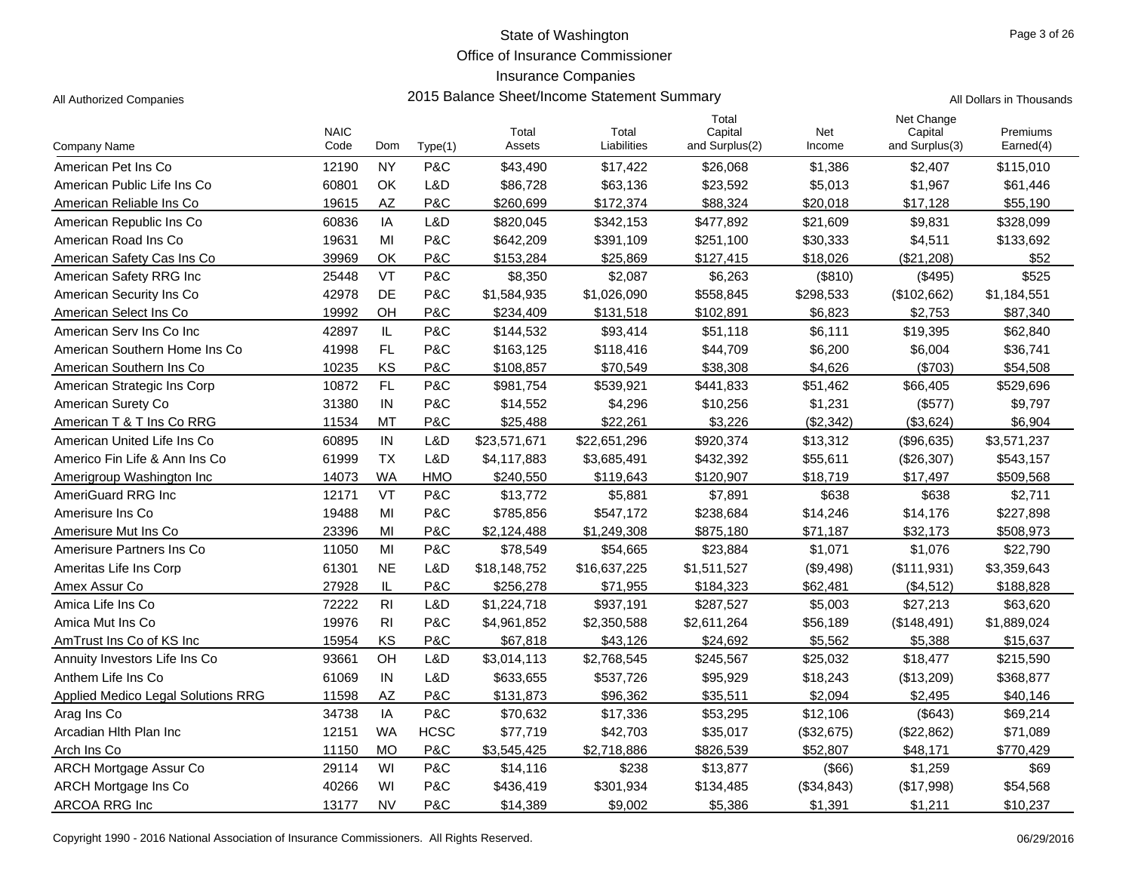Office of Insurance Commissioner

# Insurance Companies

Page 3 of 26

| All Authorized Companies | 2015 Balance Sheet/Income Statement Summary | All Dollars in Thousands |
|--------------------------|---------------------------------------------|--------------------------|
|                          | Totar                                       | Net Change               |

|                                    | <b>NAIC</b> |           |             | Total        | Total        | Total<br>Capital | <b>Net</b> | Net Change<br>Capital | Premiums    |
|------------------------------------|-------------|-----------|-------------|--------------|--------------|------------------|------------|-----------------------|-------------|
| Company Name                       | Code        | Dom       | Type(1)     | Assets       | Liabilities  | and Surplus(2)   | Income     | and Surplus(3)        | Earned(4)   |
| American Pet Ins Co                | 12190       | <b>NY</b> | P&C         | \$43,490     | \$17,422     | \$26,068         | \$1,386    | \$2,407               | \$115,010   |
| American Public Life Ins Co        | 60801       | OK        | L&D         | \$86,728     | \$63,136     | \$23,592         | \$5,013    | \$1,967               | \$61,446    |
| American Reliable Ins Co           | 19615       | <b>AZ</b> | P&C         | \$260,699    | \$172,374    | \$88,324         | \$20,018   | \$17,128              | \$55,190    |
| American Republic Ins Co           | 60836       | IA        | L&D         | \$820,045    | \$342,153    | \$477,892        | \$21,609   | \$9,831               | \$328,099   |
| American Road Ins Co               | 19631       | MI        | P&C         | \$642,209    | \$391,109    | \$251,100        | \$30,333   | \$4,511               | \$133,692   |
| American Safety Cas Ins Co         | 39969       | OK        | P&C         | \$153,284    | \$25,869     | \$127,415        | \$18,026   | (\$21,208)            | \$52        |
| American Safety RRG Inc            | 25448       | VT        | P&C         | \$8,350      | \$2,087      | \$6,263          | (\$810)    | (\$495)               | \$525       |
| American Security Ins Co           | 42978       | <b>DE</b> | P&C         | \$1,584,935  | \$1,026,090  | \$558,845        | \$298,533  | (\$102,662)           | \$1,184,551 |
| American Select Ins Co             | 19992       | OH        | P&C         | \$234,409    | \$131,518    | \$102,891        | \$6,823    | \$2,753               | \$87,340    |
| American Serv Ins Co Inc           | 42897       | IL        | P&C         | \$144,532    | \$93,414     | \$51,118         | \$6,111    | \$19,395              | \$62,840    |
| American Southern Home Ins Co      | 41998       | FL        | P&C         | \$163,125    | \$118,416    | \$44,709         | \$6,200    | \$6,004               | \$36,741    |
| American Southern Ins Co           | 10235       | KS        | P&C         | \$108,857    | \$70,549     | \$38,308         | \$4.626    | (S703)                | \$54,508    |
| American Strategic Ins Corp        | 10872       | <b>FL</b> | P&C         | \$981,754    | \$539,921    | \$441,833        | \$51,462   | \$66,405              | \$529,696   |
| American Surety Co                 | 31380       | IN        | P&C         | \$14,552     | \$4,296      | \$10,256         | \$1,231    | (\$577)               | \$9,797     |
| American T & T Ins Co RRG          | 11534       | MT        | P&C         | \$25,488     | \$22,261     | \$3,226          | (\$2,342)  | (\$3,624)             | \$6,904     |
| American United Life Ins Co        | 60895       | IN        | L&D         | \$23,571,671 | \$22,651,296 | \$920,374        | \$13,312   | (\$96,635)            | \$3,571,237 |
| Americo Fin Life & Ann Ins Co      | 61999       | <b>TX</b> | L&D         | \$4,117,883  | \$3,685,491  | \$432,392        | \$55,611   | (\$26,307)            | \$543,157   |
| Amerigroup Washington Inc          | 14073       | <b>WA</b> | <b>HMO</b>  | \$240,550    | \$119,643    | \$120,907        | \$18,719   | \$17,497              | \$509,568   |
| <b>AmeriGuard RRG Inc</b>          | 12171       | <b>VT</b> | P&C         | \$13,772     | \$5,881      | \$7,891          | \$638      | \$638                 | \$2,711     |
| Amerisure Ins Co                   | 19488       | MI        | P&C         | \$785,856    | \$547,172    | \$238,684        | \$14,246   | \$14,176              | \$227,898   |
| Amerisure Mut Ins Co               | 23396       | MI        | P&C         | \$2,124,488  | \$1,249,308  | \$875,180        | \$71,187   | \$32,173              | \$508,973   |
| Amerisure Partners Ins Co          | 11050       | MI        | P&C         | \$78,549     | \$54,665     | \$23,884         | \$1,071    | \$1,076               | \$22,790    |
| Ameritas Life Ins Corp             | 61301       | <b>NE</b> | L&D         | \$18,148,752 | \$16,637,225 | \$1,511,527      | (\$9,498)  | (\$111,931)           | \$3,359,643 |
| Amex Assur Co                      | 27928       | IL        | P&C         | \$256,278    | \$71,955     | \$184,323        | \$62,481   | (\$4,512)             | \$188,828   |
| Amica Life Ins Co                  | 72222       | RI        | L&D         | \$1,224,718  | \$937,191    | \$287,527        | \$5,003    | \$27,213              | \$63,620    |
| Amica Mut Ins Co                   | 19976       | RI        | P&C         | \$4,961,852  | \$2,350,588  | \$2,611,264      | \$56,189   | (\$148,491)           | \$1,889,024 |
| AmTrust Ins Co of KS Inc           | 15954       | KS        | P&C         | \$67,818     | \$43,126     | \$24,692         | \$5,562    | \$5,388               | \$15,637    |
| Annuity Investors Life Ins Co      | 93661       | OH        | L&D         | \$3,014,113  | \$2,768,545  | \$245,567        | \$25,032   | \$18,477              | \$215,590   |
| Anthem Life Ins Co                 | 61069       | IN        | L&D         | \$633,655    | \$537,726    | \$95,929         | \$18,243   | (\$13,209)            | \$368,877   |
| Applied Medico Legal Solutions RRG | 11598       | <b>AZ</b> | P&C         | \$131,873    | \$96,362     | \$35,511         | \$2,094    | \$2,495               | \$40,146    |
| Arag Ins Co                        | 34738       | IA        | P&C         | \$70,632     | \$17,336     | \$53,295         | \$12,106   | (\$643)               | \$69,214    |
| Arcadian Hith Plan Inc             | 12151       | <b>WA</b> | <b>HCSC</b> | \$77,719     | \$42,703     | \$35,017         | (\$32,675) | (\$22,862)            | \$71,089    |
| Arch Ins Co                        | 11150       | <b>MO</b> | P&C         | \$3,545,425  | \$2,718,886  | \$826,539        | \$52,807   | \$48,171              | \$770,429   |
| <b>ARCH Mortgage Assur Co</b>      | 29114       | WI        | P&C         | \$14,116     | \$238        | \$13,877         | (\$66)     | \$1,259               | \$69        |
| ARCH Mortgage Ins Co               | 40266       | WI        | P&C         | \$436,419    | \$301,934    | \$134,485        | (\$34,843) | (\$17,998)            | \$54,568    |
| ARCOA RRG Inc                      | 13177       | <b>NV</b> | P&C         | \$14,389     | \$9,002      | \$5,386          | \$1,391    | \$1,211               | \$10,237    |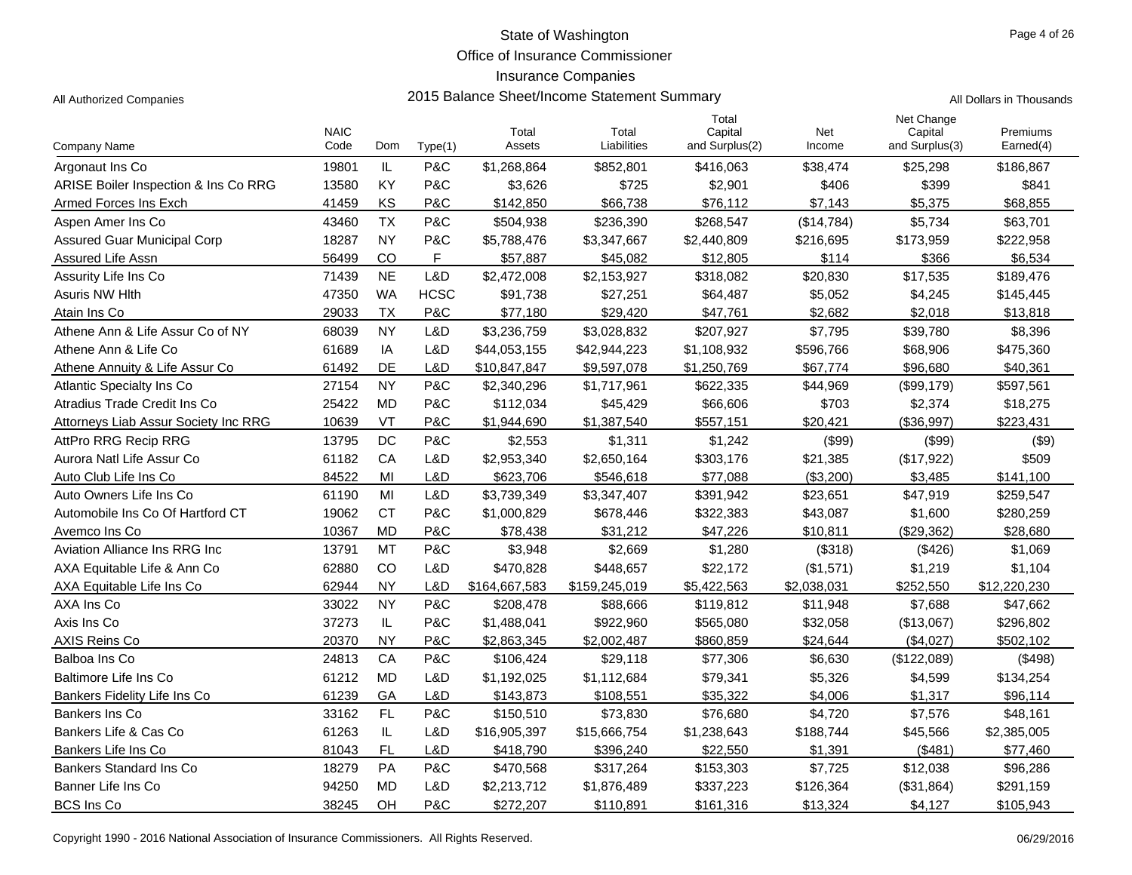Office of Insurance Commissioner

## Insurance Companies

All Authorized Companies **2015 Balance Sheet/Income Statement Summary** A

|  | All Dollars in Thousands |
|--|--------------------------|

|                                      | <b>NAIC</b> |           |             | Total         | Total         | Total<br>Capital | Net         | Net Change<br>Capital | Premiums     |
|--------------------------------------|-------------|-----------|-------------|---------------|---------------|------------------|-------------|-----------------------|--------------|
| Company Name                         | Code        | Dom       | Type(1)     | Assets        | Liabilities   | and Surplus(2)   | Income      | and Surplus(3)        | Earned(4)    |
| Argonaut Ins Co                      | 19801       | IL        | P&C         | \$1,268,864   | \$852,801     | \$416,063        | \$38,474    | \$25,298              | \$186,867    |
| ARISE Boiler Inspection & Ins Co RRG | 13580       | KY        | P&C         | \$3,626       | \$725         | \$2,901          | \$406       | \$399                 | \$841        |
| Armed Forces Ins Exch                | 41459       | KS        | P&C         | \$142,850     | \$66,738      | \$76,112         | \$7,143     | \$5,375               | \$68,855     |
| Aspen Amer Ins Co                    | 43460       | <b>TX</b> | P&C         | \$504,938     | \$236,390     | \$268,547        | (\$14,784)  | \$5,734               | \$63,701     |
| Assured Guar Municipal Corp          | 18287       | <b>NY</b> | P&C         | \$5,788,476   | \$3,347,667   | \$2,440,809      | \$216,695   | \$173,959             | \$222,958    |
| Assured Life Assn                    | 56499       | CO        | F           | \$57,887      | \$45,082      | \$12,805         | \$114       | \$366                 | \$6,534      |
| Assurity Life Ins Co                 | 71439       | <b>NE</b> | L&D         | \$2,472,008   | \$2,153,927   | \$318,082        | \$20,830    | \$17,535              | \$189,476    |
| <b>Asuris NW Hith</b>                | 47350       | <b>WA</b> | <b>HCSC</b> | \$91,738      | \$27,251      | \$64,487         | \$5,052     | \$4,245               | \$145,445    |
| Atain Ins Co                         | 29033       | <b>TX</b> | P&C         | \$77,180      | \$29,420      | \$47,761         | \$2,682     | \$2,018               | \$13,818     |
| Athene Ann & Life Assur Co of NY     | 68039       | <b>NY</b> | L&D         | \$3,236,759   | \$3,028,832   | \$207,927        | \$7,795     | \$39,780              | \$8,396      |
| Athene Ann & Life Co                 | 61689       | IA        | L&D         | \$44,053,155  | \$42,944,223  | \$1,108,932      | \$596,766   | \$68,906              | \$475,360    |
| Athene Annuity & Life Assur Co       | 61492       | DE        | L&D         | \$10,847,847  | \$9,597,078   | \$1,250,769      | \$67.774    | \$96,680              | \$40,361     |
| <b>Atlantic Specialty Ins Co</b>     | 27154       | <b>NY</b> | P&C         | \$2,340,296   | \$1,717,961   | \$622,335        | \$44,969    | (\$99,179)            | \$597,561    |
| Atradius Trade Credit Ins Co         | 25422       | <b>MD</b> | P&C         | \$112,034     | \$45,429      | \$66,606         | \$703       | \$2,374               | \$18,275     |
| Attorneys Liab Assur Society Inc RRG | 10639       | VT        | P&C         | \$1,944,690   | \$1,387,540   | \$557,151        | \$20,421    | (\$36,997)            | \$223,431    |
| AttPro RRG Recip RRG                 | 13795       | DC        | P&C         | \$2,553       | \$1,311       | \$1,242          | (\$99)      | (\$99)                | ( \$9)       |
| Aurora Natl Life Assur Co            | 61182       | CA        | L&D         | \$2,953,340   | \$2,650,164   | \$303,176        | \$21,385    | (\$17,922)            | \$509        |
| Auto Club Life Ins Co                | 84522       | MI        | L&D         | \$623,706     | \$546,618     | \$77,088         | (\$3,200)   | \$3,485               | \$141,100    |
| Auto Owners Life Ins Co              | 61190       | MI        | L&D         | \$3,739,349   | \$3,347,407   | \$391,942        | \$23,651    | \$47,919              | \$259,547    |
| Automobile Ins Co Of Hartford CT     | 19062       | <b>CT</b> | P&C         | \$1,000,829   | \$678,446     | \$322,383        | \$43.087    | \$1,600               | \$280,259    |
| Avemco Ins Co                        | 10367       | <b>MD</b> | P&C         | \$78,438      | \$31,212      | \$47,226         | \$10.811    | (\$29,362)            | \$28,680     |
| Aviation Alliance Ins RRG Inc        | 13791       | MT        | P&C         | \$3,948       | \$2,669       | \$1,280          | (\$318)     | (\$426)               | \$1,069      |
| AXA Equitable Life & Ann Co          | 62880       | CO        | L&D         | \$470.828     | \$448,657     | \$22,172         | (\$1,571)   | \$1,219               | \$1.104      |
| AXA Equitable Life Ins Co            | 62944       | <b>NY</b> | L&D         | \$164,667,583 | \$159,245,019 | \$5,422,563      | \$2,038,031 | \$252,550             | \$12,220,230 |
| AXA Ins Co                           | 33022       | <b>NY</b> | P&C         | \$208,478     | \$88,666      | \$119,812        | \$11,948    | \$7,688               | \$47,662     |
| Axis Ins Co                          | 37273       | IL        | P&C         | \$1,488,041   | \$922,960     | \$565,080        | \$32,058    | (\$13,067)            | \$296,802    |
| AXIS Reins Co                        | 20370       | <b>NY</b> | P&C         | \$2,863,345   | \$2,002,487   | \$860,859        | \$24,644    | (\$4,027)             | \$502,102    |
| <b>Balboa Ins Co</b>                 | 24813       | CA        | P&C         | \$106,424     | \$29,118      | \$77,306         | \$6,630     | (\$122,089)           | (\$498)      |
| Baltimore Life Ins Co                | 61212       | <b>MD</b> | L&D         | \$1,192,025   | \$1,112,684   | \$79,341         | \$5,326     | \$4,599               | \$134,254    |
| Bankers Fidelity Life Ins Co         | 61239       | GA        | L&D         | \$143,873     | \$108,551     | \$35,322         | \$4,006     | \$1,317               | \$96,114     |
| Bankers Ins Co                       | 33162       | FL        | P&C         | \$150,510     | \$73,830      | \$76,680         | \$4,720     | \$7,576               | \$48,161     |
| Bankers Life & Cas Co                | 61263       | IL        | L&D         | \$16,905,397  | \$15,666,754  | \$1,238,643      | \$188,744   | \$45,566              | \$2,385,005  |
| Bankers Life Ins Co                  | 81043       | <b>FL</b> | L&D         | \$418,790     | \$396,240     | \$22,550         | \$1,391     | (\$481)               | \$77,460     |
| Bankers Standard Ins Co              | 18279       | PA        | P&C         | \$470,568     | \$317,264     | \$153,303        | \$7,725     | \$12,038              | \$96,286     |
| Banner Life Ins Co                   | 94250       | <b>MD</b> | L&D         | \$2,213,712   | \$1,876,489   | \$337,223        | \$126,364   | (\$31,864)            | \$291,159    |
| <b>BCS Ins Co</b>                    | 38245       | OH        | P&C         | \$272,207     | \$110,891     | \$161,316        | \$13,324    | \$4,127               | \$105,943    |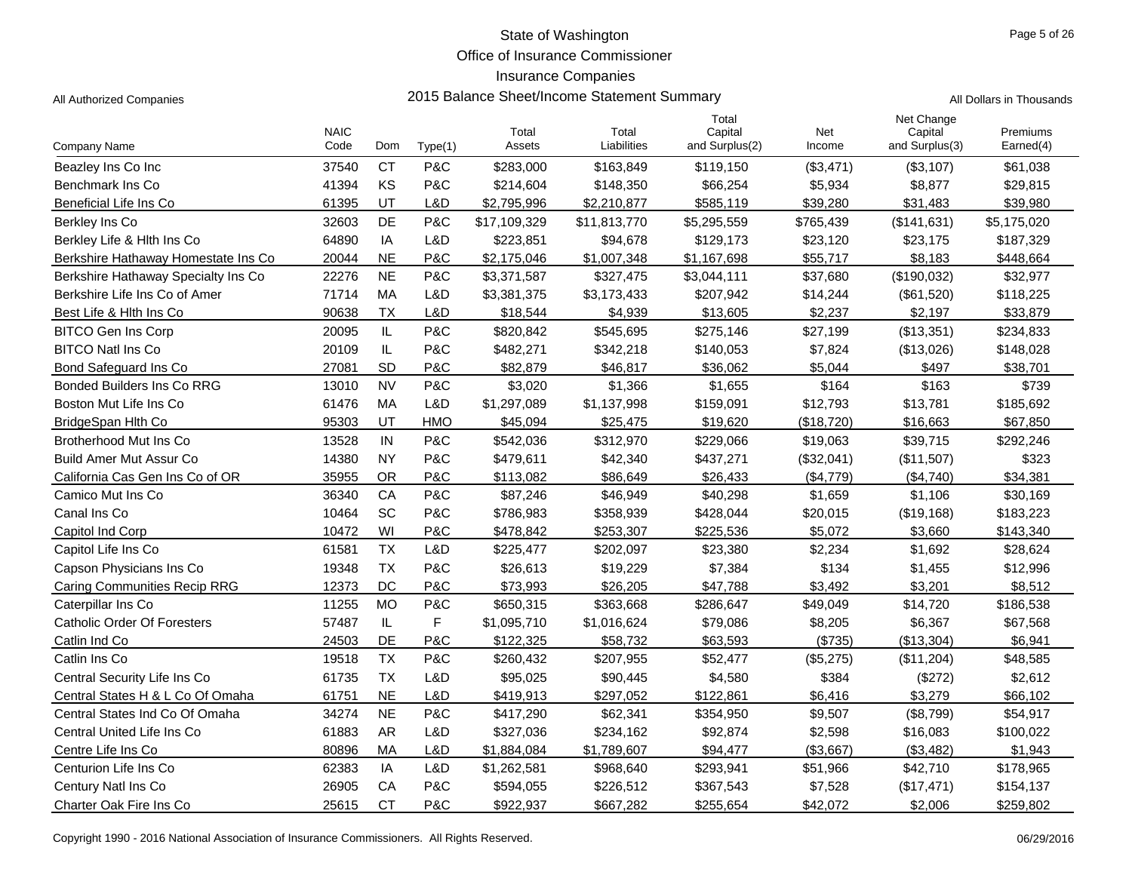Office of Insurance Commissioner

## Insurance Companies

All Authorized Companies **2015 Balance Sheet/Income Statement Summary** All Dollars in Thousands

Page 5 of 26

| Company Name                        | <b>NAIC</b><br>Code | Dom       | Type(1)     | Total<br>Assets | Total<br>Liabilities | Total<br>Capital<br>and Surplus(2) | Net<br>Income | Net Change<br>Capital<br>and Surplus(3) | Premiums<br>Earned(4) |
|-------------------------------------|---------------------|-----------|-------------|-----------------|----------------------|------------------------------------|---------------|-----------------------------------------|-----------------------|
| Beazley Ins Co Inc                  | 37540               | <b>CT</b> | P&C         | \$283,000       | \$163,849            | \$119,150                          | (\$3,471)     | (\$3,107)                               | \$61,038              |
| Benchmark Ins Co                    | 41394               | KS        | P&C         | \$214,604       | \$148,350            | \$66,254                           | \$5,934       | \$8,877                                 | \$29,815              |
| Beneficial Life Ins Co              | 61395               | UT        | L&D         | \$2,795,996     | \$2,210,877          | \$585,119                          | \$39,280      | \$31,483                                | \$39,980              |
| Berkley Ins Co                      | 32603               | DE        | P&C         | \$17,109,329    | \$11,813,770         | \$5,295,559                        | \$765,439     | (\$141,631)                             | \$5,175,020           |
| Berkley Life & Hith Ins Co          | 64890               | IA        | L&D         | \$223,851       | \$94,678             | \$129,173                          | \$23,120      | \$23,175                                | \$187,329             |
| Berkshire Hathaway Homestate Ins Co | 20044               | <b>NE</b> | P&C         | \$2,175,046     | \$1,007,348          | \$1,167,698                        | \$55,717      | \$8,183                                 | \$448,664             |
| Berkshire Hathaway Specialty Ins Co | 22276               | <b>NE</b> | P&C         | \$3,371,587     | \$327,475            | \$3,044,111                        | \$37,680      | (\$190,032)                             | \$32,977              |
| Berkshire Life Ins Co of Amer       | 71714               | MA        | L&D         | \$3,381,375     | \$3,173,433          | \$207,942                          | \$14,244      | (\$61,520)                              | \$118,225             |
| Best Life & Hith Ins Co             | 90638               | <b>TX</b> | L&D         | \$18,544        | \$4,939              | \$13,605                           | \$2,237       | \$2,197                                 | \$33,879              |
| <b>BITCO Gen Ins Corp</b>           | 20095               | $\sf IL$  | P&C         | \$820,842       | \$545,695            | \$275,146                          | \$27,199      | (\$13,351)                              | \$234,833             |
| <b>BITCO Natl Ins Co</b>            | 20109               | IL        | P&C         | \$482,271       | \$342,218            | \$140,053                          | \$7,824       | (\$13,026)                              | \$148,028             |
| Bond Safeguard Ins Co               | 27081               | SD        | P&C         | \$82,879        | \$46,817             | \$36,062                           | \$5.044       | \$497                                   | \$38,701              |
| <b>Bonded Builders Ins Co RRG</b>   | 13010               | <b>NV</b> | P&C         | \$3,020         | \$1,366              | \$1,655                            | \$164         | \$163                                   | \$739                 |
| Boston Mut Life Ins Co              | 61476               | MA        | L&D         | \$1,297,089     | \$1,137,998          | \$159,091                          | \$12,793      | \$13,781                                | \$185,692             |
| BridgeSpan Hlth Co                  | 95303               | UT        | <b>HMO</b>  | \$45,094        | \$25,475             | \$19,620                           | (\$18,720)    | \$16,663                                | \$67,850              |
| Brotherhood Mut Ins Co              | 13528               | IN        | P&C         | \$542,036       | \$312,970            | \$229,066                          | \$19,063      | \$39,715                                | \$292,246             |
| <b>Build Amer Mut Assur Co</b>      | 14380               | <b>NY</b> | P&C         | \$479,611       | \$42,340             | \$437,271                          | (\$32,041)    | (\$11,507)                              | \$323                 |
| California Cas Gen Ins Co of OR     | 35955               | <b>OR</b> | P&C         | \$113,082       | \$86,649             | \$26,433                           | (\$4,779)     | (\$4,740)                               | \$34,381              |
| Camico Mut Ins Co                   | 36340               | CA        | P&C         | \$87,246        | \$46,949             | \$40,298                           | \$1,659       | \$1,106                                 | \$30,169              |
| Canal Ins Co                        | 10464               | SC        | P&C         | \$786,983       | \$358,939            | \$428,044                          | \$20,015      | (\$19,168)                              | \$183,223             |
| Capitol Ind Corp                    | 10472               | WI        | P&C         | \$478,842       | \$253,307            | \$225,536                          | \$5,072       | \$3,660                                 | \$143,340             |
| Capitol Life Ins Co                 | 61581               | <b>TX</b> | L&D         | \$225,477       | \$202,097            | \$23,380                           | \$2,234       | \$1,692                                 | \$28,624              |
| Capson Physicians Ins Co            | 19348               | <b>TX</b> | P&C         | \$26,613        | \$19,229             | \$7,384                            | \$134         | \$1,455                                 | \$12,996              |
| <b>Caring Communities Recip RRG</b> | 12373               | DC        | P&C         | \$73,993        | \$26,205             | \$47,788                           | \$3,492       | \$3,201                                 | \$8,512               |
| Caterpillar Ins Co                  | 11255               | <b>MO</b> | P&C         | \$650,315       | \$363,668            | \$286,647                          | \$49,049      | \$14,720                                | \$186,538             |
| <b>Catholic Order Of Foresters</b>  | 57487               | IL        | $\mathsf F$ | \$1,095,710     | \$1,016,624          | \$79,086                           | \$8,205       | \$6,367                                 | \$67,568              |
| Catlin Ind Co                       | 24503               | DE        | P&C         | \$122,325       | \$58,732             | \$63,593                           | (\$735)       | (\$13,304)                              | \$6,941               |
| Catlin Ins Co                       | 19518               | <b>TX</b> | P&C         | \$260,432       | \$207,955            | \$52,477                           | (\$5,275)     | (\$11,204)                              | \$48,585              |
| Central Security Life Ins Co        | 61735               | <b>TX</b> | L&D         | \$95,025        | \$90,445             | \$4,580                            | \$384         | (\$272)                                 | \$2,612               |
| Central States H & L Co Of Omaha    | 61751               | <b>NE</b> | L&D         | \$419,913       | \$297,052            | \$122,861                          | \$6,416       | \$3,279                                 | \$66,102              |
| Central States Ind Co Of Omaha      | 34274               | <b>NE</b> | P&C         | \$417,290       | \$62,341             | \$354,950                          | \$9,507       | (\$8,799)                               | \$54,917              |
| <b>Central United Life Ins Co</b>   | 61883               | <b>AR</b> | L&D         | \$327,036       | \$234,162            | \$92,874                           | \$2,598       | \$16,083                                | \$100,022             |
| Centre Life Ins Co                  | 80896               | MA        | L&D         | \$1,884,084     | \$1,789,607          | \$94,477                           | (\$3,667)     | (\$3,482)                               | \$1,943               |
| Centurion Life Ins Co               | 62383               | IA        | L&D         | \$1,262,581     | \$968,640            | \$293,941                          | \$51,966      | \$42,710                                | \$178,965             |
| Century Natl Ins Co.                | 26905               | CA        | P&C         | \$594,055       | \$226,512            | \$367,543                          | \$7,528       | (\$17,471)                              | \$154,137             |
| Charter Oak Fire Ins Co             | 25615               | <b>CT</b> | P&C         | \$922.937       | \$667,282            | \$255,654                          | \$42,072      | \$2,006                                 | \$259,802             |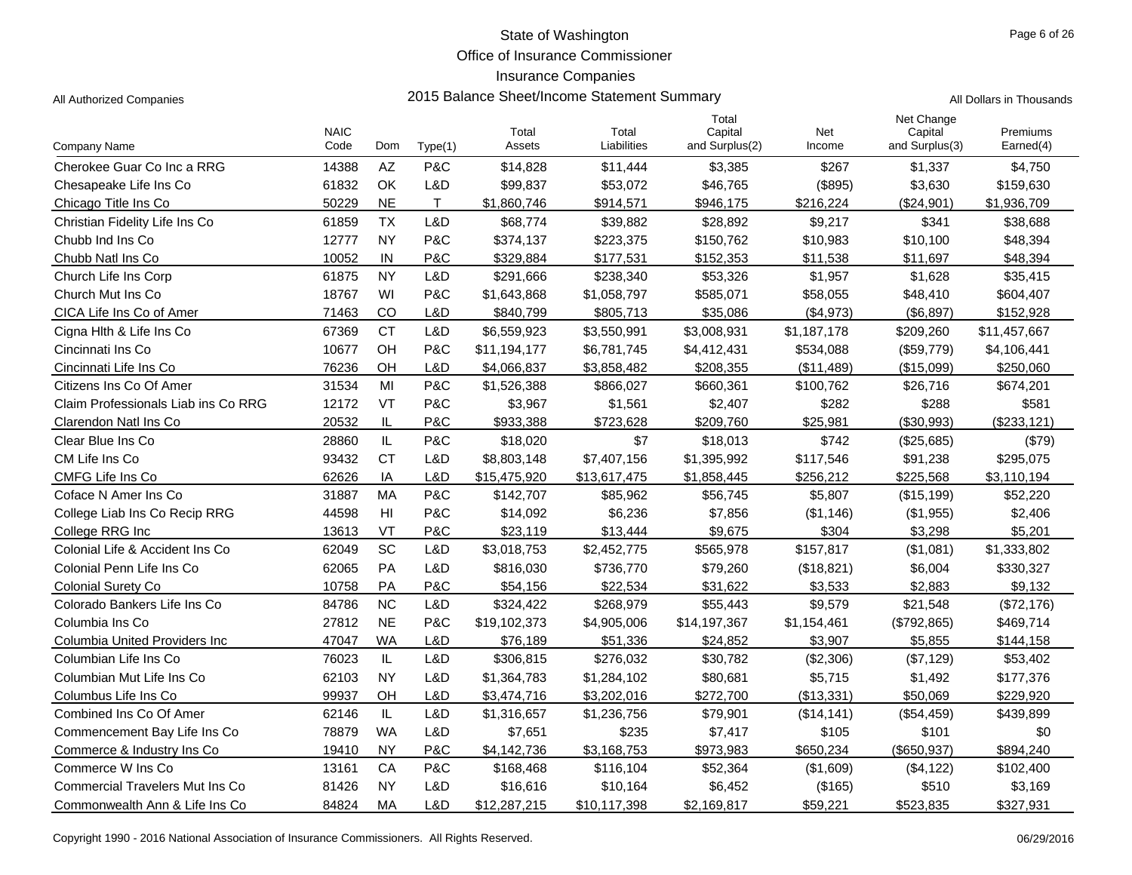Office of Insurance Commissioner

## Insurance Companies

| Company Name                           | <b>NAIC</b><br>Code | Dom       | Type(1) | Total<br>Assets | Total<br>Liabilities | Total<br>Capital<br>and Surplus(2) | Net<br>Income | Net Change<br>Capital<br>and Surplus(3) | Premiums<br>Earned(4) |
|----------------------------------------|---------------------|-----------|---------|-----------------|----------------------|------------------------------------|---------------|-----------------------------------------|-----------------------|
| Cherokee Guar Co Inc a RRG             | 14388               | AZ        | P&C     | \$14,828        | \$11,444             | \$3,385                            | \$267         | \$1,337                                 | \$4,750               |
| Chesapeake Life Ins Co                 | 61832               | OK        | L&D     | \$99,837        | \$53,072             | \$46,765                           | (\$895)       | \$3,630                                 | \$159,630             |
| Chicago Title Ins Co                   | 50229               | <b>NE</b> | T.      | \$1,860,746     | \$914,571            | \$946,175                          | \$216,224     | (\$24,901)                              | \$1,936,709           |
| Christian Fidelity Life Ins Co         | 61859               | <b>TX</b> | L&D     | \$68,774        | \$39,882             | \$28,892                           | \$9,217       | \$341                                   | \$38,688              |
| Chubb Ind Ins Co.                      | 12777               | NY        | P&C     | \$374,137       | \$223,375            | \$150,762                          | \$10,983      | \$10,100                                | \$48,394              |
| Chubb Natl Ins Co                      | 10052               | IN        | P&C     | \$329,884       | \$177,531            | \$152,353                          | \$11,538      | \$11,697                                | \$48,394              |
| Church Life Ins Corp                   | 61875               | <b>NY</b> | L&D     | \$291,666       | \$238,340            | \$53,326                           | \$1,957       | \$1,628                                 | \$35,415              |
| Church Mut Ins Co                      | 18767               | WI        | P&C     | \$1,643,868     | \$1,058,797          | \$585,071                          | \$58,055      | \$48,410                                | \$604,407             |
| CICA Life Ins Co of Amer               | 71463               | CO        | L&D     | \$840,799       | \$805,713            | \$35,086                           | (\$4,973)     | (\$6,897)                               | \$152,928             |
| Cigna Hith & Life Ins Co               | 67369               | <b>CT</b> | L&D     | \$6,559,923     | \$3,550,991          | \$3,008,931                        | \$1,187,178   | \$209,260                               | \$11,457,667          |
| Cincinnati Ins Co                      | 10677               | OН        | P&C     | \$11,194,177    | \$6,781,745          | \$4,412,431                        | \$534,088     | (\$59,779)                              | \$4,106,441           |
| Cincinnati Life Ins Co                 | 76236               | OН        | L&D     | \$4,066,837     | \$3,858,482          | \$208,355                          | (\$11,489)    | (\$15,099)                              | \$250,060             |
| Citizens Ins Co Of Amer                | 31534               | MI        | P&C     | \$1,526,388     | \$866,027            | \$660,361                          | \$100,762     | \$26,716                                | \$674,201             |
| Claim Professionals Liab ins Co RRG    | 12172               | VT        | P&C     | \$3,967         | \$1,561              | \$2,407                            | \$282         | \$288                                   | \$581                 |
| Clarendon Natl Ins Co                  | 20532               | IL        | P&C     | \$933,388       | \$723,628            | \$209,760                          | \$25,981      | (\$30,993)                              | (\$233, 121)          |
| Clear Blue Ins Co                      | 28860               | IL        | P&C     | \$18,020        | \$7                  | \$18,013                           | \$742         | (\$25,685)                              | (\$79)                |
| CM Life Ins Co                         | 93432               | <b>CT</b> | L&D     | \$8,803,148     | \$7,407,156          | \$1,395,992                        | \$117,546     | \$91,238                                | \$295,075             |
| CMFG Life Ins Co                       | 62626               | IA        | L&D     | \$15,475,920    | \$13,617,475         | \$1,858,445                        | \$256,212     | \$225,568                               | \$3,110,194           |
| Coface N Amer Ins Co                   | 31887               | MA        | P&C     | \$142,707       | \$85,962             | \$56,745                           | \$5,807       | (\$15,199)                              | \$52,220              |
| College Liab Ins Co Recip RRG          | 44598               | HI        | P&C     | \$14,092        | \$6,236              | \$7,856                            | (\$1,146)     | (\$1,955)                               | \$2,406               |
| College RRG Inc                        | 13613               | VT        | P&C     | \$23,119        | \$13,444             | \$9,675                            | \$304         | \$3,298                                 | \$5,201               |
| Colonial Life & Accident Ins Co        | 62049               | SC        | L&D     | \$3,018,753     | \$2,452,775          | \$565,978                          | \$157,817     | (\$1,081)                               | \$1,333,802           |
| Colonial Penn Life Ins Co              | 62065               | PA        | L&D     | \$816,030       | \$736,770            | \$79,260                           | (\$18,821)    | \$6,004                                 | \$330,327             |
| <b>Colonial Surety Co</b>              | 10758               | PA        | P&C     | \$54,156        | \$22,534             | \$31,622                           | \$3,533       | \$2,883                                 | \$9,132               |
| Colorado Bankers Life Ins Co           | 84786               | ΝC        | L&D     | \$324,422       | \$268,979            | \$55,443                           | \$9,579       | \$21,548                                | (\$72,176)            |
| Columbia Ins Co                        | 27812               | <b>NE</b> | P&C     | \$19,102,373    | \$4,905,006          | \$14,197,367                       | \$1,154,461   | (\$792,865)                             | \$469,714             |
| Columbia United Providers Inc          | 47047               | <b>WA</b> | L&D     | \$76,189        | \$51,336             | \$24,852                           | \$3,907       | \$5,855                                 | \$144,158             |
| Columbian Life Ins Co                  | 76023               | IL        | L&D     | \$306,815       | \$276,032            | \$30,782                           | (\$2,306)     | (\$7,129)                               | \$53,402              |
| Columbian Mut Life Ins Co              | 62103               | <b>NY</b> | L&D     | \$1,364,783     | \$1,284,102          | \$80,681                           | \$5,715       | \$1,492                                 | \$177,376             |
| Columbus Life Ins Co                   | 99937               | OН        | L&D     | \$3,474,716     | \$3,202,016          | \$272,700                          | (\$13,331)    | \$50,069                                | \$229,920             |
| Combined Ins Co Of Amer                | 62146               | IL.       | L&D     | \$1,316,657     | \$1,236,756          | \$79,901                           | (\$14, 141)   | (\$54,459)                              | \$439,899             |
| Commencement Bay Life Ins Co           | 78879               | <b>WA</b> | L&D     | \$7,651         | \$235                | \$7,417                            | \$105         | \$101                                   | \$0                   |
| Commerce & Industry Ins Co             | 19410               | <b>NY</b> | P&C     | \$4,142,736     | \$3,168,753          | \$973,983                          | \$650,234     | (\$650, 937)                            | \$894,240             |
| Commerce W Ins Co                      | 13161               | CA        | P&C     | \$168,468       | \$116,104            | \$52,364                           | (\$1,609)     | (\$4, 122)                              | \$102,400             |
| <b>Commercial Travelers Mut Ins Co</b> | 81426               | NY        | L&D     | \$16,616        | \$10,164             | \$6,452                            | (\$165)       | \$510                                   | \$3,169               |
| Commonwealth Ann & Life Ins Co         | 84824               | МA        | L&D     | \$12,287,215    | \$10,117,398         | \$2,169,817                        | \$59,221      | \$523,835                               | \$327,931             |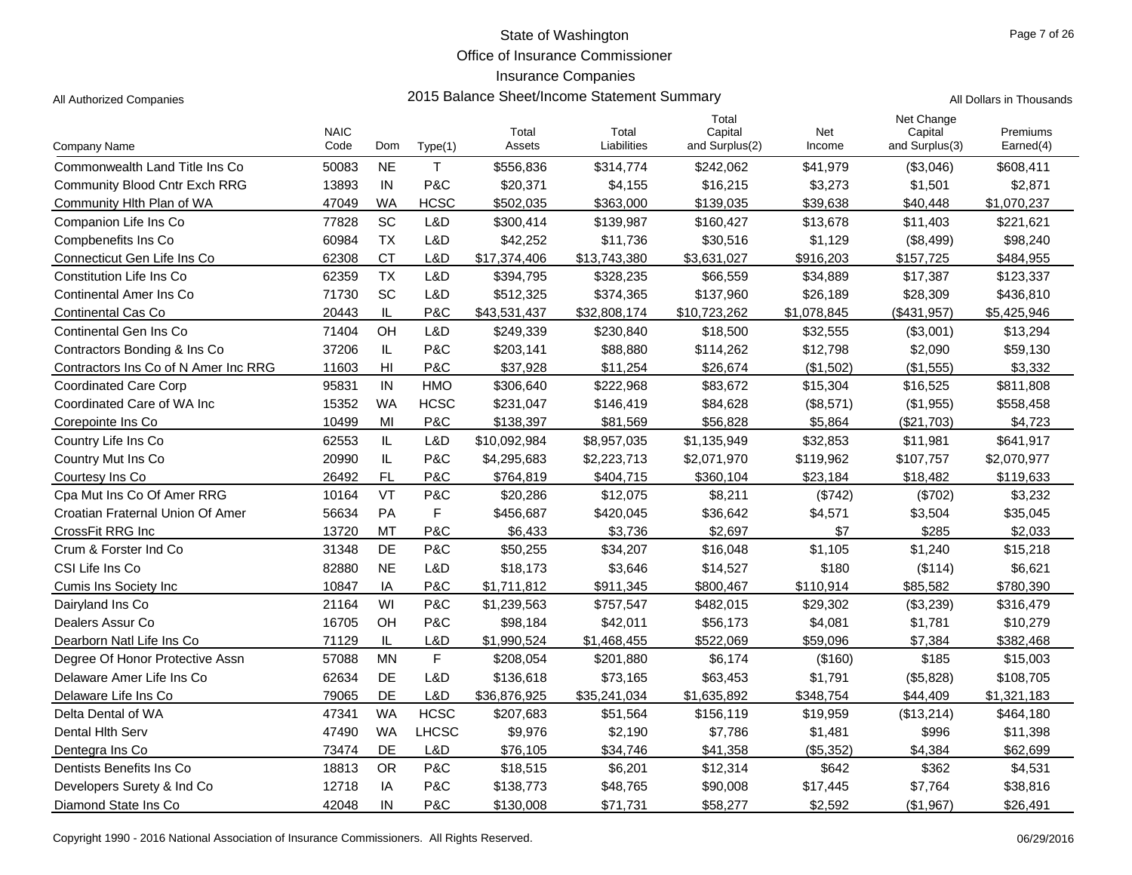Office of Insurance Commissioner

## Insurance Companies

| $\sim$ $\sim$ | $\sim$ $\sim$ $\sim$ |  |  |
|---------------|----------------------|--|--|

|                                      |                     |                 |              |                 |                      | Total                     |               | Net Change                |                       |
|--------------------------------------|---------------------|-----------------|--------------|-----------------|----------------------|---------------------------|---------------|---------------------------|-----------------------|
| <b>Company Name</b>                  | <b>NAIC</b><br>Code | Dom             | Type(1)      | Total<br>Assets | Total<br>Liabilities | Capital<br>and Surplus(2) | Net<br>Income | Capital<br>and Surplus(3) | Premiums<br>Earned(4) |
| Commonwealth Land Title Ins Co       | 50083               | <b>NE</b>       | T.           | \$556,836       | \$314,774            | \$242,062                 | \$41,979      | (\$3,046)                 | \$608,411             |
| <b>Community Blood Cntr Exch RRG</b> | 13893               | IN              | P&C          | \$20,371        | \$4,155              | \$16,215                  | \$3,273       | \$1,501                   | \$2,871               |
| Community Hith Plan of WA            | 47049               | <b>WA</b>       | <b>HCSC</b>  | \$502,035       | \$363,000            | \$139,035                 | \$39,638      | \$40,448                  | \$1,070,237           |
| Companion Life Ins Co                | 77828               | SC              | L&D          | \$300,414       | \$139,987            | \$160,427                 | \$13,678      | \$11,403                  | \$221,621             |
| Compbenefits Ins Co                  | 60984               | <b>TX</b>       | L&D          | \$42,252        | \$11,736             | \$30,516                  | \$1,129       | (\$8,499)                 | \$98,240              |
| Connecticut Gen Life Ins Co          | 62308               | <b>CT</b>       | L&D          | \$17,374,406    | \$13,743,380         | \$3,631,027               | \$916,203     | \$157,725                 | \$484,955             |
| <b>Constitution Life Ins Co</b>      | 62359               | <b>TX</b>       | L&D          | \$394,795       | \$328,235            | \$66,559                  | \$34,889      | \$17,387                  | \$123,337             |
| <b>Continental Amer Ins Co</b>       | 71730               | <b>SC</b>       | L&D          | \$512,325       | \$374,365            | \$137,960                 | \$26,189      | \$28,309                  | \$436,810             |
| <b>Continental Cas Co</b>            | 20443               | IL              | P&C          | \$43,531,437    | \$32,808,174         | \$10,723,262              | \$1,078,845   | (\$431,957)               | \$5,425,946           |
| Continental Gen Ins Co               | 71404               | OH              | L&D          | \$249,339       | \$230,840            | \$18,500                  | \$32,555      | (\$3,001)                 | \$13,294              |
| Contractors Bonding & Ins Co         | 37206               | IL              | P&C          | \$203,141       | \$88,880             | \$114,262                 | \$12,798      | \$2,090                   | \$59,130              |
| Contractors Ins Co of N Amer Inc RRG | 11603               | H <sub>II</sub> | P&C          | \$37,928        | \$11,254             | \$26,674                  | (\$1,502)     | (\$1,555)                 | \$3,332               |
| <b>Coordinated Care Corp</b>         | 95831               | IN              | <b>HMO</b>   | \$306,640       | \$222,968            | \$83,672                  | \$15,304      | \$16,525                  | \$811,808             |
| Coordinated Care of WA Inc           | 15352               | <b>WA</b>       | <b>HCSC</b>  | \$231,047       | \$146,419            | \$84,628                  | (\$8,571)     | (\$1,955)                 | \$558,458             |
| Corepointe Ins Co.                   | 10499               | MI              | P&C          | \$138,397       | \$81,569             | \$56,828                  | \$5.864       | (\$21,703)                | \$4.723               |
| Country Life Ins Co                  | 62553               | IL              | L&D          | \$10,092,984    | \$8,957,035          | \$1,135,949               | \$32,853      | \$11,981                  | \$641,917             |
| Country Mut Ins Co                   | 20990               | IL              | P&C          | \$4,295,683     | \$2,223,713          | \$2,071,970               | \$119,962     | \$107,757                 | \$2,070,977           |
| Courtesy Ins Co                      | 26492               | FL              | P&C          | \$764,819       | \$404,715            | \$360,104                 | \$23,184      | \$18,482                  | \$119,633             |
| Cpa Mut Ins Co Of Amer RRG           | 10164               | <b>VT</b>       | P&C          | \$20,286        | \$12,075             | \$8,211                   | (\$742)       | (\$702)                   | \$3,232               |
| Croatian Fraternal Union Of Amer     | 56634               | PA              | F            | \$456,687       | \$420,045            | \$36,642                  | \$4,571       | \$3,504                   | \$35,045              |
| CrossFit RRG Inc                     | 13720               | <b>MT</b>       | P&C          | \$6,433         | \$3.736              | \$2,697                   | \$7           | \$285                     | \$2,033               |
| Crum & Forster Ind Co.               | 31348               | DE              | P&C          | \$50,255        | \$34,207             | \$16,048                  | \$1,105       | \$1,240                   | \$15,218              |
| CSI Life Ins Co                      | 82880               | <b>NE</b>       | L&D          | \$18,173        | \$3,646              | \$14,527                  | \$180         | (\$114)                   | \$6,621               |
| Cumis Ins Society Inc                | 10847               | IA              | P&C          | \$1,711,812     | \$911,345            | \$800,467                 | \$110,914     | \$85,582                  | \$780,390             |
| Dairyland Ins Co                     | 21164               | WI              | P&C          | \$1,239,563     | \$757,547            | \$482,015                 | \$29,302      | (\$3,239)                 | \$316,479             |
| Dealers Assur Co                     | 16705               | OH              | P&C          | \$98,184        | \$42,011             | \$56,173                  | \$4,081       | \$1,781                   | \$10,279              |
| Dearborn Natl Life Ins Co            | 71129               | IL              | L&D          | \$1,990,524     | \$1,468,455          | \$522,069                 | \$59,096      | \$7,384                   | \$382,468             |
| Degree Of Honor Protective Assn      | 57088               | <b>MN</b>       | F            | \$208,054       | \$201,880            | \$6,174                   | (\$160)       | \$185                     | \$15,003              |
| Delaware Amer Life Ins Co            | 62634               | DE              | L&D          | \$136,618       | \$73,165             | \$63,453                  | \$1,791       | (\$5,828)                 | \$108,705             |
| Delaware Life Ins Co                 | 79065               | DE              | L&D          | \$36,876,925    | \$35,241,034         | \$1,635,892               | \$348,754     | \$44,409                  | \$1,321,183           |
| Delta Dental of WA                   | 47341               | <b>WA</b>       | <b>HCSC</b>  | \$207,683       | \$51,564             | \$156,119                 | \$19,959      | (\$13,214)                | \$464,180             |
| Dental Hith Serv                     | 47490               | <b>WA</b>       | <b>LHCSC</b> | \$9,976         | \$2,190              | \$7,786                   | \$1,481       | \$996                     | \$11,398              |
| Dentegra Ins Co                      | 73474               | DE              | L&D          | \$76,105        | \$34,746             | \$41,358                  | (\$5,352)     | \$4,384                   | \$62,699              |
| Dentists Benefits Ins Co             | 18813               | <b>OR</b>       | P&C          | \$18,515        | \$6,201              | \$12,314                  | \$642         | \$362                     | \$4,531               |
| Developers Surety & Ind Co           | 12718               | IA              | P&C          | \$138,773       | \$48,765             | \$90,008                  | \$17,445      | \$7,764                   | \$38,816              |
| Diamond State Ins Co                 | 42048               | IN              | P&C          | \$130,008       | \$71,731             | \$58,277                  | \$2,592       | (\$1,967)                 | \$26,491              |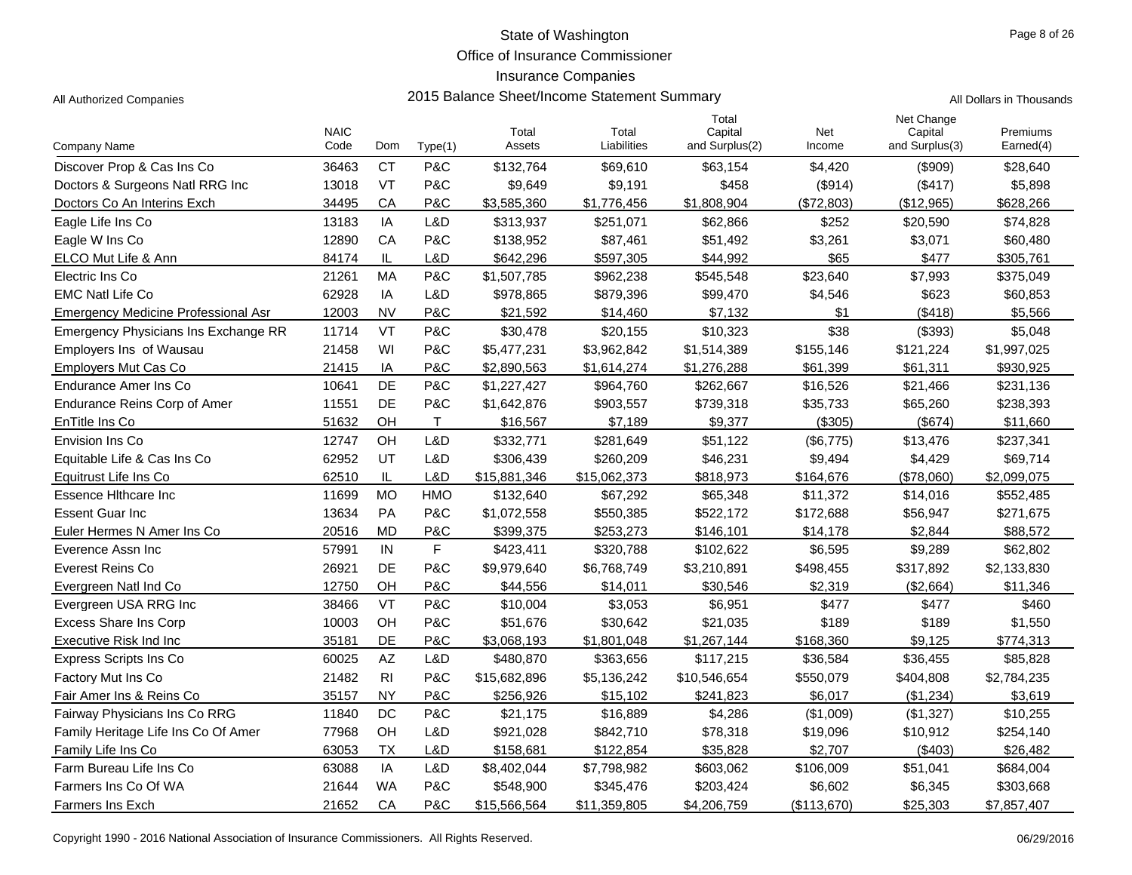Office of Insurance Commissioner

Total

#### Insurance Companies

All Authorized Companies **2015 Balance Sheet/Income Statement Summary** All Dollars in Thousands

| Company Name                               | <b>NAIC</b><br>Code | Dom            | Type(1)      | Total<br>Assets | Total<br>Liabilities | Capital<br>and Surplus(2) | Net<br>Income | Capital<br>and Surplus(3) | Premiums<br>Earned(4) |
|--------------------------------------------|---------------------|----------------|--------------|-----------------|----------------------|---------------------------|---------------|---------------------------|-----------------------|
| Discover Prop & Cas Ins Co                 | 36463               | <b>CT</b>      | P&C          | \$132,764       | \$69,610             | \$63,154                  | \$4,420       | (\$909)                   | \$28,640              |
| Doctors & Surgeons Natl RRG Inc            | 13018               | VT             | P&C          | \$9,649         | \$9,191              | \$458                     | (\$914)       | (\$417)                   | \$5,898               |
| Doctors Co An Interins Exch                | 34495               | CA             | P&C          | \$3,585,360     | \$1,776,456          | \$1,808,904               | (\$72,803)    | (\$12,965)                | \$628,266             |
| Eagle Life Ins Co                          | 13183               | IA             | L&D          | \$313,937       | \$251,071            | \$62,866                  | \$252         | \$20,590                  | \$74,828              |
| Eagle W Ins Co                             | 12890               | CA             | P&C          | \$138,952       | \$87,461             | \$51,492                  | \$3,261       | \$3,071                   | \$60,480              |
| ELCO Mut Life & Ann                        | 84174               | IL             | L&D          | \$642,296       | \$597,305            | \$44,992                  | \$65          | \$477                     | \$305,761             |
| Electric Ins Co                            | 21261               | MA             | P&C          | \$1,507,785     | \$962,238            | \$545,548                 | \$23,640      | \$7,993                   | \$375,049             |
| <b>EMC Natl Life Co</b>                    | 62928               | IA             | L&D          | \$978,865       | \$879,396            | \$99,470                  | \$4,546       | \$623                     | \$60,853              |
| <b>Emergency Medicine Professional Asr</b> | 12003               | <b>NV</b>      | P&C          | \$21,592        | \$14,460             | \$7,132                   | \$1           | (\$418)                   | \$5,566               |
| Emergency Physicians Ins Exchange RR       | 11714               | VT             | P&C          | \$30,478        | \$20,155             | \$10,323                  | \$38          | (\$393)                   | \$5,048               |
| Employers Ins of Wausau                    | 21458               | WI             | P&C          | \$5,477,231     | \$3,962,842          | \$1,514,389               | \$155,146     | \$121,224                 | \$1,997,025           |
| Employers Mut Cas Co                       | 21415               | IA             | P&C          | \$2,890,563     | \$1,614,274          | \$1,276,288               | \$61,399      | \$61,311                  | \$930,925             |
| Endurance Amer Ins Co                      | 10641               | DE             | P&C          | \$1,227,427     | \$964,760            | \$262,667                 | \$16,526      | \$21,466                  | \$231,136             |
| <b>Endurance Reins Corp of Amer</b>        | 11551               | DE             | P&C          | \$1,642,876     | \$903,557            | \$739,318                 | \$35,733      | \$65,260                  | \$238,393             |
| EnTitle Ins Co                             | 51632               | OH             | $\mathsf{T}$ | \$16,567        | \$7,189              | \$9,377                   | (\$305)       | (\$674)                   | \$11,660              |
| Envision Ins Co                            | 12747               | OH             | L&D          | \$332,771       | \$281,649            | \$51,122                  | (\$6,775)     | \$13,476                  | \$237,341             |
| Equitable Life & Cas Ins Co                | 62952               | UT             | L&D          | \$306,439       | \$260,209            | \$46,231                  | \$9,494       | \$4,429                   | \$69,714              |
| Equitrust Life Ins Co                      | 62510               | IL             | L&D          | \$15,881,346    | \$15,062,373         | \$818,973                 | \$164,676     | (\$78,060)                | \$2,099,075           |
| <b>Essence Hithcare Inc</b>                | 11699               | <b>MO</b>      | <b>HMO</b>   | \$132,640       | \$67,292             | \$65,348                  | \$11,372      | \$14,016                  | \$552,485             |
| <b>Essent Guar Inc</b>                     | 13634               | PA             | P&C          | \$1,072,558     | \$550,385            | \$522,172                 | \$172,688     | \$56,947                  | \$271,675             |
| Euler Hermes N Amer Ins Co                 | 20516               | <b>MD</b>      | P&C          | \$399,375       | \$253,273            | \$146,101                 | \$14,178      | \$2,844                   | \$88,572              |
| Everence Assn Inc                          | 57991               | IN             | $\mathsf F$  | \$423,411       | \$320,788            | \$102,622                 | \$6,595       | \$9,289                   | \$62,802              |
| Everest Reins Co                           | 26921               | DE             | P&C          | \$9,979,640     | \$6,768,749          | \$3,210,891               | \$498,455     | \$317,892                 | \$2,133,830           |
| Evergreen Natl Ind Co                      | 12750               | OH             | P&C          | \$44,556        | \$14,011             | \$30,546                  | \$2,319       | (\$2,664)                 | \$11,346              |
| Evergreen USA RRG Inc                      | 38466               | VT             | P&C          | \$10,004        | \$3,053              | \$6,951                   | \$477         | \$477                     | \$460                 |
| <b>Excess Share Ins Corp</b>               | 10003               | OH             | P&C          | \$51,676        | \$30,642             | \$21,035                  | \$189         | \$189                     | \$1,550               |
| Executive Risk Ind Inc                     | 35181               | DE             | P&C          | \$3,068,193     | \$1,801,048          | \$1,267,144               | \$168,360     | \$9,125                   | \$774,313             |
| <b>Express Scripts Ins Co</b>              | 60025               | AZ             | L&D          | \$480,870       | \$363,656            | \$117,215                 | \$36,584      | \$36,455                  | \$85,828              |
| Factory Mut Ins Co                         | 21482               | R <sub>l</sub> | P&C          | \$15,682,896    | \$5,136,242          | \$10,546,654              | \$550,079     | \$404,808                 | \$2,784,235           |
| Fair Amer Ins & Reins Co                   | 35157               | NY             | P&C          | \$256,926       | \$15,102             | \$241,823                 | \$6,017       | (\$1,234)                 | \$3,619               |
| Fairway Physicians Ins Co RRG              | 11840               | DC             | P&C          | \$21,175        | \$16,889             | \$4,286                   | (\$1,009)     | (\$1,327)                 | \$10,255              |
| Family Heritage Life Ins Co Of Amer        | 77968               | OH             | L&D          | \$921,028       | \$842,710            | \$78,318                  | \$19,096      | \$10,912                  | \$254,140             |
| Family Life Ins Co                         | 63053               | ТX             | L&D          | \$158,681       | \$122,854            | \$35,828                  | \$2,707       | ( \$403)                  | \$26,482              |
| Farm Bureau Life Ins Co                    | 63088               | IA             | L&D          | \$8,402,044     | \$7,798,982          | \$603,062                 | \$106,009     | \$51,041                  | \$684,004             |
| Farmers Ins Co Of WA                       | 21644               | <b>WA</b>      | P&C          | \$548,900       | \$345,476            | \$203,424                 | \$6,602       | \$6,345                   | \$303,668             |

Farmers Ins Exch 21652 P&C \$15 CA ,566,564 \$11,359,805 \$4,206,759 (\$113,670) \$25,303 \$7,857,407

Net Change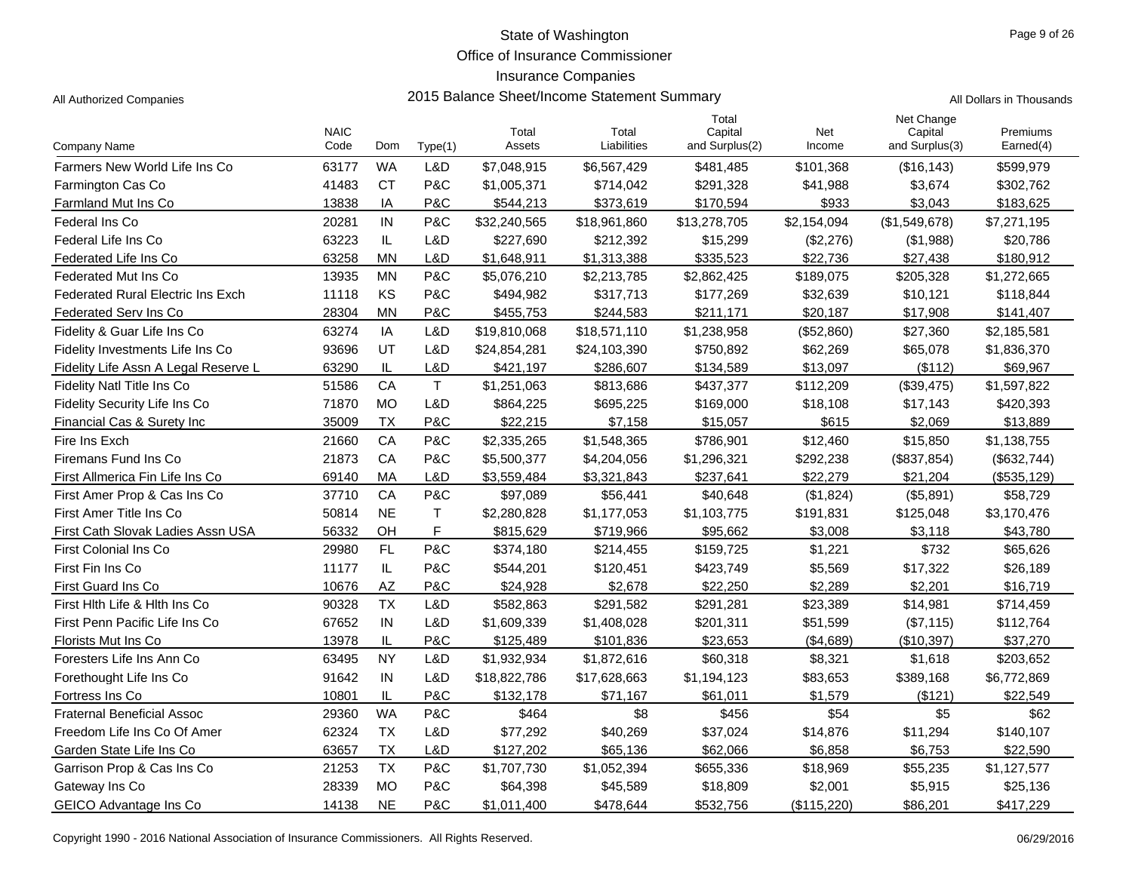Office of Insurance Commissioner

## Insurance Companies

Company Name

|                                      |                     |           |              |                 | mourance Companies                          |                                    |               |                                         |                          |  |
|--------------------------------------|---------------------|-----------|--------------|-----------------|---------------------------------------------|------------------------------------|---------------|-----------------------------------------|--------------------------|--|
| All Authorized Companies             |                     |           |              |                 | 2015 Balance Sheet/Income Statement Summary |                                    |               |                                         | All Dollars in Thousands |  |
| Company Name                         | <b>NAIC</b><br>Code | Dom       | Type(1)      | Total<br>Assets | Total<br>Liabilities                        | Total<br>Capital<br>and Surplus(2) | Net<br>Income | Net Change<br>Capital<br>and Surplus(3) | Premiums<br>Earned(4)    |  |
| Farmers New World Life Ins Co        | 63177               | <b>WA</b> | L&D          | \$7,048,915     | \$6,567,429                                 | \$481,485                          | \$101,368     | (\$16, 143)                             | \$599,979                |  |
| Farmington Cas Co                    | 41483               | <b>CT</b> | P&C          | \$1,005,371     | \$714,042                                   | \$291,328                          | \$41,988      | \$3,674                                 | \$302,762                |  |
| Farmland Mut Ins Co                  | 13838               | IA        | P&C          | \$544,213       | \$373,619                                   | \$170,594                          | \$933         | \$3,043                                 | \$183,625                |  |
| Federal Ins Co                       | 20281               | IN        | P&C          | \$32,240,565    | \$18,961,860                                | \$13,278,705                       | \$2,154,094   | (\$1,549,678)                           | \$7,271,195              |  |
| Federal Life Ins Co                  | 63223               | IL.       | L&D          | \$227,690       | \$212,392                                   | \$15,299                           | (\$2,276)     | (\$1,988)                               | \$20,786                 |  |
| Federated Life Ins Co                | 63258               | <b>MN</b> | L&D          | \$1,648,911     | \$1,313,388                                 | \$335,523                          | \$22,736      | \$27,438                                | \$180,912                |  |
| Federated Mut Ins Co                 | 13935               | <b>MN</b> | P&C          | \$5,076,210     | \$2,213,785                                 | \$2,862,425                        | \$189,075     | \$205,328                               | \$1,272,665              |  |
| Federated Rural Electric Ins Exch    | 11118               | <b>KS</b> | P&C          | \$494,982       | \$317,713                                   | \$177,269                          | \$32,639      | \$10,121                                | \$118,844                |  |
| Federated Serv Ins Co                | 28304               | MN        | P&C          | \$455,753       | \$244,583                                   | \$211,171                          | \$20,187      | \$17,908                                | \$141,407                |  |
| Fidelity & Guar Life Ins Co          | 63274               | IA        | L&D          | \$19,810,068    | \$18,571,110                                | \$1,238,958                        | (\$52,860)    | \$27,360                                | \$2,185,581              |  |
| Fidelity Investments Life Ins Co     | 93696               | UT        | L&D          | \$24,854,281    | \$24,103,390                                | \$750,892                          | \$62,269      | \$65,078                                | \$1,836,370              |  |
| Fidelity Life Assn A Legal Reserve L | 63290               | IL        | L&D          | \$421,197       | \$286,607                                   | \$134,589                          | \$13,097      | (\$112)                                 | \$69,967                 |  |
| Fidelity Natl Title Ins Co           | 51586               | CA        | $\mathsf{T}$ | \$1,251,063     | \$813,686                                   | \$437,377                          | \$112,209     | (\$39,475)                              | \$1,597,822              |  |
| Fidelity Security Life Ins Co        | 71870               | <b>MO</b> | L&D          | \$864,225       | \$695,225                                   | \$169,000                          | \$18,108      | \$17,143                                | \$420,393                |  |
| Financial Cas & Surety Inc           | 35009               | <b>TX</b> | P&C          | \$22,215        | \$7,158                                     | \$15,057                           | \$615         | \$2,069                                 | \$13,889                 |  |
| Fire Ins Exch                        | 21660               | CA        | P&C          | \$2,335,265     | \$1,548,365                                 | \$786,901                          | \$12,460      | \$15,850                                | \$1,138,755              |  |
| Firemans Fund Ins Co                 | 21873               | CA        | P&C          | \$5,500,377     | \$4,204,056                                 | \$1,296,321                        | \$292,238     | (\$837,854)                             | (\$632,744)              |  |
| First Allmerica Fin Life Ins Co      | 69140               | MA        | L&D          | \$3,559,484     | \$3,321,843                                 | \$237,641                          | \$22,279      | \$21,204                                | (\$535,129)              |  |
| First Amer Prop & Cas Ins Co         | 37710               | CA        | P&C          | \$97,089        | \$56,441                                    | \$40,648                           | (\$1,824)     | (\$5,891)                               | \$58,729                 |  |
| First Amer Title Ins Co              | 50814               | <b>NE</b> | $\mathsf{T}$ | \$2,280,828     | \$1,177,053                                 | \$1,103,775                        | \$191,831     | \$125,048                               | \$3,170,476              |  |
| First Cath Slovak Ladies Assn USA    | 56332               | <b>OH</b> | F            | \$815,629       | \$719,966                                   | \$95,662                           | \$3,008       | \$3,118                                 | \$43,780                 |  |
| First Colonial Ins Co                | 29980               | FL        | P&C          | \$374,180       | \$214,455                                   | \$159,725                          | \$1,221       | \$732                                   | \$65,626                 |  |
| First Fin Ins Co                     | 11177               | IL        | P&C          | \$544,201       | \$120,451                                   | \$423,749                          | \$5,569       | \$17,322                                | \$26,189                 |  |
| First Guard Ins Co                   | 10676               | AZ        | P&C          | \$24,928        | \$2,678                                     | \$22,250                           | \$2,289       | \$2,201                                 | \$16,719                 |  |
|                                      |                     |           |              |                 |                                             |                                    |               |                                         |                          |  |

| <b>Fidelity Security Life Ins Co</b> | 71870 | MO        | L&D | \$864,225    | \$695,225    | \$169,000   | \$18,108    | \$17,143     | \$420,393    |
|--------------------------------------|-------|-----------|-----|--------------|--------------|-------------|-------------|--------------|--------------|
| Financial Cas & Surety Inc           | 35009 | <b>TX</b> | P&C | \$22,215     | \$7,158      | \$15,057    | \$615       | \$2,069      | \$13,889     |
| Fire Ins Exch                        | 21660 | CA        | P&C | \$2,335,265  | \$1,548,365  | \$786,901   | \$12,460    | \$15,850     | \$1,138,755  |
| Firemans Fund Ins Co                 | 21873 | <b>CA</b> | P&C | \$5,500,377  | \$4,204,056  | \$1,296,321 | \$292,238   | (\$837, 854) | (\$632,744)  |
| First Allmerica Fin Life Ins Co      | 69140 | <b>MA</b> | L&D | \$3,559,484  | \$3,321,843  | \$237,641   | \$22,279    | \$21,204     | (\$535, 129) |
| First Amer Prop & Cas Ins Co         | 37710 | CA        | P&C | \$97,089     | \$56,441     | \$40,648    | (\$1,824)   | (\$5,891)    | \$58,729     |
| First Amer Title Ins Co              | 50814 | <b>NE</b> |     | \$2,280,828  | \$1,177,053  | \$1,103,775 | \$191,831   | \$125,048    | \$3,170,476  |
| First Cath Slovak Ladies Assn USA    | 56332 | OH        | F   | \$815,629    | \$719,966    | \$95,662    | \$3,008     | \$3,118      | \$43,780     |
| <b>First Colonial Ins Co</b>         | 29980 | <b>FL</b> | P&C | \$374,180    | \$214,455    | \$159,725   | \$1,221     | \$732        | \$65,626     |
| First Fin Ins Co                     | 11177 | IL        | P&C | \$544,201    | \$120,451    | \$423,749   | \$5,569     | \$17,322     | \$26,189     |
| First Guard Ins Co                   | 10676 | AZ        | P&C | \$24,928     | \$2,678      | \$22,250    | \$2,289     | \$2,201      | \$16,719     |
| First Hith Life & Hith Ins Co.       | 90328 | TX        | L&D | \$582,863    | \$291,582    | \$291,281   | \$23,389    | \$14,981     | \$714,459    |
| First Penn Pacific Life Ins Co       | 67652 | IN        | L&D | \$1,609,339  | \$1,408,028  | \$201,311   | \$51,599    | (\$7,115)    | \$112,764    |
| Florists Mut Ins Co                  | 13978 | IL        | P&C | \$125,489    | \$101,836    | \$23,653    | (\$4,689)   | (\$10,397)   | \$37,270     |
| Foresters Life Ins Ann Co            | 63495 | <b>NY</b> | L&D | \$1,932,934  | \$1,872,616  | \$60,318    | \$8,321     | \$1,618      | \$203,652    |
| Forethought Life Ins Co.             | 91642 | IN        | L&D | \$18,822,786 | \$17,628,663 | \$1,194,123 | \$83,653    | \$389,168    | \$6,772,869  |
| Fortress Ins Co                      | 10801 | IL        | P&C | \$132,178    | \$71,167     | \$61,011    | \$1,579     | (\$121)      | \$22,549     |
| <b>Fraternal Beneficial Assoc</b>    | 29360 | <b>WA</b> | P&C | \$464        | \$8          | \$456       | \$54        | \$5          | \$62         |
| Freedom Life Ins Co Of Amer          | 62324 | <b>TX</b> | L&D | \$77,292     | \$40,269     | \$37,024    | \$14,876    | \$11,294     | \$140,107    |
| Garden State Life Ins Co             | 63657 | ТX        | L&D | \$127,202    | \$65,136     | \$62,066    | \$6,858     | \$6,753      | \$22,590     |
| Garrison Prop & Cas Ins Co           | 21253 | ТX        | P&C | \$1,707,730  | \$1,052,394  | \$655,336   | \$18,969    | \$55,235     | \$1,127,577  |
| Gateway Ins Co                       | 28339 | <b>MO</b> | P&C | \$64,398     | \$45,589     | \$18,809    | \$2,001     | \$5,915      | \$25,136     |
| GEICO Advantage Ins Co               | 14138 | <b>NE</b> | P&C | \$1,011,400  | \$478,644    | \$532,756   | (\$115,220) | \$86,201     | \$417,229    |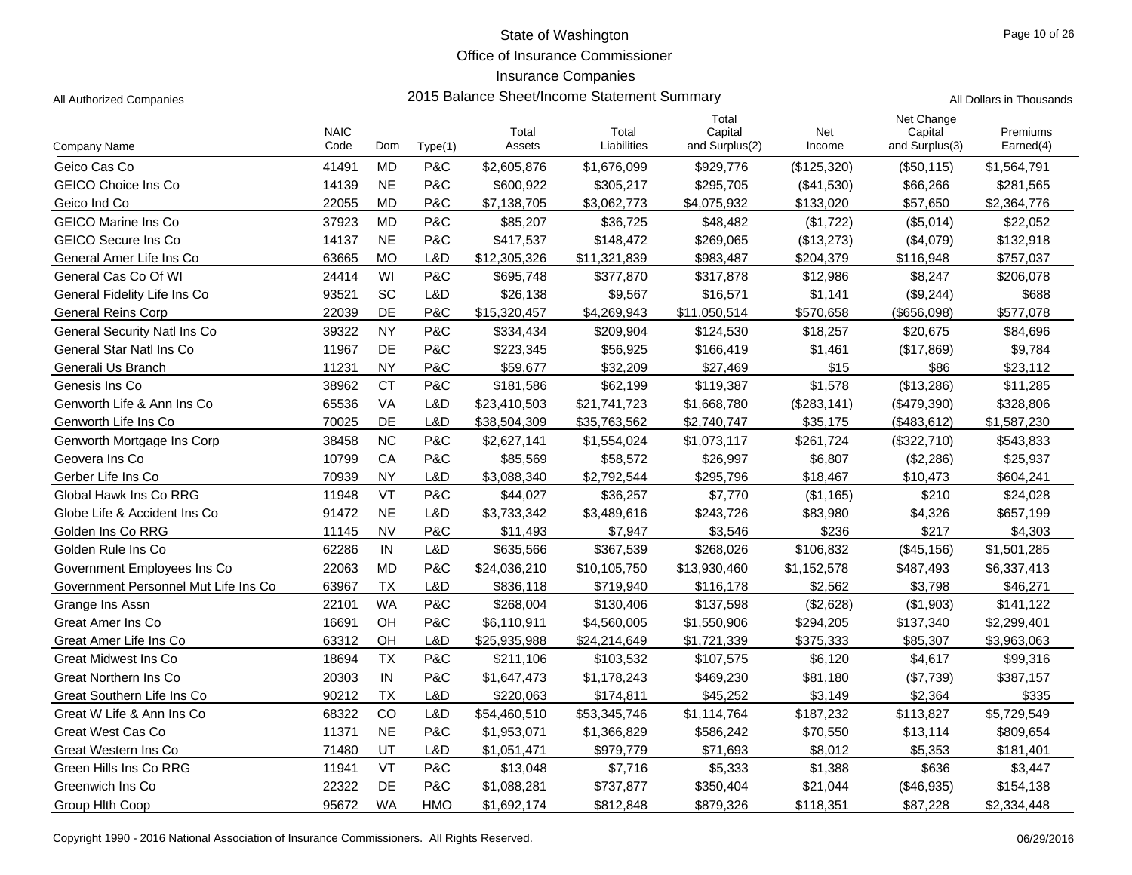Office of Insurance Commissioner

## Insurance Companies

| Page 10 of 26 |  |  |
|---------------|--|--|
|               |  |  |

|                                      | <b>NAIC</b> |           |            | Total        | Total        | Total<br>Capital | Net         | Net Change<br>Capital | Premiums    |
|--------------------------------------|-------------|-----------|------------|--------------|--------------|------------------|-------------|-----------------------|-------------|
| Company Name                         | Code        | Dom       | Type(1)    | Assets       | Liabilities  | and Surplus(2)   | Income      | and Surplus(3)        | Earned(4)   |
| Geico Cas Co                         | 41491       | <b>MD</b> | P&C        | \$2,605,876  | \$1,676,099  | \$929,776        | (\$125,320) | (\$50, 115)           | \$1,564,791 |
| <b>GEICO Choice Ins Co</b>           | 14139       | <b>NE</b> | P&C        | \$600,922    | \$305,217    | \$295,705        | (\$41,530)  | \$66,266              | \$281,565   |
| Geico Ind Co                         | 22055       | <b>MD</b> | P&C        | \$7,138,705  | \$3,062,773  | \$4,075,932      | \$133,020   | \$57,650              | \$2,364,776 |
| <b>GEICO Marine Ins Co</b>           | 37923       | <b>MD</b> | P&C        | \$85,207     | \$36,725     | \$48,482         | (\$1,722)   | (\$5,014)             | \$22,052    |
| <b>GEICO Secure Ins Co</b>           | 14137       | <b>NE</b> | P&C        | \$417,537    | \$148,472    | \$269,065        | (\$13,273)  | (\$4,079)             | \$132,918   |
| General Amer Life Ins Co             | 63665       | <b>MO</b> | L&D        | \$12,305,326 | \$11,321,839 | \$983,487        | \$204,379   | \$116,948             | \$757,037   |
| General Cas Co Of WI                 | 24414       | WI        | P&C        | \$695,748    | \$377,870    | \$317,878        | \$12,986    | \$8,247               | \$206,078   |
| General Fidelity Life Ins Co         | 93521       | SC        | L&D        | \$26,138     | \$9,567      | \$16,571         | \$1,141     | (\$9,244)             | \$688       |
| <b>General Reins Corp</b>            | 22039       | <b>DE</b> | P&C        | \$15,320,457 | \$4,269,943  | \$11,050,514     | \$570.658   | $($ \$656,098)        | \$577,078   |
| <b>General Security Natl Ins Co</b>  | 39322       | <b>NY</b> | P&C        | \$334,434    | \$209,904    | \$124,530        | \$18,257    | \$20,675              | \$84,696    |
| General Star Natl Ins Co             | 11967       | DE        | P&C        | \$223,345    | \$56,925     | \$166,419        | \$1,461     | (\$17,869)            | \$9,784     |
| Generali Us Branch                   | 11231       | <b>NY</b> | P&C        | \$59,677     | \$32,209     | \$27,469         | \$15        | \$86                  | \$23,112    |
| Genesis Ins Co                       | 38962       | <b>CT</b> | P&C        | \$181,586    | \$62,199     | \$119,387        | \$1,578     | (\$13,286)            | \$11,285    |
| Genworth Life & Ann Ins Co           | 65536       | <b>VA</b> | L&D        | \$23,410,503 | \$21,741,723 | \$1,668,780      | (\$283,141) | (\$479,390)           | \$328,806   |
| Genworth Life Ins Co                 | 70025       | DE        | L&D        | \$38.504.309 | \$35,763,562 | \$2,740,747      | \$35,175    | (\$483,612)           | \$1,587,230 |
| Genworth Mortgage Ins Corp           | 38458       | <b>NC</b> | P&C        | \$2,627,141  | \$1,554,024  | \$1,073,117      | \$261,724   | (\$322,710)           | \$543,833   |
| Geovera Ins Co                       | 10799       | CA        | P&C        | \$85,569     | \$58,572     | \$26,997         | \$6,807     | (\$2,286)             | \$25,937    |
| Gerber Life Ins Co                   | 70939       | <b>NY</b> | L&D        | \$3,088,340  | \$2,792,544  | \$295,796        | \$18,467    | \$10,473              | \$604,241   |
| Global Hawk Ins Co RRG               | 11948       | VT        | P&C        | \$44,027     | \$36,257     | \$7,770          | (\$1,165)   | \$210                 | \$24,028    |
| Globe Life & Accident Ins Co         | 91472       | <b>NE</b> | L&D        | \$3,733,342  | \$3,489,616  | \$243,726        | \$83,980    | \$4,326               | \$657,199   |
| Golden Ins Co RRG                    | 11145       | <b>NV</b> | P&C        | \$11,493     | \$7,947      | \$3,546          | \$236       | \$217                 | \$4,303     |
| Golden Rule Ins Co                   | 62286       | IN        | L&D        | \$635,566    | \$367,539    | \$268,026        | \$106,832   | (\$45,156)            | \$1,501,285 |
| Government Employees Ins Co          | 22063       | <b>MD</b> | P&C        | \$24,036,210 | \$10,105,750 | \$13,930,460     | \$1,152,578 | \$487,493             | \$6,337,413 |
| Government Personnel Mut Life Ins Co | 63967       | <b>TX</b> | L&D        | \$836,118    | \$719,940    | \$116,178        | \$2,562     | \$3,798               | \$46,271    |
| Grange Ins Assn                      | 22101       | <b>WA</b> | P&C        | \$268,004    | \$130,406    | \$137,598        | (\$2,628)   | (\$1,903)             | \$141,122   |
| Great Amer Ins Co                    | 16691       | OH        | P&C        | \$6,110,911  | \$4,560,005  | \$1,550,906      | \$294,205   | \$137,340             | \$2,299,401 |
| Great Amer Life Ins Co               | 63312       | OH        | L&D        | \$25,935,988 | \$24,214,649 | \$1,721,339      | \$375,333   | \$85,307              | \$3,963,063 |
| <b>Great Midwest Ins Co</b>          | 18694       | <b>TX</b> | P&C        | \$211,106    | \$103,532    | \$107,575        | \$6,120     | \$4,617               | \$99,316    |
| <b>Great Northern Ins Co</b>         | 20303       | IN        | P&C        | \$1,647,473  | \$1,178,243  | \$469,230        | \$81,180    | (\$7,739)             | \$387,157   |
| Great Southern Life Ins Co           | 90212       | <b>TX</b> | L&D        | \$220,063    | \$174,811    | \$45,252         | \$3,149     | \$2,364               | \$335       |
| Great W Life & Ann Ins Co            | 68322       | CO        | L&D        | \$54,460,510 | \$53,345,746 | \$1,114,764      | \$187,232   | \$113,827             | \$5,729,549 |
| <b>Great West Cas Co</b>             | 11371       | <b>NE</b> | P&C        | \$1,953,071  | \$1,366,829  | \$586,242        | \$70,550    | \$13,114              | \$809,654   |
| Great Western Ins Co.                | 71480       | UT        | L&D        | \$1,051,471  | \$979,779    | \$71,693         | \$8,012     | \$5,353               | \$181,401   |
| Green Hills Ins Co RRG               | 11941       | VT        | P&C        | \$13,048     | \$7,716      | \$5,333          | \$1,388     | \$636                 | \$3,447     |
| Greenwich Ins Co                     | 22322       | DE        | P&C        | \$1,088,281  | \$737,877    | \$350,404        | \$21,044    | (\$46,935)            | \$154,138   |
| Group Hith Coop                      | 95672       | <b>WA</b> | <b>HMO</b> | \$1,692,174  | \$812,848    | \$879,326        | \$118,351   | \$87,228              | \$2,334,448 |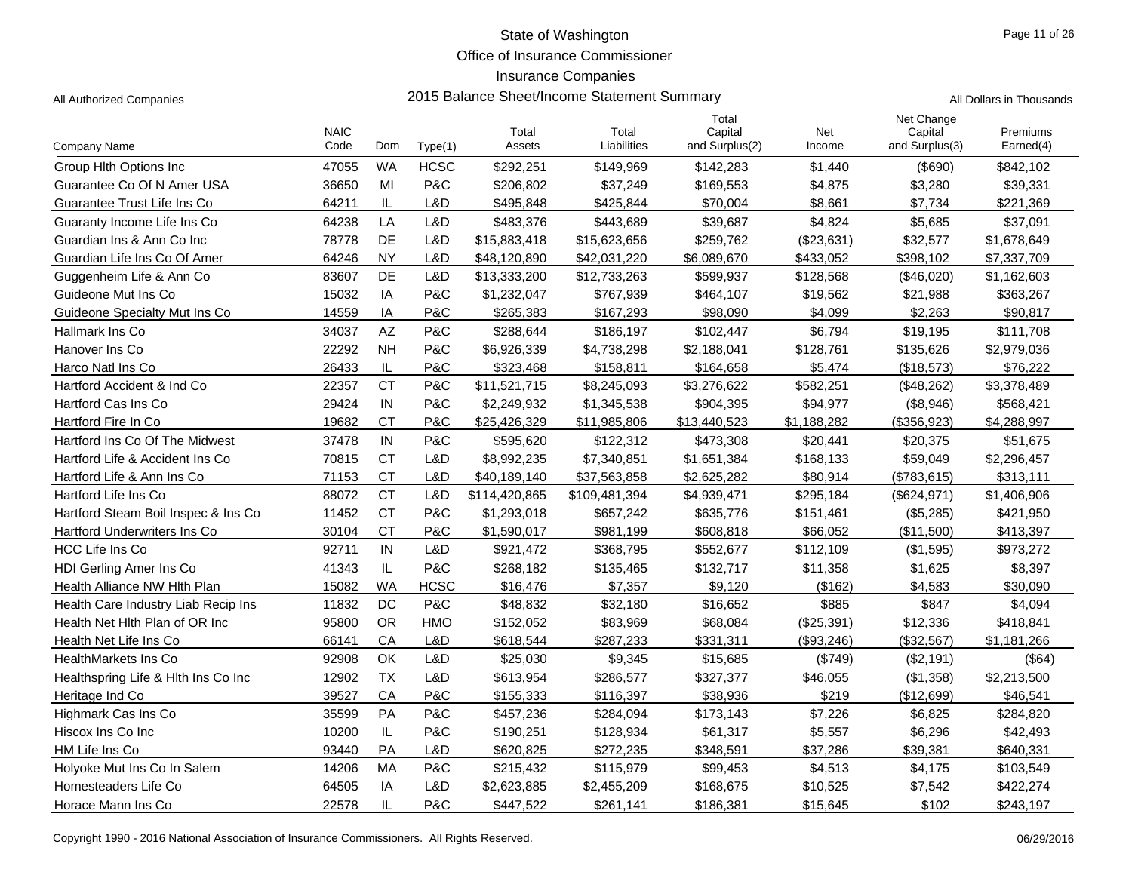Office of Insurance Commissioner

## Insurance Companies

|  | Il Dollars in Thousands |  |
|--|-------------------------|--|

|                                     | <b>NAIC</b> |           |             | Total         | Total         | Total<br>Capital | Net         | Net Change<br>Capital | Premiums    |
|-------------------------------------|-------------|-----------|-------------|---------------|---------------|------------------|-------------|-----------------------|-------------|
| Company Name                        | Code        | Dom       | Type(1)     | Assets        | Liabilities   | and Surplus(2)   | Income      | and Surplus(3)        | Earned(4)   |
| Group Hith Options Inc.             | 47055       | <b>WA</b> | <b>HCSC</b> | \$292,251     | \$149,969     | \$142,283        | \$1,440     | $($ \$690)            | \$842,102   |
| Guarantee Co Of N Amer USA          | 36650       | MI        | P&C         | \$206,802     | \$37,249      | \$169,553        | \$4,875     | \$3,280               | \$39,331    |
| Guarantee Trust Life Ins Co         | 64211       | IL        | L&D         | \$495,848     | \$425,844     | \$70,004         | \$8,661     | \$7,734               | \$221,369   |
| Guaranty Income Life Ins Co         | 64238       | LA        | L&D         | \$483,376     | \$443,689     | \$39,687         | \$4,824     | \$5,685               | \$37,091    |
| Guardian Ins & Ann Co Inc           | 78778       | DE        | L&D         | \$15,883,418  | \$15,623,656  | \$259.762        | (\$23,631)  | \$32,577              | \$1,678,649 |
| Guardian Life Ins Co Of Amer        | 64246       | <b>NY</b> | L&D         | \$48,120,890  | \$42,031,220  | \$6,089,670      | \$433,052   | \$398,102             | \$7,337,709 |
| Guggenheim Life & Ann Co            | 83607       | DE        | L&D         | \$13,333,200  | \$12,733,263  | \$599,937        | \$128,568   | (\$46,020)            | \$1,162,603 |
| Guideone Mut Ins Co                 | 15032       | IA        | P&C         | \$1,232,047   | \$767,939     | \$464,107        | \$19,562    | \$21,988              | \$363,267   |
| Guideone Specialty Mut Ins Co.      | 14559       | IA        | P&C         | \$265,383     | \$167,293     | \$98,090         | \$4,099     | \$2,263               | \$90,817    |
| <b>Hallmark Ins Co</b>              | 34037       | AZ        | P&C         | \$288,644     | \$186,197     | \$102,447        | \$6,794     | \$19,195              | \$111,708   |
| Hanover Ins Co                      | 22292       | <b>NH</b> | P&C         | \$6,926,339   | \$4,738,298   | \$2,188,041      | \$128,761   | \$135,626             | \$2,979,036 |
| Harco Natl Ins Co                   | 26433       | IL        | P&C         | \$323.468     | \$158,811     | \$164,658        | \$5.474     | (\$18,573)            | \$76,222    |
| Hartford Accident & Ind Co.         | 22357       | <b>CT</b> | P&C         | \$11,521,715  | \$8,245,093   | \$3,276,622      | \$582,251   | (\$48,262)            | \$3,378,489 |
| Hartford Cas Ins Co                 | 29424       | IN        | P&C         | \$2,249,932   | \$1,345,538   | \$904,395        | \$94,977    | (\$8,946)             | \$568,421   |
| Hartford Fire In Co                 | 19682       | <b>CT</b> | P&C         | \$25,426,329  | \$11,985,806  | \$13,440,523     | \$1,188,282 | (\$356,923)           | \$4,288,997 |
| Hartford Ins Co Of The Midwest      | 37478       | IN        | P&C         | \$595,620     | \$122,312     | \$473,308        | \$20,441    | \$20,375              | \$51,675    |
| Hartford Life & Accident Ins Co     | 70815       | <b>CT</b> | L&D         | \$8,992,235   | \$7,340,851   | \$1,651,384      | \$168,133   | \$59,049              | \$2,296,457 |
| Hartford Life & Ann Ins Co          | 71153       | <b>CT</b> | L&D         | \$40,189,140  | \$37,563,858  | \$2,625,282      | \$80,914    | (\$783, 615)          | \$313,111   |
| Hartford Life Ins Co                | 88072       | <b>CT</b> | L&D         | \$114,420,865 | \$109,481,394 | \$4,939,471      | \$295,184   | (\$624,971)           | \$1,406,906 |
| Hartford Steam Boil Inspec & Ins Co | 11452       | <b>CT</b> | P&C         | \$1,293,018   | \$657,242     | \$635,776        | \$151,461   | (\$5,285)             | \$421,950   |
| Hartford Underwriters Ins Co        | 30104       | <b>CT</b> | P&C         | \$1,590,017   | \$981,199     | \$608,818        | \$66,052    | (\$11,500)            | \$413,397   |
| HCC Life Ins Co                     | 92711       | IN        | L&D         | \$921,472     | \$368,795     | \$552,677        | \$112,109   | (\$1,595)             | \$973,272   |
| <b>HDI Gerling Amer Ins Co</b>      | 41343       | IL        | P&C         | \$268,182     | \$135,465     | \$132,717        | \$11,358    | \$1,625               | \$8,397     |
| Health Alliance NW Hith Plan        | 15082       | <b>WA</b> | <b>HCSC</b> | \$16,476      | \$7,357       | \$9,120          | (\$162)     | \$4,583               | \$30,090    |
| Health Care Industry Liab Recip Ins | 11832       | DC        | P&C         | \$48,832      | \$32,180      | \$16,652         | \$885       | \$847                 | \$4,094     |
| Health Net Hith Plan of OR Inc      | 95800       | <b>OR</b> | <b>HMO</b>  | \$152,052     | \$83,969      | \$68,084         | (\$25,391)  | \$12,336              | \$418,841   |
| Health Net Life Ins Co              | 66141       | CA        | L&D         | \$618,544     | \$287,233     | \$331,311        | (\$93,246)  | (\$32,567)            | \$1,181,266 |
| <b>HealthMarkets Ins Co</b>         | 92908       | OK        | L&D         | \$25,030      | \$9,345       | \$15,685         | (\$749)     | (\$2,191)             | (\$64)      |
| Healthspring Life & Hith Ins Co Inc | 12902       | <b>TX</b> | L&D         | \$613,954     | \$286,577     | \$327,377        | \$46,055    | (\$1,358)             | \$2,213,500 |
| Heritage Ind Co                     | 39527       | CA        | P&C         | \$155,333     | \$116,397     | \$38.936         | \$219       | (\$12,699)            | \$46,541    |
| Highmark Cas Ins Co                 | 35599       | <b>PA</b> | P&C         | \$457,236     | \$284,094     | \$173,143        | \$7,226     | \$6,825               | \$284,820   |
| Hiscox Ins Co Inc                   | 10200       | $\sf IL$  | P&C         | \$190,251     | \$128,934     | \$61,317         | \$5,557     | \$6,296               | \$42,493    |
| HM Life Ins Co                      | 93440       | <b>PA</b> | L&D         | \$620,825     | \$272,235     | \$348,591        | \$37,286    | \$39,381              | \$640,331   |
| Holyoke Mut Ins Co In Salem         | 14206       | MA        | P&C         | \$215,432     | \$115,979     | \$99,453         | \$4,513     | \$4,175               | \$103,549   |
| Homesteaders Life Co                | 64505       | IA        | L&D         | \$2,623,885   | \$2,455,209   | \$168,675        | \$10,525    | \$7,542               | \$422,274   |
| Horace Mann Ins Co                  | 22578       | IL        | P&C         | \$447,522     | \$261,141     | \$186,381        | \$15,645    | \$102                 | \$243,197   |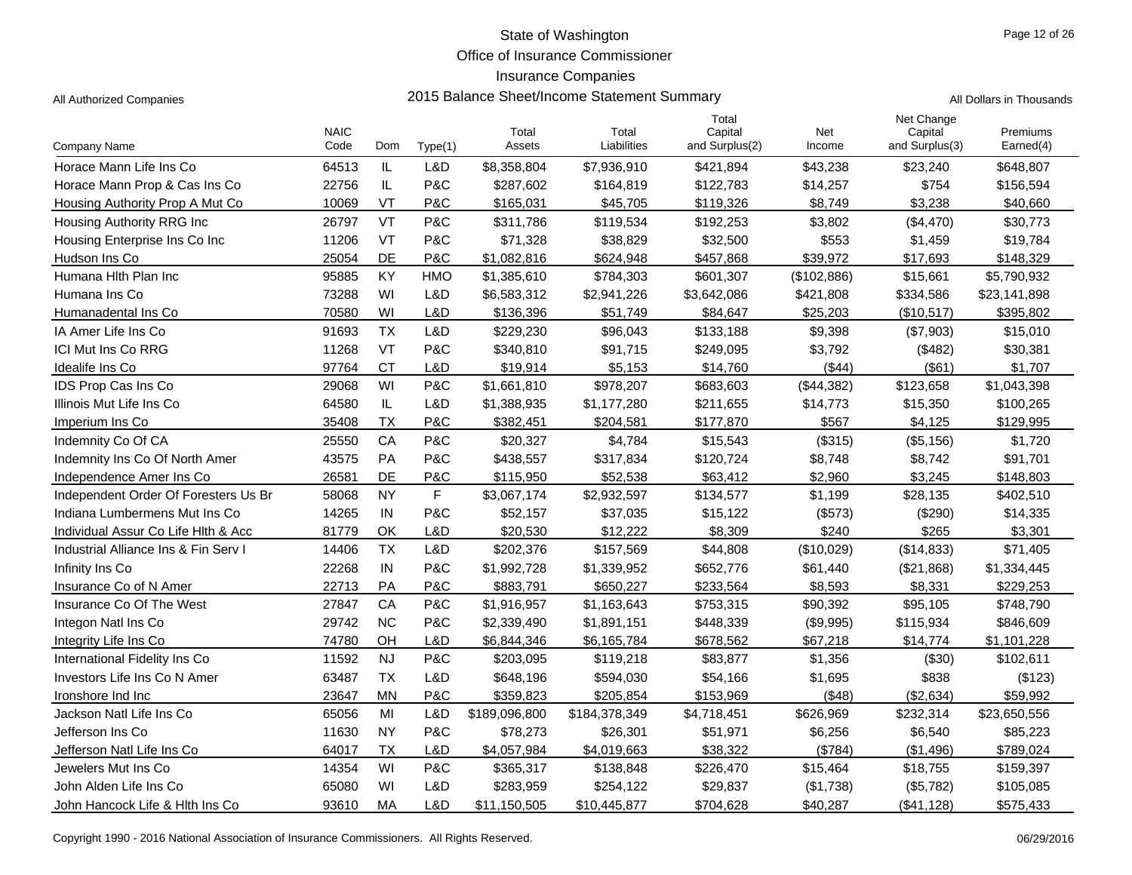Office of Insurance Commissioner

## Insurance Companies

| Company Name                         | <b>NAIC</b><br>Code | Dom           | Type(1)    | Total<br>Assets | Total<br>Liabilities | Total<br>Capital<br>and Surplus(2) | Net<br>Income | Net Change<br>Capital<br>and Surplus(3) | Premiums<br>Earned(4) |
|--------------------------------------|---------------------|---------------|------------|-----------------|----------------------|------------------------------------|---------------|-----------------------------------------|-----------------------|
| Horace Mann Life Ins Co              | 64513               | IL            | L&D        | \$8,358,804     | \$7,936,910          | \$421.894                          | \$43,238      | \$23,240                                | \$648,807             |
| Horace Mann Prop & Cas Ins Co        | 22756               | IL            | P&C        | \$287,602       | \$164,819            | \$122,783                          | \$14,257      | \$754                                   | \$156,594             |
| Housing Authority Prop A Mut Co      | 10069               | VT            | P&C        | \$165,031       | \$45,705             | \$119,326                          | \$8,749       | \$3,238                                 | \$40,660              |
| Housing Authority RRG Inc            | 26797               | VT            | P&C        | \$311,786       | \$119,534            | \$192,253                          | \$3,802       | (\$4,470)                               | \$30,773              |
| Housing Enterprise Ins Co Inc        | 11206               | VT            | P&C        | \$71,328        | \$38,829             | \$32,500                           | \$553         | \$1,459                                 | \$19,784              |
| Hudson Ins Co                        | 25054               | DE            | P&C        | \$1,082,816     | \$624,948            | \$457,868                          | \$39,972      | \$17,693                                | \$148,329             |
| Humana Hith Plan Inc                 | 95885               | KY            | <b>HMO</b> | \$1,385,610     | \$784,303            | \$601,307                          | (\$102,886)   | \$15,661                                | \$5,790,932           |
| Humana Ins Co                        | 73288               | WI            | L&D        | \$6,583,312     | \$2,941,226          | \$3,642,086                        | \$421,808     | \$334,586                               | \$23,141,898          |
| Humanadental Ins Co                  | 70580               | WI            | L&D        | \$136,396       | \$51,749             | \$84,647                           | \$25,203      | (\$10,517)                              | \$395,802             |
| IA Amer Life Ins Co                  | 91693               | <b>TX</b>     | L&D        | \$229,230       | \$96,043             | \$133,188                          | \$9,398       | (\$7,903)                               | \$15,010              |
| ICI Mut Ins Co RRG                   | 11268               | VT            | P&C        | \$340,810       | \$91,715             | \$249,095                          | \$3,792       | (\$482)                                 | \$30,381              |
| Idealife Ins Co                      | 97764               | <b>CT</b>     | L&D        | \$19,914        | \$5,153              | \$14,760                           | (\$44)        | (\$61)                                  | \$1,707               |
| IDS Prop Cas Ins Co                  | 29068               | WI            | P&C        | \$1,661,810     | \$978,207            | \$683,603                          | (\$44,382)    | \$123,658                               | \$1,043,398           |
| Illinois Mut Life Ins Co             | 64580               | $\mathsf{IL}$ | L&D        | \$1,388,935     | \$1,177,280          | \$211,655                          | \$14,773      | \$15,350                                | \$100,265             |
| Imperium Ins Co                      | 35408               | <b>TX</b>     | P&C        | \$382,451       | \$204,581            | \$177,870                          | \$567         | \$4,125                                 | \$129,995             |
| Indemnity Co Of CA                   | 25550               | CA            | P&C        | \$20,327        | \$4,784              | \$15,543                           | (\$315)       | (\$5,156)                               | \$1,720               |
| Indemnity Ins Co Of North Amer       | 43575               | <b>PA</b>     | P&C        | \$438,557       | \$317,834            | \$120,724                          | \$8,748       | \$8,742                                 | \$91,701              |
| Independence Amer Ins Co             | 26581               | <b>DE</b>     | P&C        | \$115,950       | \$52,538             | \$63,412                           | \$2,960       | \$3,245                                 | \$148,803             |
| Independent Order Of Foresters Us Br | 58068               | <b>NY</b>     | F          | \$3,067,174     | \$2,932,597          | \$134,577                          | \$1,199       | \$28,135                                | \$402,510             |
| Indiana Lumbermens Mut Ins Co        | 14265               | IN            | P&C        | \$52,157        | \$37,035             | \$15,122                           | (\$573)       | (\$290)                                 | \$14,335              |
| Individual Assur Co Life Hith & Acc  | 81779               | OK            | L&D        | \$20,530        | \$12,222             | \$8,309                            | \$240         | \$265                                   | \$3,301               |
| Industrial Alliance Ins & Fin Serv I | 14406               | <b>TX</b>     | L&D        | \$202,376       | \$157,569            | \$44,808                           | (\$10,029)    | (\$14,833)                              | \$71,405              |
| Infinity Ins Co                      | 22268               | IN            | P&C        | \$1,992,728     | \$1,339,952          | \$652,776                          | \$61,440      | (\$21,868)                              | \$1,334,445           |
| Insurance Co of N Amer               | 22713               | PA            | P&C        | \$883,791       | \$650,227            | \$233,564                          | \$8,593       | \$8,331                                 | \$229,253             |
| Insurance Co Of The West             | 27847               | CA            | P&C        | \$1,916,957     | \$1,163,643          | \$753,315                          | \$90,392      | \$95,105                                | \$748,790             |
| Integon Natl Ins Co                  | 29742               | <b>NC</b>     | P&C        | \$2,339,490     | \$1,891,151          | \$448,339                          | (\$9,995)     | \$115,934                               | \$846,609             |
| Integrity Life Ins Co                | 74780               | OH            | L&D        | \$6,844,346     | \$6,165,784          | \$678,562                          | \$67,218      | \$14,774                                | \$1,101,228           |
| International Fidelity Ins Co        | 11592               | <b>NJ</b>     | P&C        | \$203,095       | \$119,218            | \$83,877                           | \$1,356       | (\$30)                                  | \$102,611             |
| Investors Life Ins Co N Amer         | 63487               | <b>TX</b>     | L&D        | \$648,196       | \$594,030            | \$54,166                           | \$1,695       | \$838                                   | (\$123)               |
| Ironshore Ind Inc                    | 23647               | <b>MN</b>     | P&C        | \$359,823       | \$205,854            | \$153,969                          | ( \$48)       | (\$2,634)                               | \$59,992              |
| Jackson Natl Life Ins Co             | 65056               | MI            | L&D        | \$189,096,800   | \$184,378,349        | \$4,718,451                        | \$626,969     | \$232,314                               | \$23,650,556          |
| Jefferson Ins Co                     | 11630               | <b>NY</b>     | P&C        | \$78,273        | \$26,301             | \$51,971                           | \$6,256       | \$6,540                                 | \$85,223              |
| Jefferson Natl Life Ins Co           | 64017               | <b>TX</b>     | L&D        | \$4,057,984     | \$4,019,663          | \$38,322                           | ( \$784)      | (\$1,496)                               | \$789,024             |
| Jewelers Mut Ins Co                  | 14354               | WI            | P&C        | \$365,317       | \$138,848            | \$226,470                          | \$15,464      | \$18,755                                | \$159,397             |
| John Alden Life Ins Co               | 65080               | WI            | L&D        | \$283,959       | \$254,122            | \$29,837                           | (\$1,738)     | (\$5,782)                               | \$105,085             |
| John Hancock Life & Hith Ins Co      | 93610               | MA            | L&D        | \$11,150,505    | \$10,445,877         | \$704,628                          | \$40,287      | (\$41, 128)                             | \$575,433             |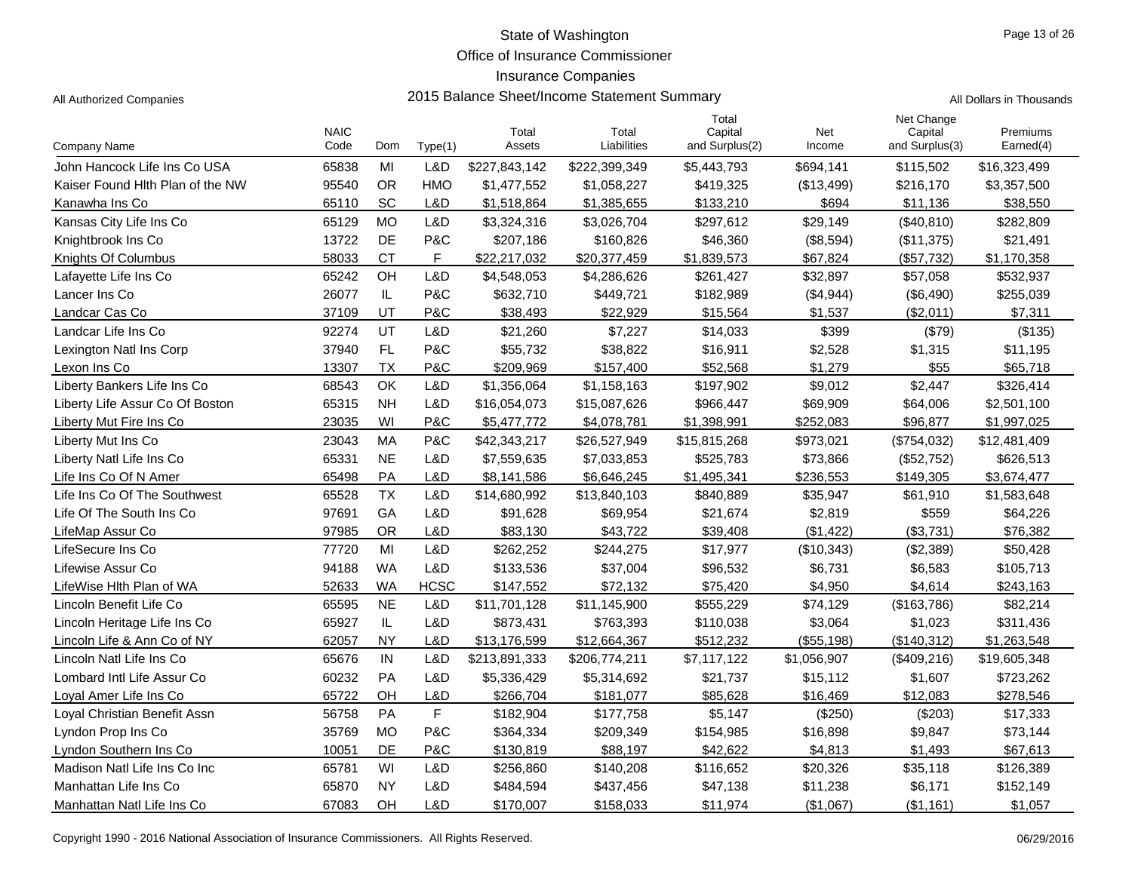Office of Insurance Commissioner

## Insurance Companies

| Company Name                     | <b>NAIC</b><br>Code | Dom           | Type(1)     | Total<br>Assets | Total<br>Liabilities | Total<br>Capital<br>and Surplus(2) | Net<br>Income | Net Change<br>Capital<br>and Surplus(3) | Premiums<br>Earned(4) |
|----------------------------------|---------------------|---------------|-------------|-----------------|----------------------|------------------------------------|---------------|-----------------------------------------|-----------------------|
| John Hancock Life Ins Co USA     | 65838               | MI            | L&D         | \$227,843,142   | \$222,399,349        | \$5,443,793                        | \$694,141     | \$115,502                               | \$16,323,499          |
| Kaiser Found Hith Plan of the NW | 95540               | <b>OR</b>     | <b>HMO</b>  | \$1,477,552     | \$1,058,227          | \$419,325                          | (\$13,499)    | \$216,170                               | \$3,357,500           |
| Kanawha Ins Co                   | 65110               | SC            | L&D         | \$1,518,864     | \$1,385,655          | \$133,210                          | \$694         | \$11,136                                | \$38,550              |
| Kansas City Life Ins Co          | 65129               | <b>MO</b>     | L&D         | \$3,324,316     | \$3,026,704          | \$297,612                          | \$29,149      | (\$40, 810)                             | \$282,809             |
| Knightbrook Ins Co               | 13722               | DE            | P&C         | \$207,186       | \$160,826            | \$46,360                           | (\$8,594)     | (\$11,375)                              | \$21,491              |
| Knights Of Columbus              | 58033               | <b>CT</b>     | F.          | \$22,217,032    | \$20,377,459         | \$1,839,573                        | \$67,824      | (\$57,732)                              | \$1,170,358           |
| Lafayette Life Ins Co            | 65242               | OH            | L&D         | \$4,548,053     | \$4,286,626          | \$261,427                          | \$32,897      | \$57,058                                | \$532,937             |
| Lancer Ins Co                    | 26077               | $\sf IL$      | P&C         | \$632,710       | \$449,721            | \$182,989                          | (\$4,944)     | (\$6,490)                               | \$255,039             |
| Landcar Cas Co                   | 37109               | UT            | P&C         | \$38,493        | \$22,929             | \$15,564                           | \$1,537       | (\$2,011)                               | \$7,311               |
| Landcar Life Ins Co              | 92274               | UT            | L&D         | \$21,260        | \$7,227              | \$14,033                           | \$399         | (\$79)                                  | (\$135)               |
| Lexington Natl Ins Corp          | 37940               | FL.           | P&C         | \$55,732        | \$38,822             | \$16,911                           | \$2,528       | \$1,315                                 | \$11,195              |
| Lexon Ins Co                     | 13307               | ТX            | P&C         | \$209,969       | \$157,400            | \$52,568                           | \$1,279       | \$55                                    | \$65,718              |
| Liberty Bankers Life Ins Co      | 68543               | OK            | L&D         | \$1,356,064     | \$1,158,163          | \$197,902                          | \$9,012       | \$2,447                                 | \$326,414             |
| Liberty Life Assur Co Of Boston  | 65315               | <b>NH</b>     | L&D         | \$16,054,073    | \$15,087,626         | \$966,447                          | \$69,909      | \$64,006                                | \$2,501,100           |
| Liberty Mut Fire Ins Co          | 23035               | WI            | P&C         | \$5,477,772     | \$4,078,781          | \$1,398,991                        | \$252.083     | \$96,877                                | \$1,997,025           |
| Liberty Mut Ins Co               | 23043               | MA            | P&C         | \$42,343,217    | \$26,527,949         | \$15,815,268                       | \$973,021     | (\$754,032)                             | \$12,481,409          |
| Liberty Natl Life Ins Co         | 65331               | <b>NE</b>     | L&D         | \$7,559,635     | \$7,033,853          | \$525,783                          | \$73,866      | (\$52,752)                              | \$626,513             |
| Life Ins Co Of N Amer            | 65498               | PA            | L&D         | \$8,141,586     | \$6,646,245          | \$1,495,341                        | \$236,553     | \$149,305                               | \$3,674,477           |
| Life Ins Co Of The Southwest     | 65528               | <b>TX</b>     | L&D         | \$14,680,992    | \$13,840,103         | \$840,889                          | \$35,947      | \$61,910                                | \$1,583,648           |
| Life Of The South Ins Co         | 97691               | GA            | L&D         | \$91,628        | \$69,954             | \$21,674                           | \$2,819       | \$559                                   | \$64,226              |
| LifeMap Assur Co                 | 97985               | <b>OR</b>     | L&D         | \$83,130        | \$43,722             | \$39,408                           | (\$1,422)     | (\$3,731)                               | \$76,382              |
| LifeSecure Ins Co                | 77720               | MI            | L&D         | \$262,252       | \$244,275            | \$17,977                           | (\$10,343)    | (\$2,389)                               | \$50,428              |
| Lifewise Assur Co                | 94188               | <b>WA</b>     | L&D         | \$133,536       | \$37,004             | \$96,532                           | \$6,731       | \$6,583                                 | \$105,713             |
| LifeWise Hith Plan of WA         | 52633               | <b>WA</b>     | <b>HCSC</b> | \$147,552       | \$72,132             | \$75,420                           | \$4,950       | \$4,614                                 | \$243,163             |
| Lincoln Benefit Life Co          | 65595               | <b>NE</b>     | L&D         | \$11,701,128    | \$11,145,900         | \$555,229                          | \$74,129      | (\$163,786)                             | \$82,214              |
| Lincoln Heritage Life Ins Co     | 65927               | $\mathsf{IL}$ | L&D         | \$873,431       | \$763,393            | \$110,038                          | \$3,064       | \$1,023                                 | \$311,436             |
| Lincoln Life & Ann Co of NY      | 62057               | <b>NY</b>     | L&D         | \$13,176,599    | \$12,664,367         | \$512,232                          | (\$55, 198)   | (\$140,312)                             | \$1,263,548           |
| Lincoln Natl Life Ins Co         | 65676               | IN            | L&D         | \$213,891,333   | \$206,774,211        | \$7,117,122                        | \$1,056,907   | (\$409,216)                             | \$19,605,348          |
| Lombard Intl Life Assur Co       | 60232               | PA            | L&D         | \$5,336,429     | \$5,314,692          | \$21,737                           | \$15,112      | \$1,607                                 | \$723,262             |
| Loyal Amer Life Ins Co           | 65722               | OН            | L&D         | \$266,704       | \$181,077            | \$85,628                           | \$16,469      | \$12,083                                | \$278,546             |
| Loyal Christian Benefit Assn     | 56758               | PA            | F           | \$182,904       | \$177,758            | \$5,147                            | (\$250)       | (\$203)                                 | \$17,333              |
| Lyndon Prop Ins Co               | 35769               | <b>MO</b>     | P&C         | \$364,334       | \$209,349            | \$154,985                          | \$16,898      | \$9,847                                 | \$73,144              |
| Lyndon Southern Ins Co           | 10051               | DE            | P&C         | \$130,819       | \$88,197             | \$42,622                           | \$4,813       | \$1,493                                 | \$67,613              |
| Madison Natl Life Ins Co Inc     | 65781               | WI            | L&D         | \$256,860       | \$140,208            | \$116,652                          | \$20,326      | \$35,118                                | \$126,389             |
| Manhattan Life Ins Co            | 65870               | <b>NY</b>     | L&D         | \$484,594       | \$437,456            | \$47,138                           | \$11,238      | \$6,171                                 | \$152,149             |
| Manhattan Natl Life Ins Co       | 67083               | OH            | L&D         | \$170,007       | \$158,033            | \$11,974                           | (\$1,067)     | (\$1,161)                               | \$1,057               |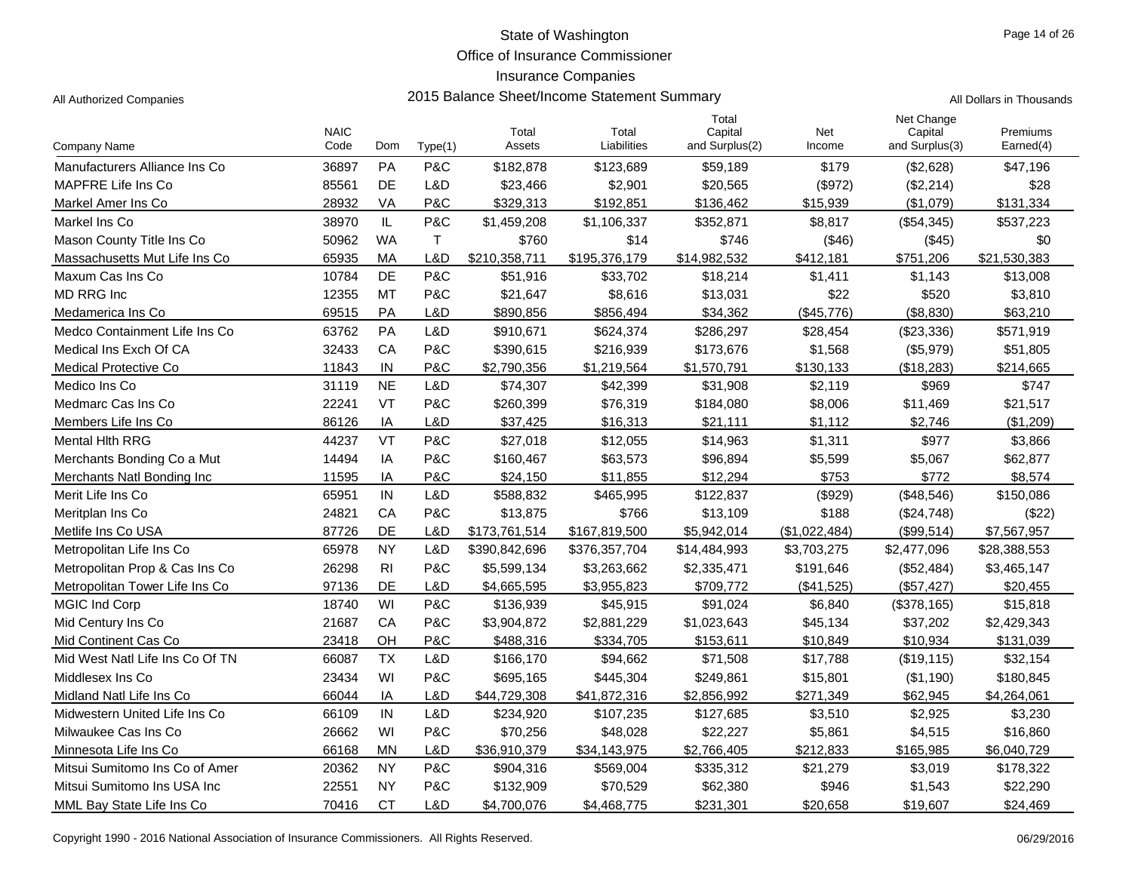Office of Insurance Commissioner

# Insurance Companies

Page 14 of 26

| All Authorized Companies | 2015 Balance Sheet/Income Statement Summary | All Dollars in Thousands |
|--------------------------|---------------------------------------------|--------------------------|
|--------------------------|---------------------------------------------|--------------------------|

|                                 | <b>NAIC</b> |                |              | Total         | Total         | Total<br>Capital | Net           | Net Change<br>Capital | Premiums     |
|---------------------------------|-------------|----------------|--------------|---------------|---------------|------------------|---------------|-----------------------|--------------|
| Company Name                    | Code        | Dom            | Type(1)      | Assets        | Liabilities   | and Surplus(2)   | Income        | and Surplus(3)        | Earned(4)    |
| Manufacturers Alliance Ins Co   | 36897       | PA             | P&C          | \$182,878     | \$123,689     | \$59,189         | \$179         | (\$2,628)             | \$47,196     |
| MAPFRE Life Ins Co.             | 85561       | DE             | L&D          | \$23,466      | \$2,901       | \$20,565         | (\$972)       | (\$2,214)             | \$28         |
| Markel Amer Ins Co              | 28932       | VA             | P&C          | \$329,313     | \$192,851     | \$136,462        | \$15,939      | (\$1,079)             | \$131,334    |
| Markel Ins Co                   | 38970       | IL             | P&C          | \$1,459,208   | \$1,106,337   | \$352,871        | \$8,817       | (\$54,345)            | \$537,223    |
| Mason County Title Ins Co       | 50962       | <b>WA</b>      | $\mathsf{T}$ | \$760         | \$14          | \$746            | (\$46)        | (\$45)                | \$0          |
| Massachusetts Mut Life Ins Co   | 65935       | МA             | L&D          | \$210,358,711 | \$195,376,179 | \$14,982,532     | \$412,181     | \$751,206             | \$21,530,383 |
| Maxum Cas Ins Co                | 10784       | DE             | P&C          | \$51,916      | \$33,702      | \$18,214         | \$1,411       | \$1,143               | \$13,008     |
| MD RRG Inc                      | 12355       | <b>MT</b>      | P&C          | \$21,647      | \$8,616       | \$13,031         | \$22          | \$520                 | \$3,810      |
| Medamerica Ins Co               | 69515       | PA             | L&D          | \$890,856     | \$856,494     | \$34,362         | (\$45.776)    | (\$8,830)             | \$63,210     |
| Medco Containment Life Ins Co   | 63762       | PA             | L&D          | \$910,671     | \$624,374     | \$286,297        | \$28,454      | (\$23,336)            | \$571,919    |
| Medical Ins Exch Of CA          | 32433       | CA             | P&C          | \$390,615     | \$216,939     | \$173,676        | \$1,568       | (\$5,979)             | \$51,805     |
| <b>Medical Protective Co</b>    | 11843       | IN             | P&C          | \$2,790,356   | \$1,219,564   | \$1,570,791      | \$130,133     | (\$18,283)            | \$214,665    |
| Medico Ins Co                   | 31119       | <b>NE</b>      | L&D          | \$74,307      | \$42,399      | \$31,908         | \$2,119       | \$969                 | \$747        |
| Medmarc Cas Ins Co              | 22241       | VT             | P&C          | \$260,399     | \$76,319      | \$184,080        | \$8,006       | \$11,469              | \$21,517     |
| Members Life Ins Co             | 86126       | IA             | L&D          | \$37,425      | \$16,313      | \$21,111         | \$1,112       | \$2,746               | (\$1,209)    |
| <b>Mental Hith RRG</b>          | 44237       | VT             | P&C          | \$27,018      | \$12,055      | \$14,963         | \$1,311       | \$977                 | \$3,866      |
| Merchants Bonding Co a Mut      | 14494       | IA             | P&C          | \$160,467     | \$63,573      | \$96,894         | \$5,599       | \$5,067               | \$62,877     |
| Merchants Natl Bonding Inc      | 11595       | IA             | P&C          | \$24,150      | \$11,855      | \$12,294         | \$753         | \$772                 | \$8,574      |
| Merit Life Ins Co               | 65951       | IN             | L&D          | \$588,832     | \$465,995     | \$122,837        | (\$929)       | (\$48,546)            | \$150,086    |
| Meritplan Ins Co                | 24821       | CA             | P&C          | \$13,875      | \$766         | \$13,109         | \$188         | (\$24,748)            | (\$22)       |
| Metlife Ins Co USA              | 87726       | DE             | L&D          | \$173,761,514 | \$167,819,500 | \$5,942,014      | (\$1,022,484) | (\$99,514)            | \$7,567,957  |
| Metropolitan Life Ins Co        | 65978       | <b>NY</b>      | L&D          | \$390,842,696 | \$376,357,704 | \$14,484,993     | \$3,703,275   | \$2,477,096           | \$28,388,553 |
| Metropolitan Prop & Cas Ins Co  | 26298       | R <sub>1</sub> | P&C          | \$5,599,134   | \$3,263,662   | \$2,335,471      | \$191,646     | (\$52,484)            | \$3,465,147  |
| Metropolitan Tower Life Ins Co  | 97136       | DE             | L&D          | \$4,665,595   | \$3,955,823   | \$709,772        | (\$41,525)    | (\$57,427)            | \$20,455     |
| <b>MGIC Ind Corp</b>            | 18740       | WI             | P&C          | \$136,939     | \$45,915      | \$91,024         | \$6,840       | (S378,165)            | \$15,818     |
| Mid Century Ins Co              | 21687       | CA             | P&C          | \$3,904,872   | \$2,881,229   | \$1,023,643      | \$45,134      | \$37,202              | \$2,429,343  |
| Mid Continent Cas Co            | 23418       | OH             | P&C          | \$488,316     | \$334,705     | \$153,611        | \$10,849      | \$10,934              | \$131,039    |
| Mid West Natl Life Ins Co Of TN | 66087       | <b>TX</b>      | L&D          | \$166,170     | \$94,662      | \$71,508         | \$17,788      | (\$19, 115)           | \$32,154     |
| Middlesex Ins Co                | 23434       | WI             | P&C          | \$695,165     | \$445,304     | \$249,861        | \$15,801      | (\$1,190)             | \$180,845    |
| Midland Natl Life Ins Co        | 66044       | IA             | L&D          | \$44,729,308  | \$41,872,316  | \$2,856,992      | \$271,349     | \$62,945              | \$4,264,061  |
| Midwestern United Life Ins Co   | 66109       | IN             | L&D          | \$234,920     | \$107,235     | \$127,685        | \$3,510       | \$2,925               | \$3,230      |
| Milwaukee Cas Ins Co            | 26662       | WI             | P&C          | \$70,256      | \$48,028      | \$22,227         | \$5,861       | \$4,515               | \$16,860     |
| Minnesota Life Ins Co           | 66168       | <b>MN</b>      | L&D          | \$36,910,379  | \$34,143,975  | \$2,766,405      | \$212,833     | \$165,985             | \$6,040,729  |
| Mitsui Sumitomo Ins Co of Amer  | 20362       | <b>NY</b>      | P&C          | \$904,316     | \$569,004     | \$335,312        | \$21,279      | \$3,019               | \$178,322    |
| Mitsui Sumitomo Ins USA Inc     | 22551       | <b>NY</b>      | P&C          | \$132,909     | \$70,529      | \$62,380         | \$946         | \$1,543               | \$22,290     |
| MML Bay State Life Ins Co       | 70416       | <b>CT</b>      | L&D          | \$4,700,076   | \$4,468,775   | \$231,301        | \$20,658      | \$19,607              | \$24,469     |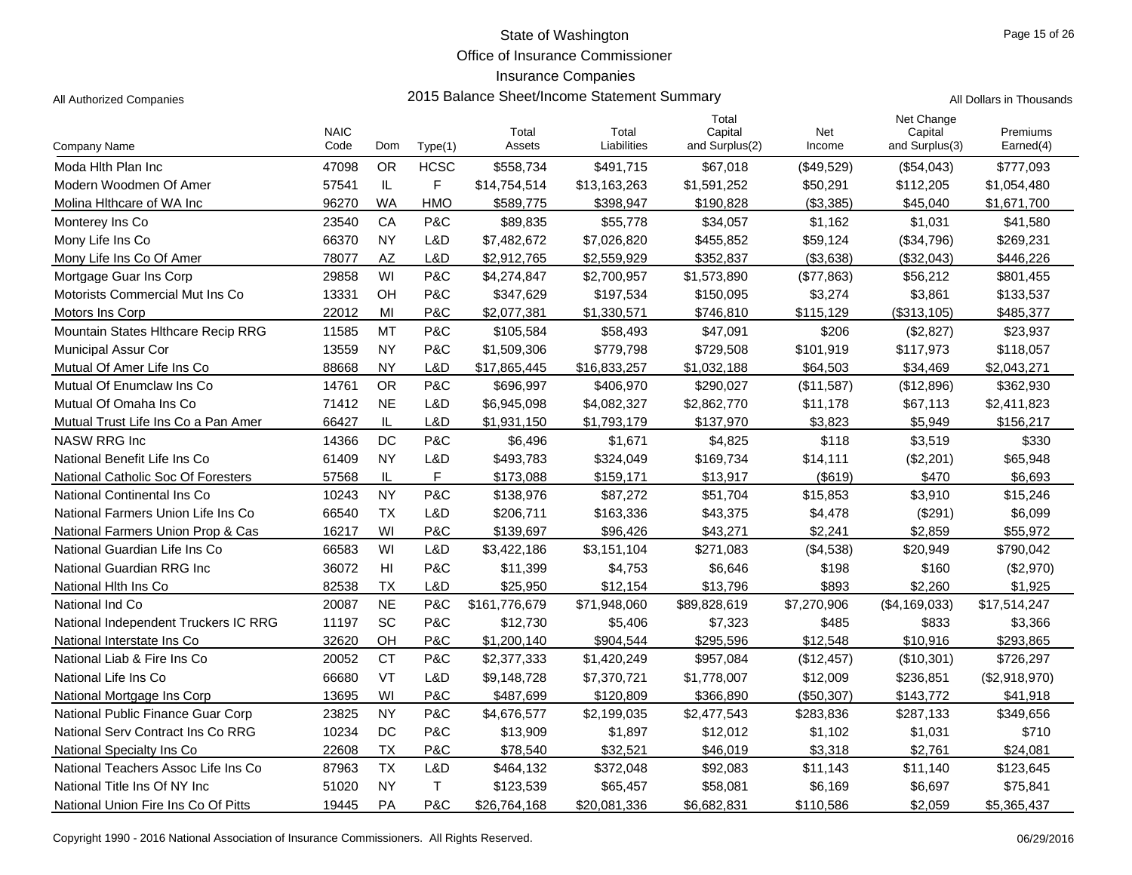Office of Insurance Commissioner

## Insurance Companies

All Authorized Companies **2015 Balance Sheet/Income Statement Summary** All Dollars in Thousands

| Dellare in Thousands |  |  |
|----------------------|--|--|

|                                      | <b>NAIC</b> |           |             | Total         | Total        | Total<br>Capital | <b>Net</b>   | Net Change<br>Capital | Premiums      |
|--------------------------------------|-------------|-----------|-------------|---------------|--------------|------------------|--------------|-----------------------|---------------|
| <b>Company Name</b>                  | Code        | Dom       | Type(1)     | Assets        | Liabilities  | and Surplus(2)   | Income       | and Surplus(3)        | Earned(4)     |
| Moda Hith Plan Inc                   | 47098       | <b>OR</b> | <b>HCSC</b> | \$558,734     | \$491,715    | \$67,018         | $(\$49,529)$ | (\$54,043)            | \$777,093     |
| Modern Woodmen Of Amer               | 57541       | IL        | F           | \$14,754,514  | \$13,163,263 | \$1,591,252      | \$50,291     | \$112,205             | \$1,054,480   |
| Molina Hithcare of WA Inc            | 96270       | WA        | <b>HMO</b>  | \$589,775     | \$398,947    | \$190,828        | (\$3,385)    | \$45,040              | \$1,671,700   |
| Monterey Ins Co                      | 23540       | CA        | P&C         | \$89,835      | \$55,778     | \$34,057         | \$1,162      | \$1,031               | \$41,580      |
| Mony Life Ins Co                     | 66370       | <b>NY</b> | L&D         | \$7,482,672   | \$7,026,820  | \$455,852        | \$59,124     | (\$34,796)            | \$269,231     |
| Mony Life Ins Co Of Amer             | 78077       | AZ        | L&D         | \$2,912,765   | \$2,559,929  | \$352,837        | (\$3,638)    | (\$32,043)            | \$446,226     |
| Mortgage Guar Ins Corp               | 29858       | WI        | P&C         | \$4,274,847   | \$2,700,957  | \$1,573,890      | (\$77,863)   | \$56,212              | \$801,455     |
| Motorists Commercial Mut Ins Co      | 13331       | OH        | P&C         | \$347,629     | \$197,534    | \$150,095        | \$3,274      | \$3,861               | \$133,537     |
| Motors Ins Corp                      | 22012       | MI        | P&C         | \$2,077,381   | \$1,330,571  | \$746,810        | \$115,129    | (\$313, 105)          | \$485,377     |
| Mountain States Hlthcare Recip RRG   | 11585       | MT        | P&C         | \$105,584     | \$58,493     | \$47,091         | \$206        | (\$2,827)             | \$23,937      |
| <b>Municipal Assur Cor</b>           | 13559       | <b>NY</b> | P&C         | \$1,509,306   | \$779,798    | \$729,508        | \$101,919    | \$117,973             | \$118,057     |
| Mutual Of Amer Life Ins Co           | 88668       | <b>NY</b> | L&D         | \$17,865,445  | \$16,833,257 | \$1,032,188      | \$64,503     | \$34,469              | \$2,043,271   |
| Mutual Of Enumclaw Ins Co.           | 14761       | <b>OR</b> | P&C         | \$696,997     | \$406,970    | \$290,027        | (\$11,587)   | (\$12,896)            | \$362,930     |
| Mutual Of Omaha Ins Co               | 71412       | <b>NE</b> | L&D         | \$6,945,098   | \$4,082,327  | \$2,862,770      | \$11,178     | \$67,113              | \$2,411,823   |
| Mutual Trust Life Ins Co a Pan Amer  | 66427       | IL        | L&D         | \$1,931,150   | \$1,793,179  | \$137,970        | \$3.823      | \$5,949               | \$156,217     |
| <b>NASW RRG Inc</b>                  | 14366       | DC        | P&C         | \$6,496       | \$1,671      | \$4,825          | \$118        | \$3,519               | \$330         |
| National Benefit Life Ins Co         | 61409       | <b>NY</b> | L&D         | \$493,783     | \$324,049    | \$169,734        | \$14,111     | (\$2,201)             | \$65,948      |
| National Catholic Soc Of Foresters   | 57568       | IL        | F           | \$173,088     | \$159,171    | \$13,917         | (\$619)      | \$470                 | \$6,693       |
| National Continental Ins Co          | 10243       | <b>NY</b> | P&C         | \$138,976     | \$87,272     | \$51,704         | \$15,853     | \$3,910               | \$15,246      |
| National Farmers Union Life Ins Co   | 66540       | <b>TX</b> | L&D         | \$206,711     | \$163,336    | \$43,375         | \$4,478      | (\$291)               | \$6,099       |
| National Farmers Union Prop & Cas    | 16217       | WI        | P&C         | \$139,697     | \$96,426     | \$43,271         | \$2,241      | \$2,859               | \$55,972      |
| National Guardian Life Ins Co        | 66583       | WI        | L&D         | \$3,422,186   | \$3,151,104  | \$271,083        | (\$4,538)    | \$20,949              | \$790,042     |
| National Guardian RRG Inc            | 36072       | HI        | P&C         | \$11,399      | \$4,753      | \$6,646          | \$198        | \$160                 | (\$2,970)     |
| National Hith Ins Co                 | 82538       | <b>TX</b> | L&D         | \$25,950      | \$12,154     | \$13,796         | \$893        | \$2,260               | \$1,925       |
| National Ind Co                      | 20087       | <b>NE</b> | P&C         | \$161,776,679 | \$71,948,060 | \$89,828,619     | \$7,270,906  | (\$4,169,033)         | \$17,514,247  |
| National Independent Truckers IC RRG | 11197       | SC        | P&C         | \$12,730      | \$5,406      | \$7,323          | \$485        | \$833                 | \$3,366       |
| National Interstate Ins Co           | 32620       | OH        | P&C         | \$1,200,140   | \$904,544    | \$295,596        | \$12,548     | \$10,916              | \$293,865     |
| National Liab & Fire Ins Co          | 20052       | <b>CT</b> | P&C         | \$2,377,333   | \$1,420,249  | \$957,084        | (\$12,457)   | (\$10,301)            | \$726,297     |
| National Life Ins Co                 | 66680       | <b>VT</b> | L&D         | \$9,148,728   | \$7,370,721  | \$1,778,007      | \$12,009     | \$236,851             | (\$2,918,970) |
| National Mortgage Ins Corp           | 13695       | WI        | P&C         | \$487,699     | \$120,809    | \$366,890        | (\$50,307)   | \$143,772             | \$41,918      |
| National Public Finance Guar Corp    | 23825       | <b>NY</b> | P&C         | \$4,676,577   | \$2,199,035  | \$2,477,543      | \$283,836    | \$287,133             | \$349,656     |
| National Serv Contract Ins Co RRG    | 10234       | DC        | P&C         | \$13,909      | \$1,897      | \$12,012         | \$1,102      | \$1,031               | \$710         |
| National Specialty Ins Co.           | 22608       | <b>TX</b> | P&C         | \$78,540      | \$32,521     | \$46,019         | \$3,318      | \$2,761               | \$24,081      |
| National Teachers Assoc Life Ins Co  | 87963       | <b>TX</b> | L&D         | \$464,132     | \$372,048    | \$92,083         | \$11,143     | \$11,140              | \$123,645     |
| National Title Ins Of NY Inc.        | 51020       | <b>NY</b> | T           | \$123,539     | \$65,457     | \$58,081         | \$6,169      | \$6,697               | \$75,841      |
| National Union Fire Ins Co Of Pitts  | 19445       | PA        | P&C         | \$26,764,168  | \$20,081,336 | \$6,682,831      | \$110,586    | \$2,059               | \$5,365,437   |

Copyright 1990 - 2016 National Association of Insurance Commissioners. All Rights Reserved. 06/29/2016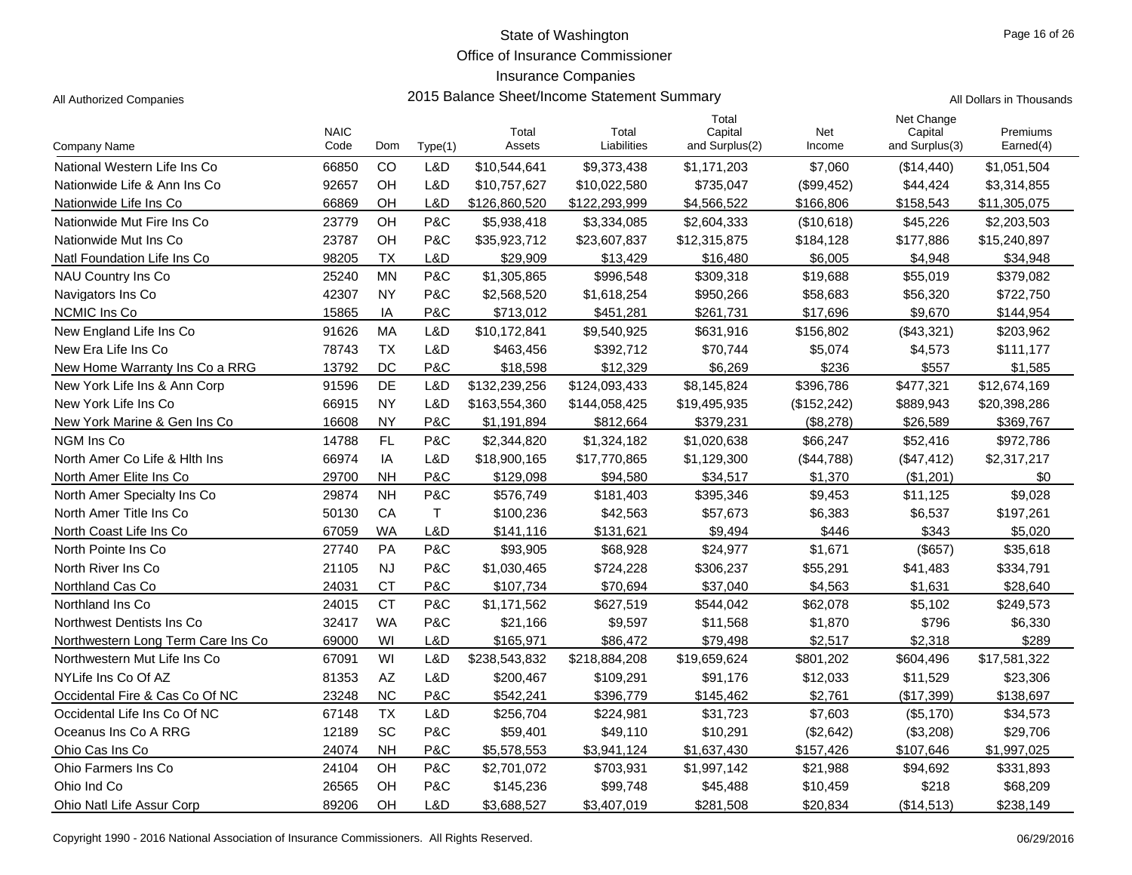Office of Insurance Commissioner

#### Insurance Companies

All Authorized Companies **2015 Balance Sheet/Income Statement Summary** All Dollars in Thousands

|  | Il Dollaro in Thousande |
|--|-------------------------|

|                                     | <b>NAIC</b> |           |         | Total         | Total         | Total<br>Capital | <b>Net</b>   | Net Change<br>Capital | Premiums     |
|-------------------------------------|-------------|-----------|---------|---------------|---------------|------------------|--------------|-----------------------|--------------|
| <b>Company Name</b>                 | Code        | Dom       | Type(1) | Assets        | Liabilities   | and Surplus(2)   | Income       | and Surplus(3)        | Earned(4)    |
| National Western Life Ins Co        | 66850       | CO        | L&D     | \$10,544,641  | \$9,373,438   | \$1,171,203      | \$7,060      | (\$14,440)            | \$1,051,504  |
| Nationwide Life & Ann Ins Co        | 92657       | OH        | L&D     | \$10,757,627  | \$10,022,580  | \$735,047        | (\$99,452)   | \$44,424              | \$3,314,855  |
| Nationwide Life Ins Co              | 66869       | OH        | L&D     | \$126,860,520 | \$122,293,999 | \$4,566,522      | \$166,806    | \$158,543             | \$11,305,075 |
| Nationwide Mut Fire Ins Co          | 23779       | OH        | P&C     | \$5,938,418   | \$3,334,085   | \$2,604,333      | (\$10,618)   | \$45,226              | \$2,203,503  |
| Nationwide Mut Ins Co               | 23787       | OH        | P&C     | \$35,923,712  | \$23,607,837  | \$12,315,875     | \$184,128    | \$177,886             | \$15,240,897 |
| Natl Foundation Life Ins Co         | 98205       | <b>TX</b> | L&D     | \$29,909      | \$13,429      | \$16,480         | \$6,005      | \$4,948               | \$34,948     |
| NAU Country Ins Co                  | 25240       | <b>MN</b> | P&C     | \$1,305,865   | \$996,548     | \$309,318        | \$19,688     | \$55,019              | \$379,082    |
| Navigators Ins Co                   | 42307       | <b>NY</b> | P&C     | \$2,568,520   | \$1,618,254   | \$950,266        | \$58,683     | \$56,320              | \$722,750    |
| NCMIC Ins Co                        | 15865       | IA        | P&C     | \$713,012     | \$451,281     | \$261,731        | \$17,696     | \$9,670               | \$144,954    |
| New England Life Ins Co             | 91626       | <b>MA</b> | L&D     | \$10,172,841  | \$9,540,925   | \$631,916        | \$156,802    | (\$43,321)            | \$203,962    |
| New Era Life Ins Co                 | 78743       | <b>TX</b> | L&D     | \$463,456     | \$392,712     | \$70,744         | \$5,074      | \$4,573               | \$111,177    |
| New Home Warranty Ins Co a RRG      | 13792       | DC        | P&C     | \$18,598      | \$12,329      | \$6,269          | \$236        | \$557                 | \$1,585      |
| New York Life Ins & Ann Corp        | 91596       | <b>DE</b> | L&D     | \$132,239,256 | \$124,093,433 | \$8,145,824      | \$396,786    | \$477,321             | \$12,674,169 |
| New York Life Ins Co                | 66915       | <b>NY</b> | L&D     | \$163,554,360 | \$144,058,425 | \$19,495,935     | (\$152, 242) | \$889,943             | \$20,398,286 |
| New York Marine & Gen Ins Co        | 16608       | <b>NY</b> | P&C     | \$1,191,894   | \$812,664     | \$379,231        | (\$8,278)    | \$26,589              | \$369,767    |
| NGM Ins Co                          | 14788       | FL        | P&C     | \$2,344,820   | \$1,324,182   | \$1,020,638      | \$66,247     | \$52,416              | \$972,786    |
| North Amer Co Life & Hith Ins       | 66974       | IA        | L&D     | \$18,900,165  | \$17,770,865  | \$1,129,300      | (\$44,788)   | (\$47,412)            | \$2,317,217  |
| North Amer Elite Ins Co             | 29700       | <b>NH</b> | P&C     | \$129,098     | \$94,580      | \$34,517         | \$1,370      | (\$1,201)             | \$0          |
| North Amer Specialty Ins Co         | 29874       | <b>NH</b> | P&C     | \$576.749     | \$181,403     | \$395,346        | \$9,453      | \$11,125              | \$9,028      |
| North Amer Title Ins Co             | 50130       | CA        | Τ       | \$100,236     | \$42,563      | \$57,673         | \$6,383      | \$6,537               | \$197,261    |
| North Coast Life Ins Co             | 67059       | <b>WA</b> | L&D     | \$141,116     | \$131,621     | \$9,494          | \$446        | \$343                 | \$5,020      |
| North Pointe Ins Co                 | 27740       | PA        | P&C     | \$93,905      | \$68,928      | \$24,977         | \$1,671      | $($ \$657)            | \$35,618     |
| North River Ins Co.                 | 21105       | <b>NJ</b> | P&C     | \$1,030,465   | \$724,228     | \$306,237        | \$55,291     | \$41,483              | \$334,791    |
| Northland Cas Co                    | 24031       | <b>CT</b> | P&C     | \$107.734     | \$70,694      | \$37.040         | \$4.563      | \$1,631               | \$28.640     |
| Northland Ins Co.                   | 24015       | <b>CT</b> | P&C     | \$1,171,562   | \$627,519     | \$544,042        | \$62,078     | \$5,102               | \$249,573    |
| Northwest Dentists Ins Co           | 32417       | <b>WA</b> | P&C     | \$21,166      | \$9,597       | \$11,568         | \$1,870      | \$796                 | \$6,330      |
| Northwestern Long Term Care Ins Co. | 69000       | WI        | L&D     | \$165,971     | \$86,472      | \$79,498         | \$2,517      | \$2,318               | \$289        |
| Northwestern Mut Life Ins Co        | 67091       | WI        | L&D     | \$238,543,832 | \$218,884,208 | \$19,659,624     | \$801,202    | \$604,496             | \$17,581,322 |
| NYLife Ins Co Of AZ                 | 81353       | <b>AZ</b> | L&D     | \$200,467     | \$109,291     | \$91,176         | \$12,033     | \$11,529              | \$23,306     |
| Occidental Fire & Cas Co Of NC      | 23248       | <b>NC</b> | P&C     | \$542,241     | \$396,779     | \$145,462        | \$2,761      | (\$17,399)            | \$138,697    |
| Occidental Life Ins Co Of NC        | 67148       | <b>TX</b> | L&D     | \$256,704     | \$224,981     | \$31,723         | \$7,603      | (\$5,170)             | \$34,573     |
| Oceanus Ins Co A RRG                | 12189       | SC        | P&C     | \$59,401      | \$49,110      | \$10,291         | (\$2,642)    | (\$3,208)             | \$29,706     |
| Ohio Cas Ins Co                     | 24074       | <b>NH</b> | P&C     | \$5,578,553   | \$3,941,124   | \$1,637,430      | \$157,426    | \$107,646             | \$1,997,025  |
| Ohio Farmers Ins Co                 | 24104       | OH        | P&C     | \$2,701,072   | \$703,931     | \$1,997,142      | \$21,988     | \$94,692              | \$331,893    |
| Ohio Ind Co                         | 26565       | OH        | P&C     | \$145,236     | \$99,748      | \$45,488         | \$10,459     | \$218                 | \$68,209     |
| Ohio Natl Life Assur Corp           | 89206       | OH        | L&D     | \$3,688,527   | \$3,407,019   | \$281,508        | \$20,834     | (\$14,513)            | \$238,149    |

Copyright 1990 - 2016 National Association of Insurance Commissioners. All Rights Reserved. 06/29/2016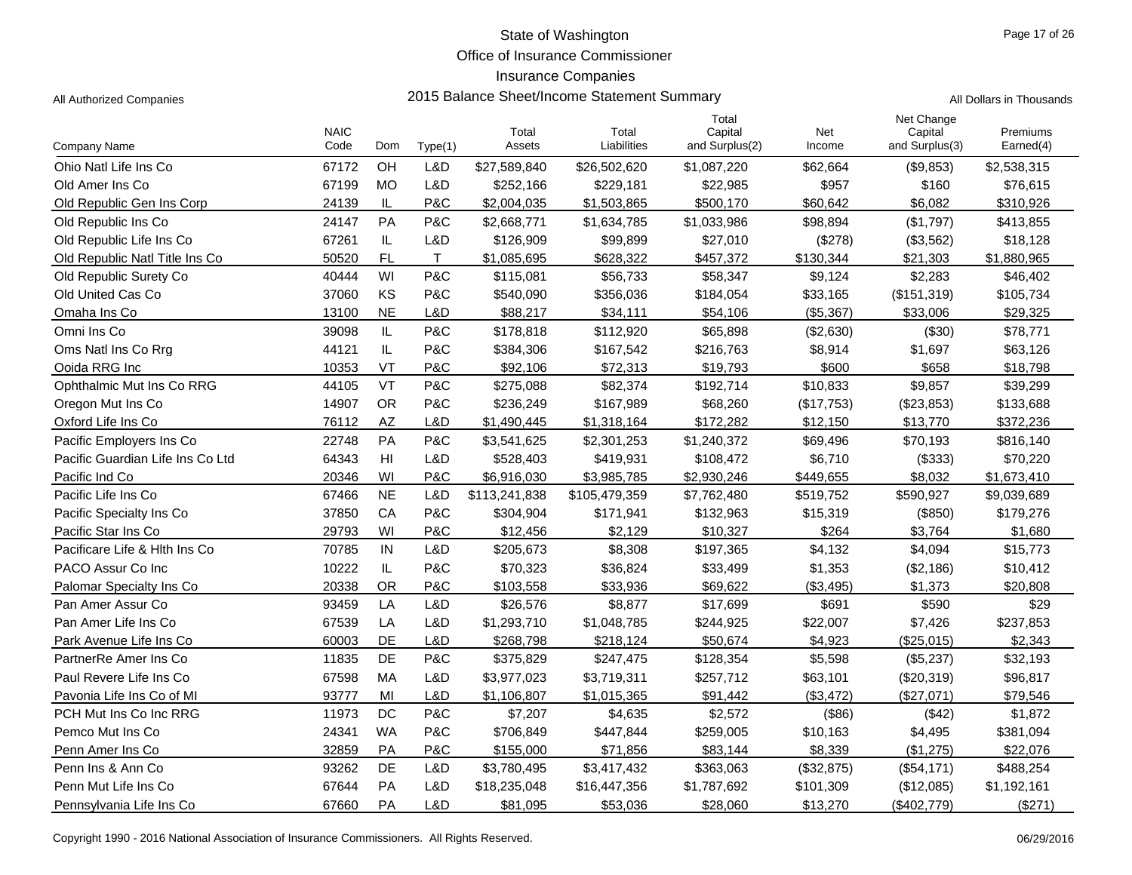Office of Insurance Commissioner

Total

## Insurance Companies

All Authorized Companies **2015 Balance Sheet/Income Statement Summary** All Dollars in Thousands

| <b>Company Name</b>              | <b>NAIC</b><br>Code | Dom       | Type(1)      | Total<br>Assets | Total<br>Liabilities | Capital<br>and Surplus(2) | Net<br>Income | Capital<br>and Surplus(3) | Premiums<br>Earned(4) |
|----------------------------------|---------------------|-----------|--------------|-----------------|----------------------|---------------------------|---------------|---------------------------|-----------------------|
| Ohio Natl Life Ins Co            | 67172               | OH        | L&D          | \$27,589,840    | \$26,502,620         | \$1,087,220               | \$62,664      | (\$9,853)                 | \$2,538,315           |
| Old Amer Ins Co.                 | 67199               | <b>MO</b> | L&D          | \$252,166       | \$229,181            | \$22,985                  | \$957         | \$160                     | \$76,615              |
| Old Republic Gen Ins Corp        | 24139               | IL        | P&C          | \$2,004,035     | \$1,503,865          | \$500,170                 | \$60,642      | \$6,082                   | \$310,926             |
| Old Republic Ins Co              | 24147               | PA        | P&C          | \$2,668,771     | \$1,634,785          | \$1,033,986               | \$98,894      | (\$1,797)                 | \$413,855             |
| Old Republic Life Ins Co         | 67261               | IL        | L&D          | \$126,909       | \$99,899             | \$27,010                  | (\$278)       | (\$3,562)                 | \$18,128              |
| Old Republic Natl Title Ins Co   | 50520               | <b>FL</b> | $\mathsf{T}$ | \$1,085,695     | \$628,322            | \$457,372                 | \$130,344     | \$21,303                  | \$1,880,965           |
| Old Republic Surety Co           | 40444               | WI        | P&C          | \$115,081       | \$56,733             | \$58,347                  | \$9,124       | \$2,283                   | \$46,402              |
| Old United Cas Co                | 37060               | KS        | P&C          | \$540,090       | \$356,036            | \$184,054                 | \$33,165      | (\$151,319)               | \$105,734             |
| Omaha Ins Co                     | 13100               | NE        | L&D          | \$88,217        | \$34,111             | \$54,106                  | (\$5,367)     | \$33,006                  | \$29,325              |
| Omni Ins Co                      | 39098               | IL        | P&C          | \$178,818       | \$112,920            | \$65,898                  | (\$2,630)     | (\$30)                    | \$78,771              |
| Oms Natl Ins Co Rrg              | 44121               | IL        | P&C          | \$384,306       | \$167,542            | \$216,763                 | \$8,914       | \$1,697                   | \$63,126              |
| Ooida RRG Inc                    | 10353               | VT        | P&C          | \$92,106        | \$72,313             | \$19,793                  | \$600         | \$658                     | \$18,798              |
| Ophthalmic Mut Ins Co RRG        | 44105               | <b>VT</b> | P&C          | \$275,088       | \$82,374             | \$192,714                 | \$10,833      | \$9,857                   | \$39,299              |
| Oregon Mut Ins Co                | 14907               | <b>OR</b> | P&C          | \$236,249       | \$167,989            | \$68,260                  | (\$17,753)    | (\$23,853)                | \$133,688             |
| Oxford Life Ins Co               | 76112               | AZ        | L&D          | \$1,490,445     | \$1,318,164          | \$172,282                 | \$12,150      | \$13,770                  | \$372,236             |
| Pacific Employers Ins Co         | 22748               | PA        | P&C          | \$3,541,625     | \$2,301,253          | \$1,240,372               | \$69,496      | \$70,193                  | \$816,140             |
| Pacific Guardian Life Ins Co Ltd | 64343               | HI        | L&D          | \$528,403       | \$419,931            | \$108,472                 | \$6,710       | (\$333)                   | \$70,220              |
| Pacific Ind Co                   | 20346               | WI        | P&C          | \$6,916,030     | \$3,985,785          | \$2,930,246               | \$449,655     | \$8,032                   | \$1,673,410           |
| Pacific Life Ins Co              | 67466               | <b>NE</b> | L&D          | \$113,241,838   | \$105,479,359        | \$7,762,480               | \$519,752     | \$590,927                 | \$9,039,689           |
| Pacific Specialty Ins Co         | 37850               | CA        | P&C          | \$304,904       | \$171,941            | \$132,963                 | \$15,319      | (\$850)                   | \$179,276             |
| Pacific Star Ins Co              | 29793               | WI        | P&C          | \$12,456        | \$2,129              | \$10,327                  | \$264         | \$3,764                   | \$1,680               |
| Pacificare Life & Hith Ins Co    | 70785               | IN        | L&D          | \$205,673       | \$8,308              | \$197,365                 | \$4,132       | \$4,094                   | \$15,773              |
| PACO Assur Co Inc                | 10222               | IL        | P&C          | \$70,323        | \$36,824             | \$33,499                  | \$1,353       | (\$2,186)                 | \$10,412              |
| Palomar Specialty Ins Co         | 20338               | 0R        | P&C          | \$103,558       | \$33,936             | \$69,622                  | (\$3,495)     | \$1,373                   | \$20,808              |
| Pan Amer Assur Co                | 93459               | LA        | L&D          | \$26,576        | \$8,877              | \$17,699                  | \$691         | \$590                     | \$29                  |
| Pan Amer Life Ins Co             | 67539               | LA        | L&D          | \$1,293,710     | \$1,048,785          | \$244,925                 | \$22,007      | \$7,426                   | \$237,853             |
| Park Avenue Life Ins Co          | 60003               | DE        | L&D          | \$268,798       | \$218,124            | \$50,674                  | \$4,923       | (\$25,015)                | \$2,343               |
| PartnerRe Amer Ins Co            | 11835               | DE        | P&C          | \$375,829       | \$247,475            | \$128,354                 | \$5,598       | (\$5,237)                 | \$32,193              |
| Paul Revere Life Ins Co          | 67598               | МA        | L&D          | \$3,977,023     | \$3,719,311          | \$257,712                 | \$63,101      | (\$20,319)                | \$96,817              |
| Pavonia Life Ins Co of MI        | 93777               | MI        | L&D          | \$1,106,807     | \$1,015,365          | \$91,442                  | (\$3,472)     | (\$27,071)                | \$79,546              |
| PCH Mut Ins Co Inc RRG           | 11973               | DC        | P&C          | \$7,207         | \$4,635              | \$2,572                   | (\$86)        | (\$42)                    | \$1,872               |
| Pemco Mut Ins Co                 | 24341               | WA        | P&C          | \$706,849       | \$447,844            | \$259,005                 | \$10,163      | \$4,495                   | \$381,094             |
| Penn Amer Ins Co                 | 32859               | PA        | P&C          | \$155,000       | \$71,856             | \$83,144                  | \$8,339       | (\$1,275)                 | \$22,076              |
| Penn Ins & Ann Co                | 93262               | DE        | L&D          | \$3,780,495     | \$3,417,432          | \$363,063                 | (\$32,875)    | (\$54,171)                | \$488,254             |
| Penn Mut Life Ins Co             | 67644               | PA        | L&D          | \$18,235,048    | \$16,447,356         | \$1,787,692               | \$101,309     | (\$12,085)                | \$1,192,161           |
| Pennsylvania Life Ins Co         | 67660               | PA        | L&D          | \$81,095        | \$53,036             | \$28,060                  | \$13,270      | (\$402,779)               | (\$271)               |

Net Change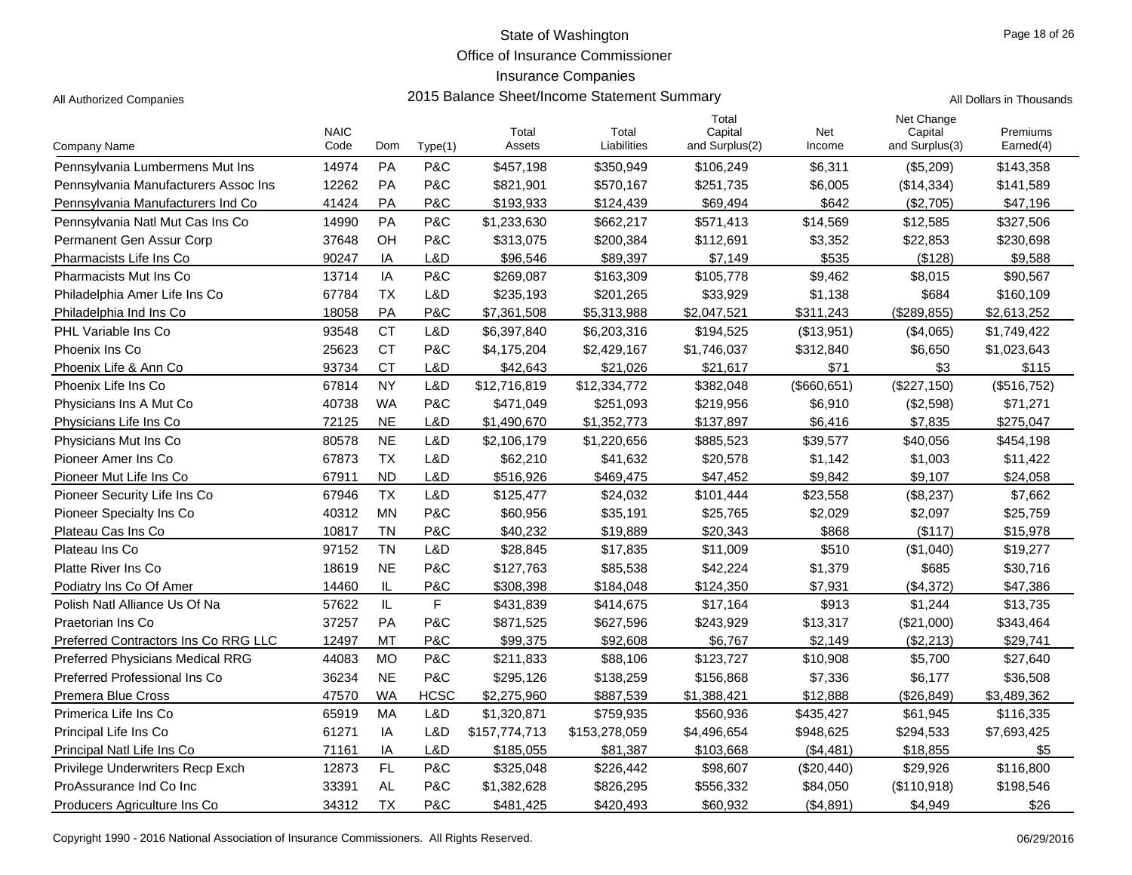Office of Insurance Commissioner

## Insurance Companies

| Il Dollare in Thousande |  |  |
|-------------------------|--|--|

| Company Name                            | <b>NAIC</b><br>Code | Dom       | Type(1)     | Total<br>Assets | Total<br>Liabilities | Total<br>Capital<br>and Surplus(2) | Net<br>Income | Net Change<br>Capital<br>and Surplus(3) | Premiums<br>Earned(4) |
|-----------------------------------------|---------------------|-----------|-------------|-----------------|----------------------|------------------------------------|---------------|-----------------------------------------|-----------------------|
| Pennsylvania Lumbermens Mut Ins         | 14974               | <b>PA</b> | P&C         | \$457,198       | \$350,949            | \$106,249                          | \$6,311       | (\$5,209)                               | \$143,358             |
| Pennsylvania Manufacturers Assoc Ins    | 12262               | PA        | P&C         | \$821,901       | \$570,167            | \$251.735                          | \$6,005       | (\$14,334)                              | \$141,589             |
| Pennsylvania Manufacturers Ind Co       | 41424               | PA        | P&C         | \$193,933       | \$124,439            | \$69,494                           | \$642         | (\$2,705)                               | \$47,196              |
| Pennsylvania Natl Mut Cas Ins Co        | 14990               | PA        | P&C         | \$1,233,630     | \$662,217            | \$571,413                          | \$14,569      | \$12,585                                | \$327,506             |
| Permanent Gen Assur Corp                | 37648               | OH        | P&C         | \$313,075       | \$200,384            | \$112,691                          | \$3,352       | \$22,853                                | \$230,698             |
| Pharmacists Life Ins Co                 | 90247               | IA        | L&D         | \$96.546        | \$89.397             | \$7,149                            | \$535         | ( \$128)                                | \$9.588               |
| <b>Pharmacists Mut Ins Co</b>           | 13714               | IA        | P&C         | \$269,087       | \$163,309            | \$105,778                          | \$9,462       | \$8,015                                 | \$90,567              |
| Philadelphia Amer Life Ins Co           | 67784               | <b>TX</b> | L&D         | \$235,193       | \$201,265            | \$33,929                           | \$1,138       | \$684                                   | \$160,109             |
| Philadelphia Ind Ins Co.                | 18058               | PA        | P&C         | \$7,361,508     | \$5,313,988          | \$2,047,521                        | \$311,243     | (\$289,855)                             | \$2,613,252           |
| PHL Variable Ins Co                     | 93548               | <b>CT</b> | L&D         | \$6,397,840     | \$6,203,316          | \$194,525                          | (\$13,951)    | (\$4,065)                               | \$1,749,422           |
| Phoenix Ins Co                          | 25623               | <b>CT</b> | P&C         | \$4,175,204     | \$2,429,167          | \$1,746,037                        | \$312,840     | \$6,650                                 | \$1,023,643           |
| Phoenix Life & Ann Co                   | 93734               | <b>CT</b> | L&D         | \$42,643        | \$21,026             | \$21,617                           | \$71          | \$3                                     | \$115                 |
| Phoenix Life Ins Co                     | 67814               | <b>NY</b> | L&D         | \$12,716,819    | \$12,334,772         | \$382,048                          | (\$660, 651)  | (\$227,150)                             | (\$516,752)           |
| Physicians Ins A Mut Co                 | 40738               | <b>WA</b> | P&C         | \$471,049       | \$251,093            | \$219,956                          | \$6,910       | (\$2,598)                               | \$71,271              |
| Physicians Life Ins Co                  | 72125               | <b>NE</b> | L&D         | \$1,490,670     | \$1,352,773          | \$137,897                          | \$6,416       | \$7,835                                 | \$275,047             |
| Physicians Mut Ins Co                   | 80578               | <b>NE</b> | L&D         | \$2,106,179     | \$1,220,656          | \$885,523                          | \$39,577      | \$40,056                                | \$454,198             |
| Pioneer Amer Ins Co                     | 67873               | <b>TX</b> | L&D         | \$62,210        | \$41,632             | \$20,578                           | \$1,142       | \$1,003                                 | \$11,422              |
| Pioneer Mut Life Ins Co                 | 67911               | <b>ND</b> | L&D         | \$516,926       | \$469,475            | \$47,452                           | \$9.842       | \$9,107                                 | \$24,058              |
| Pioneer Security Life Ins Co            | 67946               | <b>TX</b> | L&D         | \$125,477       | \$24,032             | \$101,444                          | \$23,558      | (\$8,237)                               | \$7,662               |
| Pioneer Specialty Ins Co                | 40312               | <b>MN</b> | P&C         | \$60,956        | \$35,191             | \$25,765                           | \$2,029       | \$2,097                                 | \$25,759              |
| Plateau Cas Ins Co                      | 10817               | TN        | P&C         | \$40.232        | \$19,889             | \$20,343                           | \$868         | $($ \$117 $)$                           | \$15,978              |
| Plateau Ins Co                          | 97152               | <b>TN</b> | L&D         | \$28,845        | \$17,835             | \$11,009                           | \$510         | (\$1,040)                               | \$19,277              |
| Platte River Ins Co                     | 18619               | <b>NE</b> | P&C         | \$127,763       | \$85,538             | \$42,224                           | \$1,379       | \$685                                   | \$30,716              |
| Podiatry Ins Co Of Amer                 | 14460               | IL        | P&C         | \$308,398       | \$184,048            | \$124,350                          | \$7,931       | (\$4,372)                               | \$47,386              |
| Polish Natl Alliance Us Of Na           | 57622               | IL        | F           | \$431,839       | \$414,675            | \$17,164                           | \$913         | \$1,244                                 | \$13,735              |
| Praetorian Ins Co                       | 37257               | PA        | P&C         | \$871,525       | \$627,596            | \$243,929                          | \$13,317      | (\$21,000)                              | \$343,464             |
| Preferred Contractors Ins Co RRG LLC    | 12497               | MT        | P&C         | \$99,375        | \$92,608             | \$6,767                            | \$2,149       | (\$2,213)                               | \$29,741              |
| <b>Preferred Physicians Medical RRG</b> | 44083               | <b>MO</b> | P&C         | \$211,833       | \$88,106             | \$123,727                          | \$10,908      | \$5,700                                 | \$27,640              |
| Preferred Professional Ins Co           | 36234               | <b>NE</b> | P&C         | \$295,126       | \$138,259            | \$156,868                          | \$7,336       | \$6,177                                 | \$36,508              |
| <b>Premera Blue Cross</b>               | 47570               | <b>WA</b> | <b>HCSC</b> | \$2,275,960     | \$887,539            | \$1,388,421                        | \$12,888      | (\$26,849)                              | \$3,489,362           |
| Primerica Life Ins Co                   | 65919               | MA        | L&D         | \$1,320,871     | \$759,935            | \$560,936                          | \$435,427     | \$61,945                                | \$116,335             |
| Principal Life Ins Co                   | 61271               | IA        | L&D         | \$157,774,713   | \$153,278,059        | \$4,496,654                        | \$948,625     | \$294,533                               | \$7,693,425           |
| Principal Natl Life Ins Co              | 71161               | IA        | L&D         | \$185,055       | \$81,387             | \$103,668                          | (\$4,481)     | \$18,855                                | \$5                   |
| Privilege Underwriters Recp Exch        | 12873               | FL        | P&C         | \$325,048       | \$226,442            | \$98,607                           | (\$20,440)    | \$29,926                                | \$116,800             |
| ProAssurance Ind Co Inc                 | 33391               | <b>AL</b> | P&C         | \$1,382,628     | \$826,295            | \$556,332                          | \$84,050      | (\$110,918)                             | \$198,546             |
| Producers Agriculture Ins Co            | 34312               | <b>TX</b> | P&C         | \$481,425       | \$420,493            | \$60,932                           | (\$4,891)     | \$4,949                                 | \$26                  |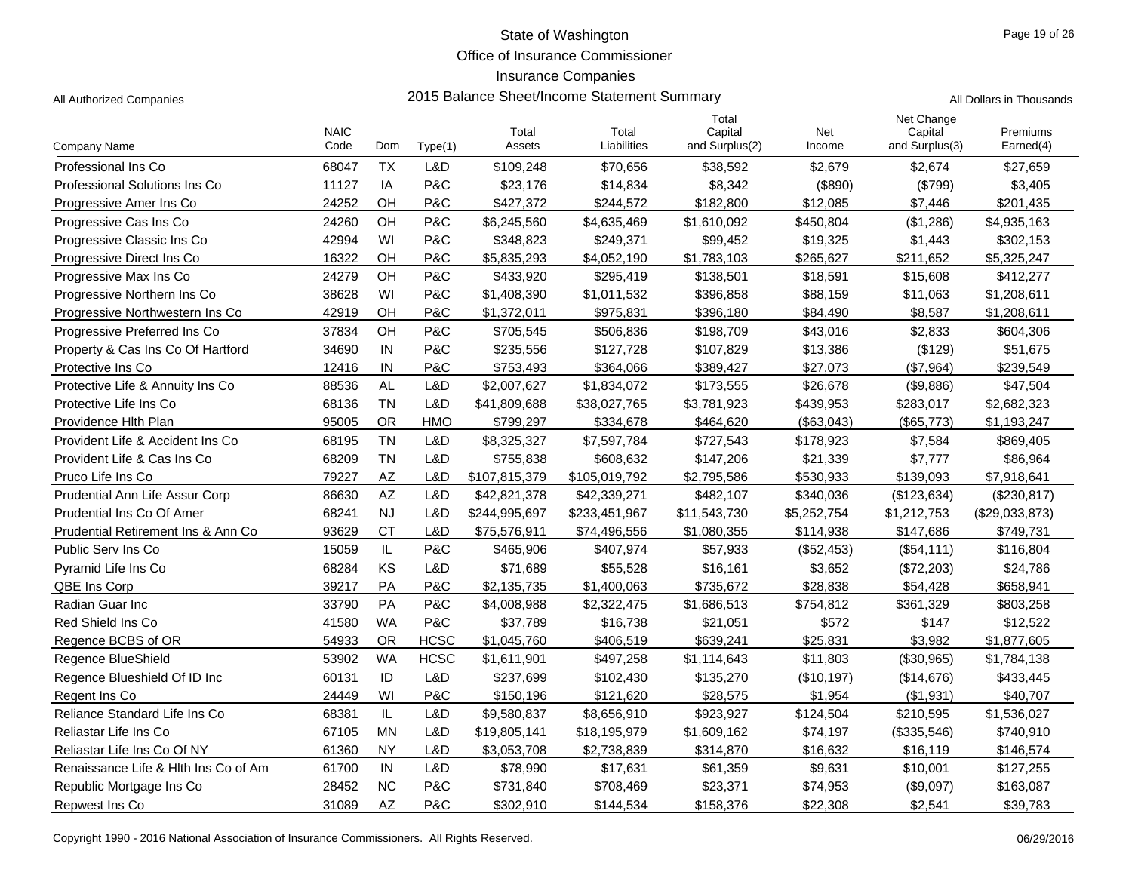Office of Insurance Commissioner

## Insurance Companies

|                                      | <b>NAIC</b> |           |             | Total         | Total         | Total<br>Capital | Net         | Net Change<br>Capital | Premiums       |
|--------------------------------------|-------------|-----------|-------------|---------------|---------------|------------------|-------------|-----------------------|----------------|
| Company Name                         | Code        | Dom       | Type(1)     | Assets        | Liabilities   | and Surplus(2)   | Income      | and Surplus(3)        | Earned(4)      |
| Professional Ins Co                  | 68047       | <b>TX</b> | L&D         | \$109,248     | \$70,656      | \$38,592         | \$2,679     | \$2,674               | \$27,659       |
| <b>Professional Solutions Ins Co</b> | 11127       | IA        | P&C         | \$23,176      | \$14,834      | \$8,342          | (\$890)     | (\$799)               | \$3,405        |
| Progressive Amer Ins Co.             | 24252       | OH        | P&C         | \$427,372     | \$244,572     | \$182,800        | \$12,085    | \$7,446               | \$201,435      |
| Progressive Cas Ins Co               | 24260       | OH        | P&C         | \$6,245,560   | \$4,635,469   | \$1,610,092      | \$450,804   | (\$1,286)             | \$4,935,163    |
| Progressive Classic Ins Co           | 42994       | WI        | P&C         | \$348,823     | \$249,371     | \$99,452         | \$19,325    | \$1,443               | \$302,153      |
| Progressive Direct Ins Co            | 16322       | OH        | P&C         | \$5,835,293   | \$4,052,190   | \$1,783,103      | \$265,627   | \$211,652             | \$5,325,247    |
| Progressive Max Ins Co               | 24279       | OH        | P&C         | \$433,920     | \$295,419     | \$138,501        | \$18,591    | \$15,608              | \$412,277      |
| Progressive Northern Ins Co          | 38628       | WI        | P&C         | \$1,408,390   | \$1,011,532   | \$396,858        | \$88,159    | \$11,063              | \$1,208,611    |
| Progressive Northwestern Ins Co.     | 42919       | OH        | P&C         | \$1,372,011   | \$975,831     | \$396,180        | \$84,490    | \$8,587               | \$1,208,611    |
| Progressive Preferred Ins Co         | 37834       | OH        | P&C         | \$705,545     | \$506,836     | \$198,709        | \$43,016    | \$2,833               | \$604,306      |
| Property & Cas Ins Co Of Hartford    | 34690       | IN        | P&C         | \$235,556     | \$127,728     | \$107,829        | \$13,386    | (\$129)               | \$51,675       |
| Protective Ins Co                    | 12416       | IN        | P&C         | \$753,493     | \$364,066     | \$389,427        | \$27,073    | (\$7,964)             | \$239,549      |
| Protective Life & Annuity Ins Co     | 88536       | <b>AL</b> | L&D         | \$2,007,627   | \$1,834,072   | \$173,555        | \$26,678    | (\$9,886)             | \$47,504       |
| Protective Life Ins Co               | 68136       | <b>TN</b> | L&D         | \$41,809,688  | \$38,027,765  | \$3,781,923      | \$439,953   | \$283,017             | \$2,682,323    |
| Providence Hith Plan                 | 95005       | <b>OR</b> | <b>HMO</b>  | \$799.297     | \$334,678     | \$464,620        | (\$63,043)  | (\$65,773)            | \$1,193,247    |
| Provident Life & Accident Ins Co.    | 68195       | <b>TN</b> | L&D         | \$8,325,327   | \$7,597,784   | \$727,543        | \$178,923   | \$7,584               | \$869,405      |
| Provident Life & Cas Ins Co          | 68209       | <b>TN</b> | L&D         | \$755,838     | \$608,632     | \$147,206        | \$21,339    | \$7,777               | \$86,964       |
| Pruco Life Ins Co                    | 79227       | AZ        | L&D         | \$107,815,379 | \$105,019,792 | \$2,795,586      | \$530,933   | \$139,093             | \$7,918,641    |
| Prudential Ann Life Assur Corp       | 86630       | AZ        | L&D         | \$42,821,378  | \$42,339,271  | \$482,107        | \$340,036   | (\$123,634)           | (\$230, 817)   |
| Prudential Ins Co Of Amer            | 68241       | <b>NJ</b> | L&D         | \$244,995,697 | \$233,451,967 | \$11,543,730     | \$5,252,754 | \$1,212,753           | (\$29,033,873) |
| Prudential Retirement Ins & Ann Co   | 93629       | <b>CT</b> | L&D         | \$75,576,911  | \$74,496,556  | \$1,080,355      | \$114,938   | \$147,686             | \$749,731      |
| Public Serv Ins Co                   | 15059       | IL        | P&C         | \$465,906     | \$407,974     | \$57,933         | (\$52,453)  | (\$54,111)            | \$116,804      |
| Pyramid Life Ins Co                  | 68284       | KS        | L&D         | \$71,689      | \$55,528      | \$16,161         | \$3,652     | (\$72,203)            | \$24,786       |
| QBE Ins Corp                         | 39217       | PA        | P&C         | \$2,135,735   | \$1,400,063   | \$735,672        | \$28,838    | \$54,428              | \$658,941      |
| Radian Guar Inc                      | 33790       | PA        | P&C         | \$4,008,988   | \$2,322,475   | \$1,686,513      | \$754,812   | \$361,329             | \$803,258      |
| Red Shield Ins Co                    | 41580       | <b>WA</b> | P&C         | \$37,789      | \$16,738      | \$21,051         | \$572       | \$147                 | \$12,522       |
| Regence BCBS of OR                   | 54933       | <b>OR</b> | <b>HCSC</b> | \$1,045,760   | \$406,519     | \$639,241        | \$25,831    | \$3,982               | \$1,877,605    |
| Regence BlueShield                   | 53902       | <b>WA</b> | <b>HCSC</b> | \$1,611,901   | \$497,258     | \$1,114,643      | \$11,803    | (\$30,965)            | \$1,784,138    |
| Regence Blueshield Of ID Inc         | 60131       | ID        | L&D         | \$237,699     | \$102,430     | \$135,270        | (\$10,197)  | (\$14,676)            | \$433,445      |
| Regent Ins Co.                       | 24449       | WI        | P&C         | \$150,196     | \$121,620     | \$28,575         | \$1,954     | (\$1,931)             | \$40,707       |
| Reliance Standard Life Ins Co        | 68381       | IL        | L&D         | \$9,580,837   | \$8,656,910   | \$923,927        | \$124,504   | \$210,595             | \$1,536,027    |
| Reliastar Life Ins Co                | 67105       | <b>MN</b> | L&D         | \$19,805,141  | \$18,195,979  | \$1,609,162      | \$74,197    | (\$335,546)           | \$740,910      |
| Reliastar Life Ins Co Of NY          | 61360       | <b>NY</b> | L&D         | \$3,053,708   | \$2,738,839   | \$314,870        | \$16,632    | \$16,119              | \$146,574      |
| Renaissance Life & Hith Ins Co of Am | 61700       | IN        | L&D         | \$78,990      | \$17,631      | \$61,359         | \$9,631     | \$10,001              | \$127,255      |
| Republic Mortgage Ins Co             | 28452       | <b>NC</b> | P&C         | \$731,840     | \$708,469     | \$23,371         | \$74,953    | (\$9,097)             | \$163,087      |
| Repwest Ins Co                       | 31089       | AZ        | P&C         | \$302,910     | \$144,534     | \$158,376        | \$22,308    | \$2,541               | \$39,783       |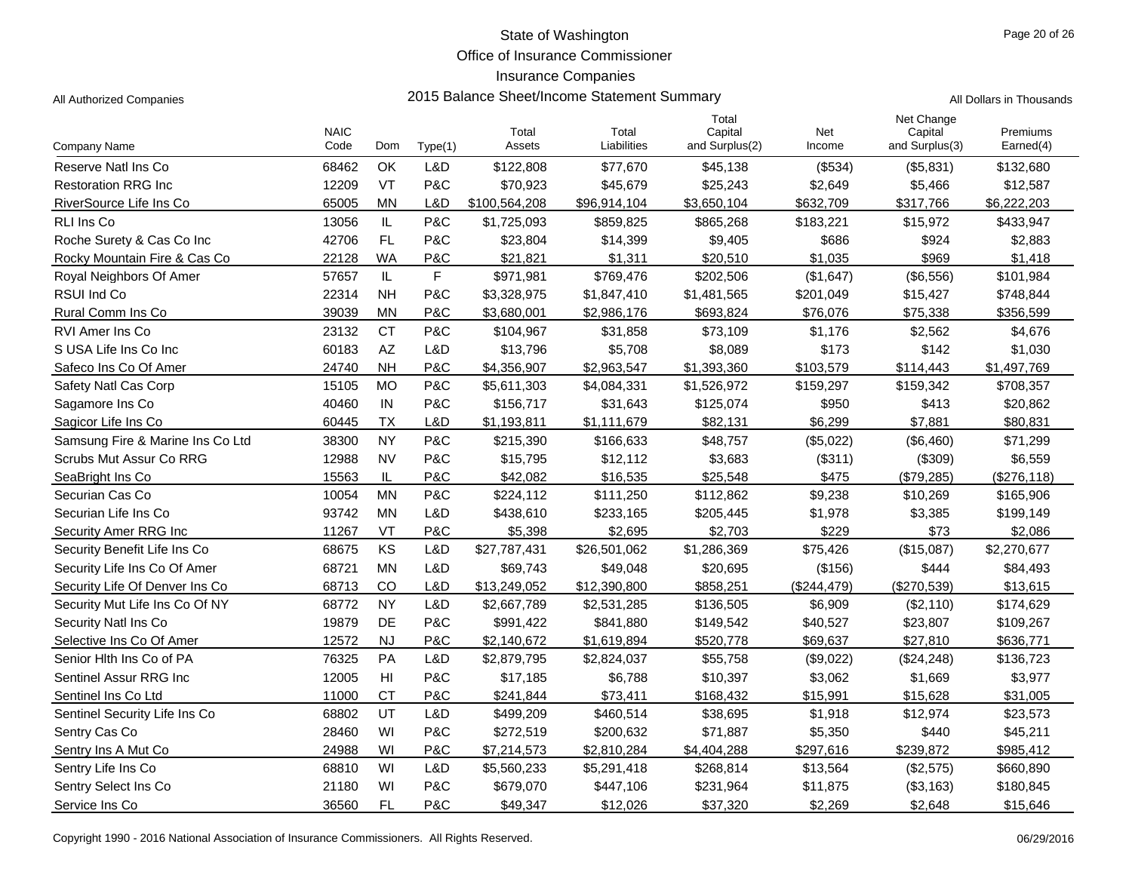Office of Insurance Commissioner

#### Insurance Companies

|  | Il Dollars in Thousands. |
|--|--------------------------|

|                                  | <b>NAIC</b> |           |         | Total         | Total        | Total<br>Capital | Net         | Net Change<br>Capital | Premiums     |
|----------------------------------|-------------|-----------|---------|---------------|--------------|------------------|-------------|-----------------------|--------------|
| Company Name                     | Code        | Dom       | Type(1) | Assets        | Liabilities  | and Surplus(2)   | Income      | and Surplus(3)        | Earned(4)    |
| Reserve Natl Ins Co              | 68462       | OK        | L&D     | \$122,808     | \$77,670     | \$45,138         | (\$534)     | (\$5,831)             | \$132,680    |
| <b>Restoration RRG Inc</b>       | 12209       | VT        | P&C     | \$70,923      | \$45,679     | \$25,243         | \$2,649     | \$5,466               | \$12,587     |
| RiverSource Life Ins Co          | 65005       | <b>MN</b> | L&D     | \$100,564,208 | \$96,914,104 | \$3,650,104      | \$632,709   | \$317,766             | \$6,222,203  |
| RLI Ins Co                       | 13056       | IL        | P&C     | \$1,725,093   | \$859,825    | \$865,268        | \$183,221   | \$15,972              | \$433,947    |
| Roche Surety & Cas Co Inc        | 42706       | <b>FL</b> | P&C     | \$23,804      | \$14,399     | \$9,405          | \$686       | \$924                 | \$2,883      |
| Rocky Mountain Fire & Cas Co     | 22128       | <b>WA</b> | P&C     | \$21,821      | \$1,311      | \$20,510         | \$1,035     | \$969                 | \$1,418      |
| Royal Neighbors Of Amer          | 57657       | IL        | F       | \$971,981     | \$769,476    | \$202,506        | (\$1,647)   | (\$6,556)             | \$101,984    |
| <b>RSUI Ind Co</b>               | 22314       | <b>NH</b> | P&C     | \$3,328,975   | \$1,847,410  | \$1,481,565      | \$201,049   | \$15,427              | \$748,844    |
| Rural Comm Ins Co                | 39039       | <b>MN</b> | P&C     | \$3,680,001   | \$2,986,176  | \$693,824        | \$76,076    | \$75,338              | \$356,599    |
| <b>RVI Amer Ins Co</b>           | 23132       | <b>CT</b> | P&C     | \$104,967     | \$31,858     | \$73,109         | \$1,176     | \$2,562               | \$4,676      |
| S USA Life Ins Co Inc            | 60183       | AZ        | L&D     | \$13,796      | \$5,708      | \$8,089          | \$173       | \$142                 | \$1,030      |
| Safeco Ins Co Of Amer            | 24740       | <b>NH</b> | P&C     | \$4,356,907   | \$2.963.547  | \$1,393,360      | \$103,579   | \$114,443             | \$1,497,769  |
| Safety Natl Cas Corp             | 15105       | <b>MO</b> | P&C     | \$5,611,303   | \$4,084,331  | \$1,526,972      | \$159,297   | \$159,342             | \$708,357    |
| Sagamore Ins Co                  | 40460       | IN        | P&C     | \$156,717     | \$31,643     | \$125,074        | \$950       | \$413                 | \$20,862     |
| Sagicor Life Ins Co              | 60445       | <b>TX</b> | L&D     | \$1,193,811   | \$1,111,679  | \$82,131         | \$6,299     | \$7,881               | \$80,831     |
| Samsung Fire & Marine Ins Co Ltd | 38300       | <b>NY</b> | P&C     | \$215,390     | \$166,633    | \$48,757         | (\$5,022)   | (\$6,460)             | \$71,299     |
| Scrubs Mut Assur Co RRG          | 12988       | <b>NV</b> | P&C     | \$15,795      | \$12,112     | \$3,683          | (\$311)     | (\$309)               | \$6,559      |
| SeaBright Ins Co                 | 15563       | IL        | P&C     | \$42,082      | \$16,535     | \$25,548         | \$475       | (\$79,285)            | (\$276, 118) |
| Securian Cas Co                  | 10054       | <b>MN</b> | P&C     | \$224,112     | \$111,250    | \$112,862        | \$9,238     | \$10,269              | \$165,906    |
| Securian Life Ins Co             | 93742       | <b>MN</b> | L&D     | \$438,610     | \$233,165    | \$205,445        | \$1,978     | \$3,385               | \$199,149    |
| Security Amer RRG Inc            | 11267       | VT        | P&C     | \$5.398       | \$2.695      | \$2,703          | \$229       | \$73                  | \$2,086      |
| Security Benefit Life Ins Co     | 68675       | KS        | L&D     | \$27,787,431  | \$26,501,062 | \$1,286,369      | \$75,426    | (\$15,087)            | \$2,270,677  |
| Security Life Ins Co Of Amer     | 68721       | <b>MN</b> | L&D     | \$69,743      | \$49,048     | \$20,695         | (\$156)     | \$444                 | \$84,493     |
| Security Life Of Denver Ins Co   | 68713       | CO        | L&D     | \$13,249,052  | \$12,390,800 | \$858,251        | (\$244,479) | (\$270,539)           | \$13,615     |
| Security Mut Life Ins Co Of NY   | 68772       | <b>NY</b> | L&D     | \$2,667,789   | \$2,531,285  | \$136,505        | \$6,909     | (\$2,110)             | \$174,629    |
| Security Natl Ins Co             | 19879       | DE        | P&C     | \$991,422     | \$841,880    | \$149,542        | \$40,527    | \$23,807              | \$109,267    |
| Selective Ins Co Of Amer         | 12572       | <b>NJ</b> | P&C     | \$2,140,672   | \$1,619,894  | \$520,778        | \$69,637    | \$27,810              | \$636,771    |
| Senior Hith Ins Co of PA         | 76325       | PA        | L&D     | \$2,879,795   | \$2,824,037  | \$55,758         | (\$9,022)   | (\$24,248)            | \$136,723    |
| Sentinel Assur RRG Inc           | 12005       | H         | P&C     | \$17,185      | \$6,788      | \$10,397         | \$3,062     | \$1,669               | \$3,977      |
| Sentinel Ins Co Ltd              | 11000       | <b>CT</b> | P&C     | \$241,844     | \$73,411     | \$168,432        | \$15,991    | \$15,628              | \$31,005     |
| Sentinel Security Life Ins Co    | 68802       | UT        | L&D     | \$499,209     | \$460,514    | \$38,695         | \$1,918     | \$12,974              | \$23,573     |
| Sentry Cas Co                    | 28460       | WI        | P&C     | \$272,519     | \$200,632    | \$71,887         | \$5,350     | \$440                 | \$45,211     |
| Sentry Ins A Mut Co              | 24988       | WI        | P&C     | \$7,214,573   | \$2,810,284  | \$4,404,288      | \$297,616   | \$239,872             | \$985,412    |
| Sentry Life Ins Co               | 68810       | WI        | L&D     | \$5,560,233   | \$5,291,418  | \$268,814        | \$13,564    | (\$2,575)             | \$660,890    |
| Sentry Select Ins Co             | 21180       | WI        | P&C     | \$679,070     | \$447,106    | \$231,964        | \$11,875    | (\$3,163)             | \$180,845    |
| Service Ins Co                   | 36560       | <b>FL</b> | P&C     | \$49,347      | \$12,026     | \$37,320         | \$2,269     | \$2,648               | \$15,646     |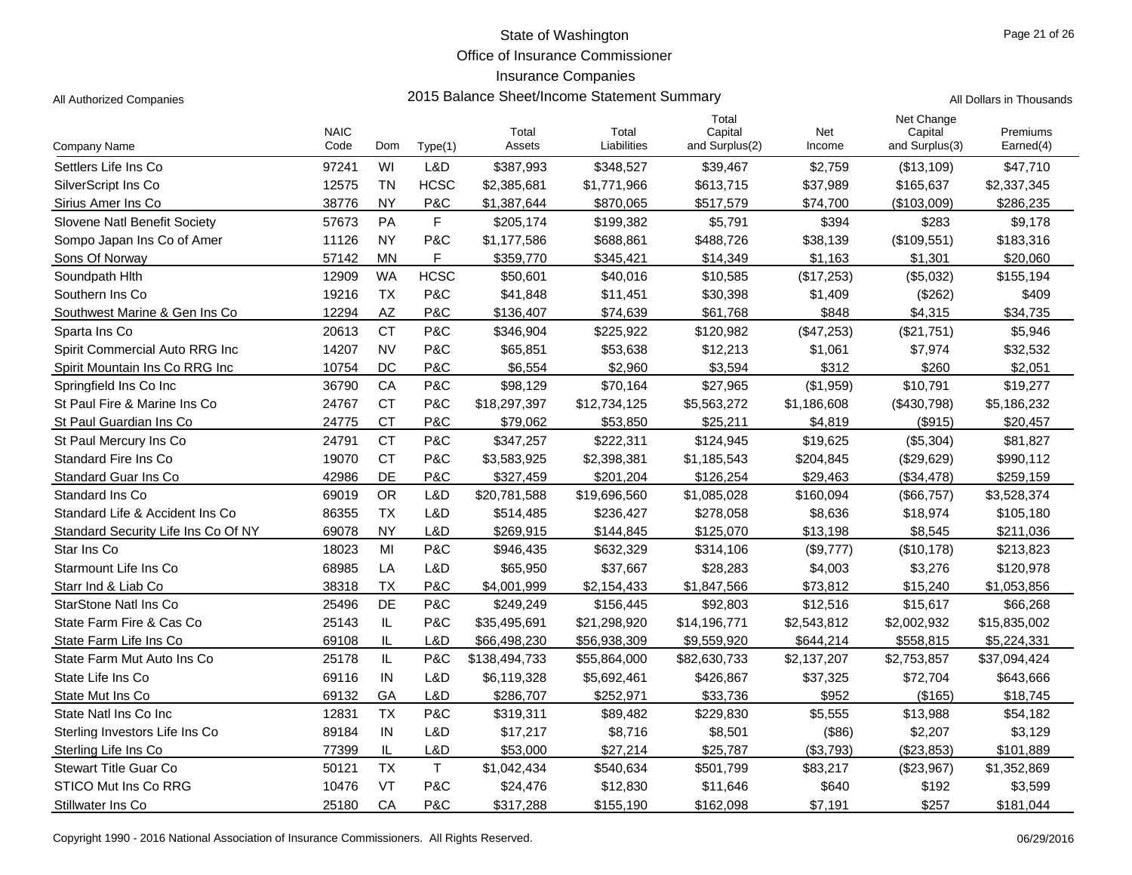Office of Insurance Commissioner

#### Insurance Companies

|                                     | <b>NAIC</b> |           |             | Total         | Total        | Total<br>Capital | Net         | Net Change<br>Capital | Premiums     |
|-------------------------------------|-------------|-----------|-------------|---------------|--------------|------------------|-------------|-----------------------|--------------|
| Company Name                        | Code        | Dom       | Type(1)     | Assets        | Liabilities  | and Surplus(2)   | Income      | and Surplus(3)        | Earned(4)    |
| Settlers Life Ins Co                | 97241       | WI        | L&D         | \$387,993     | \$348,527    | \$39,467         | \$2,759     | (\$13,109)            | \$47,710     |
| SilverScript Ins Co                 | 12575       | <b>TN</b> | <b>HCSC</b> | \$2,385,681   | \$1,771,966  | \$613,715        | \$37,989    | \$165,637             | \$2,337,345  |
| Sirius Amer Ins Co                  | 38776       | <b>NY</b> | P&C         | \$1,387,644   | \$870,065    | \$517,579        | \$74,700    | (\$103,009)           | \$286,235    |
| Slovene Natl Benefit Society        | 57673       | PA        | $\mathsf F$ | \$205,174     | \$199,382    | \$5,791          | \$394       | \$283                 | \$9,178      |
| Sompo Japan Ins Co of Amer          | 11126       | <b>NY</b> | P&C         | \$1,177,586   | \$688,861    | \$488,726        | \$38,139    | (\$109,551)           | \$183,316    |
| Sons Of Norway                      | 57142       | <b>MN</b> | F           | \$359,770     | \$345,421    | \$14,349         | \$1,163     | \$1,301               | \$20,060     |
| Soundpath Hlth                      | 12909       | <b>WA</b> | <b>HCSC</b> | \$50,601      | \$40,016     | \$10,585         | (\$17,253)  | (\$5,032)             | \$155,194    |
| Southern Ins Co                     | 19216       | <b>TX</b> | P&C         | \$41,848      | \$11,451     | \$30,398         | \$1,409     | (\$262)               | \$409        |
| Southwest Marine & Gen Ins Co       | 12294       | AZ        | P&C         | \$136,407     | \$74,639     | \$61.768         | \$848       | \$4,315               | \$34.735     |
| Sparta Ins Co                       | 20613       | <b>CT</b> | P&C         | \$346,904     | \$225,922    | \$120,982        | (\$47,253)  | (\$21,751)            | \$5,946      |
| Spirit Commercial Auto RRG Inc      | 14207       | <b>NV</b> | P&C         | \$65,851      | \$53,638     | \$12,213         | \$1,061     | \$7,974               | \$32,532     |
| Spirit Mountain Ins Co RRG Inc      | 10754       | DC        | P&C         | \$6,554       | \$2,960      | \$3,594          | \$312       | \$260                 | \$2,051      |
| Springfield Ins Co Inc              | 36790       | CA        | P&C         | \$98,129      | \$70,164     | \$27,965         | (\$1,959)   | \$10,791              | \$19,277     |
| St Paul Fire & Marine Ins Co        | 24767       | <b>CT</b> | P&C         | \$18,297,397  | \$12,734,125 | \$5,563,272      | \$1,186,608 | (\$430,798)           | \$5,186,232  |
| St Paul Guardian Ins Co             | 24775       | <b>CT</b> | P&C         | \$79,062      | \$53,850     | \$25,211         | \$4,819     | (\$915)               | \$20,457     |
| St Paul Mercury Ins Co              | 24791       | <b>CT</b> | P&C         | \$347,257     | \$222,311    | \$124,945        | \$19,625    | (\$5,304)             | \$81,827     |
| <b>Standard Fire Ins Co</b>         | 19070       | <b>CT</b> | P&C         | \$3,583,925   | \$2,398,381  | \$1,185,543      | \$204,845   | (\$29,629)            | \$990,112    |
| Standard Guar Ins Co                | 42986       | DE        | P&C         | \$327,459     | \$201,204    | \$126,254        | \$29,463    | (\$34,478)            | \$259,159    |
| Standard Ins Co                     | 69019       | <b>OR</b> | L&D         | \$20,781,588  | \$19,696,560 | \$1,085,028      | \$160,094   | (\$66,757)            | \$3,528,374  |
| Standard Life & Accident Ins Co     | 86355       | <b>TX</b> | L&D         | \$514,485     | \$236,427    | \$278,058        | \$8,636     | \$18,974              | \$105,180    |
| Standard Security Life Ins Co Of NY | 69078       | <b>NY</b> | L&D         | \$269,915     | \$144,845    | \$125,070        | \$13,198    | \$8,545               | \$211,036    |
| Star Ins Co                         | 18023       | MI        | P&C         | \$946,435     | \$632,329    | \$314,106        | (\$9,777)   | (\$10,178)            | \$213,823    |
| Starmount Life Ins Co               | 68985       | LA        | L&D         | \$65,950      | \$37,667     | \$28,283         | \$4,003     | \$3,276               | \$120,978    |
| Starr Ind & Liab Co                 | 38318       | <b>TX</b> | P&C         | \$4,001,999   | \$2,154,433  | \$1,847,566      | \$73,812    | \$15,240              | \$1,053,856  |
| <b>StarStone Natl Ins Co</b>        | 25496       | DE        | P&C         | \$249,249     | \$156,445    | \$92,803         | \$12,516    | \$15,617              | \$66,268     |
| State Farm Fire & Cas Co            | 25143       | IL        | P&C         | \$35,495,691  | \$21,298,920 | \$14,196,771     | \$2,543,812 | \$2,002,932           | \$15,835,002 |
| State Farm Life Ins Co              | 69108       | IL        | L&D         | \$66,498,230  | \$56,938,309 | \$9,559,920      | \$644,214   | \$558,815             | \$5,224,331  |
| State Farm Mut Auto Ins Co          | 25178       | IL        | P&C         | \$138,494,733 | \$55,864,000 | \$82,630,733     | \$2,137,207 | \$2,753,857           | \$37,094,424 |
| State Life Ins Co                   | 69116       | IN        | L&D         | \$6,119,328   | \$5,692,461  | \$426,867        | \$37,325    | \$72,704              | \$643,666    |
| State Mut Ins Co                    | 69132       | GA        | L&D         | \$286,707     | \$252,971    | \$33,736         | \$952       | (\$165)               | \$18,745     |
| State Natl Ins Co Inc               | 12831       | <b>TX</b> | P&C         | \$319,311     | \$89,482     | \$229,830        | \$5,555     | \$13,988              | \$54,182     |
| Sterling Investors Life Ins Co      | 89184       | IN        | L&D         | \$17,217      | \$8,716      | \$8,501          | (\$86)      | \$2,207               | \$3,129      |
| Sterling Life Ins Co                | 77399       | IL        | L&D         | \$53,000      | \$27,214     | \$25,787         | (\$3,793)   | (\$23,853)            | \$101.889    |
| Stewart Title Guar Co               | 50121       | <b>TX</b> | $\mathsf T$ | \$1,042,434   | \$540,634    | \$501,799        | \$83,217    | (\$23,967)            | \$1,352,869  |
| <b>STICO Mut Ins Co RRG</b>         | 10476       | VT        | P&C         | \$24,476      | \$12,830     | \$11,646         | \$640       | \$192                 | \$3,599      |
| Stillwater Ins Co                   | 25180       | CA        | P&C         | \$317,288     | \$155,190    | \$162,098        | \$7,191     | \$257                 | \$181,044    |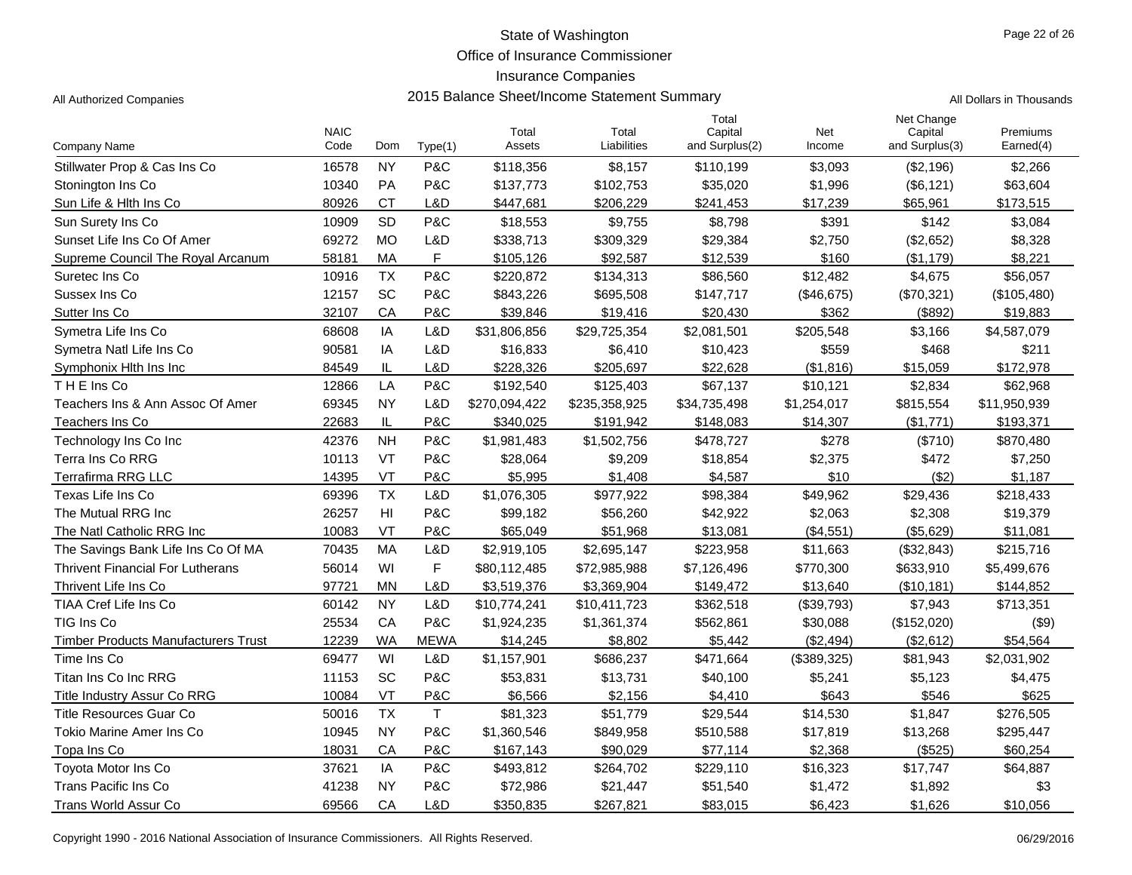Office of Insurance Commissioner

# Insurance Companies

| All Authorized Companies | 2015 Balance Sheet/Income Statement Summary | All Dollars in Thousands |
|--------------------------|---------------------------------------------|--------------------------|
|--------------------------|---------------------------------------------|--------------------------|

|                                            | <b>NAIC</b> |                |             | Total         | Total         | Total<br>Capital | Net         | Net Change<br>Capital | Premiums     |
|--------------------------------------------|-------------|----------------|-------------|---------------|---------------|------------------|-------------|-----------------------|--------------|
| Company Name                               | Code        | Dom            | Type(1)     | Assets        | Liabilities   | and Surplus(2)   | Income      | and Surplus(3)        | Earned(4)    |
| Stillwater Prop & Cas Ins Co               | 16578       | <b>NY</b>      | P&C         | \$118,356     | \$8,157       | \$110,199        | \$3,093     | (\$2,196)             | \$2,266      |
| Stonington Ins Co                          | 10340       | PA             | P&C         | \$137,773     | \$102,753     | \$35,020         | \$1,996     | (\$6, 121)            | \$63,604     |
| Sun Life & Hith Ins Co                     | 80926       | <b>CT</b>      | L&D         | \$447,681     | \$206,229     | \$241,453        | \$17,239    | \$65,961              | \$173,515    |
| Sun Surety Ins Co                          | 10909       | <b>SD</b>      | P&C         | \$18,553      | \$9,755       | \$8,798          | \$391       | \$142                 | \$3,084      |
| Sunset Life Ins Co Of Amer                 | 69272       | <b>MO</b>      | L&D         | \$338,713     | \$309,329     | \$29,384         | \$2,750     | (\$2,652)             | \$8,328      |
| Supreme Council The Royal Arcanum          | 58181       | MA             | $\mathsf F$ | \$105,126     | \$92,587      | \$12,539         | \$160       | (\$1,179)             | \$8,221      |
| Suretec Ins Co                             | 10916       | <b>TX</b>      | P&C         | \$220,872     | \$134,313     | \$86,560         | \$12,482    | \$4,675               | \$56,057     |
| Sussex Ins Co                              | 12157       | SC             | P&C         | \$843,226     | \$695,508     | \$147,717        | (\$46,675)  | (\$70,321)            | (\$105,480)  |
| Sutter Ins Co.                             | 32107       | CA             | P&C         | \$39,846      | \$19,416      | \$20,430         | \$362       | (\$892)               | \$19,883     |
| Symetra Life Ins Co                        | 68608       | IA             | L&D         | \$31,806,856  | \$29,725,354  | \$2,081,501      | \$205,548   | \$3,166               | \$4,587,079  |
| Symetra Natl Life Ins Co                   | 90581       | IA             | L&D         | \$16,833      | \$6,410       | \$10,423         | \$559       | \$468                 | \$211        |
| Symphonix Hith Ins Inc.                    | 84549       | IL             | L&D         | \$228,326     | \$205,697     | \$22,628         | (\$1,816)   | \$15,059              | \$172,978    |
| THE Ins Co                                 | 12866       | LA             | P&C         | \$192,540     | \$125,403     | \$67,137         | \$10,121    | \$2,834               | \$62,968     |
| Teachers Ins & Ann Assoc Of Amer           | 69345       | <b>NY</b>      | L&D         | \$270,094,422 | \$235,358,925 | \$34,735,498     | \$1,254,017 | \$815,554             | \$11,950,939 |
| Teachers Ins Co                            | 22683       | IL             | P&C         | \$340,025     | \$191,942     | \$148,083        | \$14,307    | (\$1,771)             | \$193,371    |
| Technology Ins Co Inc                      | 42376       | <b>NH</b>      | P&C         | \$1,981,483   | \$1,502,756   | \$478,727        | \$278       | (\$710)               | \$870,480    |
| Terra Ins Co RRG                           | 10113       | VT             | P&C         | \$28,064      | \$9,209       | \$18,854         | \$2,375     | \$472                 | \$7,250      |
| <b>Terrafirma RRG LLC</b>                  | 14395       | VT             | P&C         | \$5,995       | \$1,408       | \$4,587          | \$10        | (\$2)                 | \$1,187      |
| Texas Life Ins Co                          | 69396       | <b>TX</b>      | L&D         | \$1,076,305   | \$977,922     | \$98,384         | \$49,962    | \$29,436              | \$218,433    |
| The Mutual RRG Inc.                        | 26257       | H <sub>l</sub> | P&C         | \$99,182      | \$56,260      | \$42,922         | \$2,063     | \$2,308               | \$19,379     |
| The Natl Catholic RRG Inc                  | 10083       | VT             | P&C         | \$65,049      | \$51,968      | \$13,081         | (\$4,551)   | (\$5,629)             | \$11,081     |
| The Savings Bank Life Ins Co Of MA         | 70435       | MA             | L&D         | \$2,919,105   | \$2,695,147   | \$223,958        | \$11,663    | (\$32,843)            | \$215,716    |
| <b>Thrivent Financial For Lutherans</b>    | 56014       | WI             | $\mathsf F$ | \$80,112,485  | \$72,985,988  | \$7,126,496      | \$770,300   | \$633,910             | \$5,499,676  |
| Thrivent Life Ins Co                       | 97721       | <b>MN</b>      | L&D         | \$3,519,376   | \$3,369,904   | \$149,472        | \$13,640    | (\$10, 181)           | \$144,852    |
| TIAA Cref Life Ins Co                      | 60142       | <b>NY</b>      | L&D         | \$10,774,241  | \$10,411,723  | \$362,518        | (\$39,793)  | \$7,943               | \$713,351    |
| TIG Ins Co                                 | 25534       | CA             | P&C         | \$1,924,235   | \$1,361,374   | \$562,861        | \$30,088    | (\$152,020)           | ( \$9)       |
| <b>Timber Products Manufacturers Trust</b> | 12239       | <b>WA</b>      | <b>MEWA</b> | \$14,245      | \$8,802       | \$5,442          | (\$2,494)   | (\$2,612)             | \$54,564     |
| Time Ins Co                                | 69477       | WI             | L&D         | \$1,157,901   | \$686,237     | \$471,664        | (\$389,325) | \$81,943              | \$2,031,902  |
| Titan Ins Co Inc RRG                       | 11153       | SC             | P&C         | \$53,831      | \$13,731      | \$40,100         | \$5,241     | \$5,123               | \$4,475      |
| Title Industry Assur Co RRG                | 10084       | VT             | P&C         | \$6,566       | \$2,156       | \$4,410          | \$643       | \$546                 | \$625        |
| <b>Title Resources Guar Co</b>             | 50016       | <b>TX</b>      | $\mathsf T$ | \$81,323      | \$51,779      | \$29,544         | \$14,530    | \$1,847               | \$276,505    |
| Tokio Marine Amer Ins Co                   | 10945       | <b>NY</b>      | P&C         | \$1,360,546   | \$849,958     | \$510,588        | \$17,819    | \$13,268              | \$295,447    |
| Topa Ins Co                                | 18031       | CA             | P&C         | \$167,143     | \$90,029      | \$77,114         | \$2,368     | (\$525)               | \$60,254     |
| Toyota Motor Ins Co                        | 37621       | IA             | P&C         | \$493,812     | \$264,702     | \$229,110        | \$16,323    | \$17,747              | \$64,887     |
| Trans Pacific Ins Co                       | 41238       | <b>NY</b>      | P&C         | \$72,986      | \$21,447      | \$51,540         | \$1,472     | \$1,892               | \$3          |
| Trans World Assur Co                       | 69566       | CA             | L&D         | \$350,835     | \$267,821     | \$83,015         | \$6,423     | \$1,626               | \$10,056     |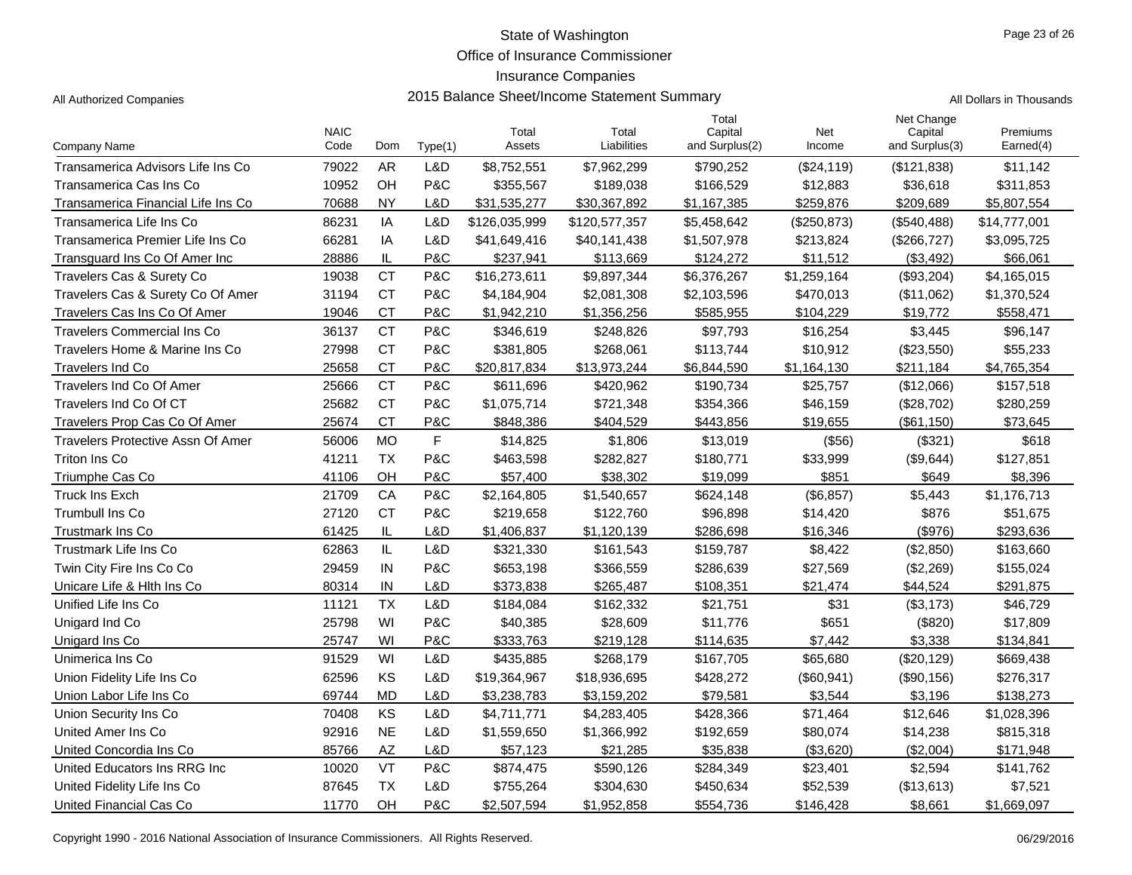Office of Insurance Commissioner

## Insurance Companies

|                                    | <b>NAIC</b> |           |         | Total         | Total         | Total<br>Capital | Net         | Net Change<br>Capital | Premiums     |
|------------------------------------|-------------|-----------|---------|---------------|---------------|------------------|-------------|-----------------------|--------------|
| Company Name                       | Code        | Dom       | Type(1) | Assets        | Liabilities   | and Surplus(2)   | Income      | and Surplus(3)        | Earned(4)    |
| Transamerica Advisors Life Ins Co  | 79022       | <b>AR</b> | L&D     | \$8,752,551   | \$7,962,299   | \$790,252        | (\$24,119)  | (\$121,838)           | \$11,142     |
| Transamerica Cas Ins Co            | 10952       | OH        | P&C     | \$355,567     | \$189,038     | \$166,529        | \$12,883    | \$36,618              | \$311,853    |
| Transamerica Financial Life Ins Co | 70688       | <b>NY</b> | L&D     | \$31,535,277  | \$30,367,892  | \$1,167,385      | \$259,876   | \$209,689             | \$5,807,554  |
| Transamerica Life Ins Co           | 86231       | IA        | L&D     | \$126,035,999 | \$120,577,357 | \$5,458,642      | (\$250,873) | (\$540,488)           | \$14,777,001 |
| Transamerica Premier Life Ins Co   | 66281       | IA        | L&D     | \$41,649,416  | \$40,141,438  | \$1,507,978      | \$213,824   | (\$266, 727)          | \$3,095,725  |
| Transquard Ins Co Of Amer Inc      | 28886       | IL        | P&C     | \$237,941     | \$113,669     | \$124,272        | \$11,512    | (\$3,492)             | \$66,061     |
| Travelers Cas & Surety Co          | 19038       | <b>CT</b> | P&C     | \$16,273,611  | \$9,897,344   | \$6,376,267      | \$1,259,164 | (\$93,204)            | \$4,165,015  |
| Travelers Cas & Surety Co Of Amer  | 31194       | <b>CT</b> | P&C     | \$4,184,904   | \$2,081,308   | \$2,103,596      | \$470,013   | (\$11,062)            | \$1,370,524  |
| Travelers Cas Ins Co Of Amer       | 19046       | <b>CT</b> | P&C     | \$1,942,210   | \$1,356,256   | \$585,955        | \$104,229   | \$19,772              | \$558,471    |
| <b>Travelers Commercial Ins Co</b> | 36137       | <b>CT</b> | P&C     | \$346,619     | \$248,826     | \$97,793         | \$16,254    | \$3,445               | \$96,147     |
| Travelers Home & Marine Ins Co     | 27998       | <b>CT</b> | P&C     | \$381,805     | \$268,061     | \$113,744        | \$10,912    | (\$23,550)            | \$55,233     |
| <b>Travelers Ind Co</b>            | 25658       | <b>CT</b> | P&C     | \$20,817,834  | \$13,973,244  | \$6,844,590      | \$1,164,130 | \$211,184             | \$4,765,354  |
| Travelers Ind Co Of Amer           | 25666       | <b>CT</b> | P&C     | \$611,696     | \$420,962     | \$190,734        | \$25,757    | (\$12,066)            | \$157,518    |
| Travelers Ind Co Of CT             | 25682       | <b>CT</b> | P&C     | \$1,075,714   | \$721,348     | \$354,366        | \$46,159    | (\$28,702)            | \$280,259    |
| Travelers Prop Cas Co Of Amer      | 25674       | <b>CT</b> | P&C     | \$848,386     | \$404,529     | \$443,856        | \$19,655    | (\$61,150)            | \$73,645     |
| Travelers Protective Assn Of Amer  | 56006       | <b>MO</b> | F       | \$14,825      | \$1,806       | \$13,019         | (\$56)      | (\$321)               | \$618        |
| Triton Ins Co                      | 41211       | <b>TX</b> | P&C     | \$463,598     | \$282,827     | \$180,771        | \$33,999    | (\$9,644)             | \$127,851    |
| Triumphe Cas Co                    | 41106       | OH        | P&C     | \$57,400      | \$38,302      | \$19,099         | \$851       | \$649                 | \$8,396      |
| <b>Truck Ins Exch</b>              | 21709       | CA        | P&C     | \$2,164,805   | \$1,540,657   | \$624,148        | (\$6,857)   | \$5,443               | \$1,176,713  |
| <b>Trumbull Ins Co</b>             | 27120       | <b>CT</b> | P&C     | \$219.658     | \$122,760     | \$96,898         | \$14,420    | \$876                 | \$51,675     |
| <b>Trustmark Ins Co</b>            | 61425       | IL        | L&D     | \$1,406,837   | \$1,120,139   | \$286,698        | \$16,346    | $($ \$976)            | \$293,636    |
| Trustmark Life Ins Co              | 62863       | IL        | L&D     | \$321,330     | \$161,543     | \$159,787        | \$8,422     | (\$2,850)             | \$163,660    |
| Twin City Fire Ins Co Co           | 29459       | IN        | P&C     | \$653,198     | \$366,559     | \$286,639        | \$27,569    | (\$2,269)             | \$155,024    |
| Unicare Life & Hith Ins Co.        | 80314       | IN        | L&D     | \$373,838     | \$265,487     | \$108,351        | \$21,474    | \$44,524              | \$291,875    |
| Unified Life Ins Co                | 11121       | <b>TX</b> | L&D     | \$184,084     | \$162,332     | \$21,751         | \$31        | (\$3,173)             | \$46,729     |
| Unigard Ind Co                     | 25798       | WI        | P&C     | \$40,385      | \$28,609      | \$11,776         | \$651       | (\$820)               | \$17,809     |
| Unigard Ins Co                     | 25747       | WI        | P&C     | \$333,763     | \$219,128     | \$114,635        | \$7,442     | \$3,338               | \$134,841    |
| Unimerica Ins Co                   | 91529       | WI        | L&D     | \$435,885     | \$268,179     | \$167,705        | \$65,680    | (\$20, 129)           | \$669,438    |
| Union Fidelity Life Ins Co         | 62596       | KS        | L&D     | \$19,364,967  | \$18,936,695  | \$428,272        | (\$60,941)  | (\$90, 156)           | \$276,317    |
| Union Labor Life Ins Co            | 69744       | <b>MD</b> | L&D     | \$3,238,783   | \$3,159,202   | \$79,581         | \$3,544     | \$3,196               | \$138,273    |
| Union Security Ins Co              | 70408       | KS        | L&D     | \$4,711,771   | \$4,283,405   | \$428,366        | \$71,464    | \$12,646              | \$1,028,396  |
| United Amer Ins Co                 | 92916       | <b>NE</b> | L&D     | \$1,559,650   | \$1,366,992   | \$192,659        | \$80,074    | \$14,238              | \$815,318    |
| United Concordia Ins Co            | 85766       | <b>AZ</b> | L&D     | \$57,123      | \$21,285      | \$35,838         | (\$3,620)   | (\$2,004)             | \$171,948    |
| United Educators Ins RRG Inc       | 10020       | VT        | P&C     | \$874,475     | \$590,126     | \$284,349        | \$23,401    | \$2,594               | \$141,762    |
| United Fidelity Life Ins Co        | 87645       | <b>TX</b> | L&D     | \$755,264     | \$304,630     | \$450,634        | \$52,539    | (\$13,613)            | \$7,521      |
| United Financial Cas Co            | 11770       | OH        | P&C     | \$2,507,594   | \$1,952,858   | \$554,736        | \$146,428   | \$8,661               | \$1,669,097  |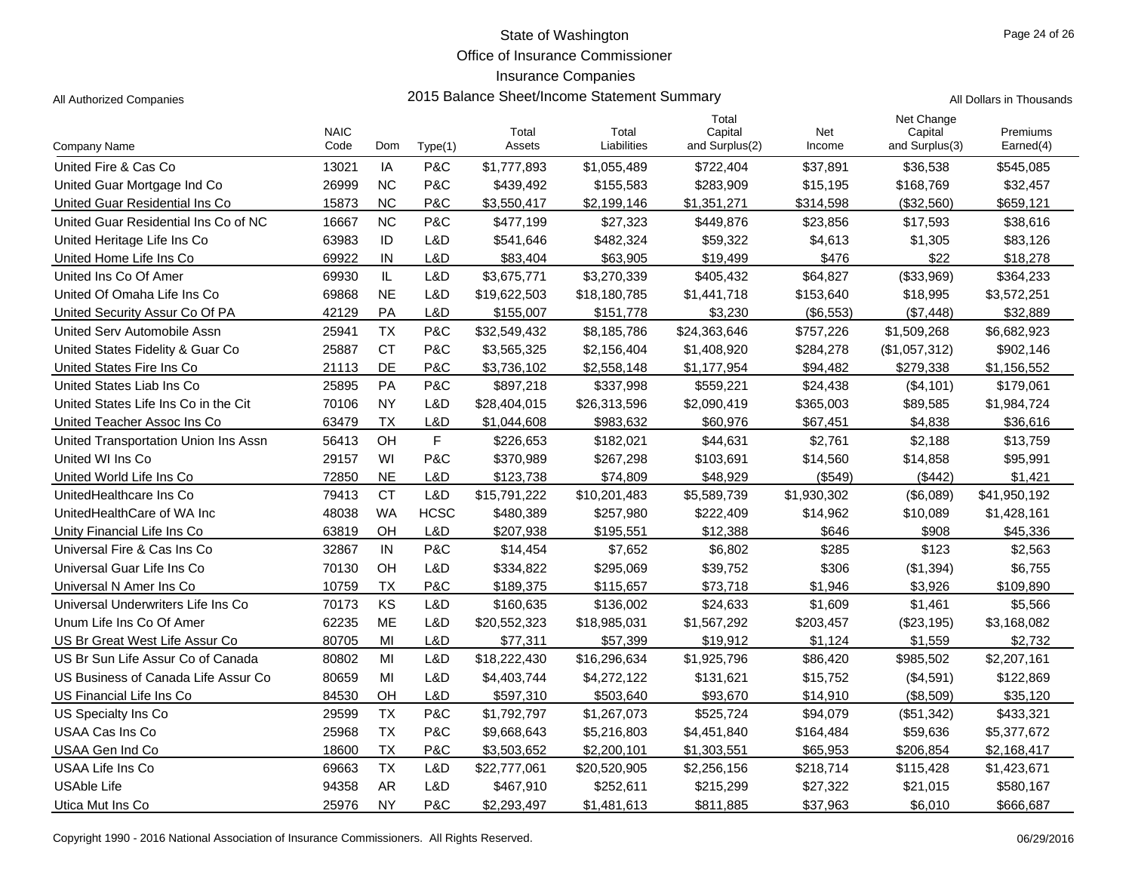Office of Insurance Commissioner

## Insurance Companies

All Authorized Companies **2015 Balance Sheet/Income Statement Summary** All Dollars in Thousands

|                                      | <b>NAIC</b> |           |             | Total        | Total        | Total<br>Capital | Net         | Net Change<br>Capital | Premiums     |
|--------------------------------------|-------------|-----------|-------------|--------------|--------------|------------------|-------------|-----------------------|--------------|
| Company Name                         | Code        | Dom       | Type(1)     | Assets       | Liabilities  | and Surplus(2)   | Income      | and Surplus(3)        | Earned(4)    |
| United Fire & Cas Co.                | 13021       | IA        | P&C         | \$1,777,893  | \$1,055,489  | \$722,404        | \$37,891    | \$36,538              | \$545,085    |
| United Guar Mortgage Ind Co          | 26999       | <b>NC</b> | P&C         | \$439,492    | \$155,583    | \$283,909        | \$15,195    | \$168,769             | \$32,457     |
| United Guar Residential Ins Co       | 15873       | <b>NC</b> | P&C         | \$3,550,417  | \$2,199,146  | \$1,351,271      | \$314,598   | (\$32,560)            | \$659,121    |
| United Guar Residential Ins Co of NC | 16667       | <b>NC</b> | P&C         | \$477,199    | \$27,323     | \$449,876        | \$23,856    | \$17,593              | \$38,616     |
| United Heritage Life Ins Co          | 63983       | ID        | L&D         | \$541,646    | \$482,324    | \$59,322         | \$4,613     | \$1,305               | \$83,126     |
| United Home Life Ins Co              | 69922       | IN        | L&D         | \$83,404     | \$63,905     | \$19,499         | \$476       | \$22                  | \$18,278     |
| United Ins Co Of Amer                | 69930       | IL        | L&D         | \$3,675,771  | \$3,270,339  | \$405,432        | \$64,827    | (\$33,969)            | \$364,233    |
| United Of Omaha Life Ins Co          | 69868       | <b>NE</b> | L&D         | \$19,622,503 | \$18,180,785 | \$1,441,718      | \$153,640   | \$18,995              | \$3,572,251  |
| United Security Assur Co Of PA       | 42129       | PA        | L&D         | \$155,007    | \$151,778    | \$3.230          | (\$6,553)   | (\$7,448)             | \$32,889     |
| United Serv Automobile Assn          | 25941       | <b>TX</b> | P&C         | \$32,549,432 | \$8,185,786  | \$24,363,646     | \$757,226   | \$1,509,268           | \$6,682,923  |
| United States Fidelity & Guar Co     | 25887       | <b>CT</b> | P&C         | \$3,565,325  | \$2,156,404  | \$1,408,920      | \$284,278   | (\$1,057,312)         | \$902,146    |
| United States Fire Ins Co            | 21113       | DE        | P&C         | \$3,736,102  | \$2,558,148  | \$1,177,954      | \$94,482    | \$279,338             | \$1,156,552  |
| United States Liab Ins Co            | 25895       | PA        | P&C         | \$897,218    | \$337,998    | \$559,221        | \$24,438    | (\$4,101)             | \$179,061    |
| United States Life Ins Co in the Cit | 70106       | <b>NY</b> | L&D         | \$28,404,015 | \$26,313,596 | \$2,090,419      | \$365,003   | \$89,585              | \$1,984,724  |
| United Teacher Assoc Ins Co          | 63479       | <b>TX</b> | L&D         | \$1,044,608  | \$983,632    | \$60,976         | \$67,451    | \$4,838               | \$36,616     |
| United Transportation Union Ins Assn | 56413       | OH        | F           | \$226,653    | \$182,021    | \$44,631         | \$2,761     | \$2,188               | \$13,759     |
| United WI Ins Co.                    | 29157       | WI        | P&C         | \$370,989    | \$267,298    | \$103,691        | \$14,560    | \$14,858              | \$95,991     |
| United World Life Ins Co             | 72850       | <b>NE</b> | L&D         | \$123,738    | \$74,809     | \$48,929         | ( \$549)    | (\$442)               | \$1,421      |
| UnitedHealthcare Ins Co              | 79413       | <b>CT</b> | L&D         | \$15,791,222 | \$10,201,483 | \$5,589,739      | \$1,930,302 | (\$6,089)             | \$41,950,192 |
| UnitedHealthCare of WA Inc           | 48038       | <b>WA</b> | <b>HCSC</b> | \$480,389    | \$257,980    | \$222,409        | \$14,962    | \$10,089              | \$1,428,161  |
| Unity Financial Life Ins Co          | 63819       | OH        | L&D         | \$207,938    | \$195,551    | \$12,388         | \$646       | \$908                 | \$45,336     |
| Universal Fire & Cas Ins Co          | 32867       | IN        | P&C         | \$14,454     | \$7,652      | \$6,802          | \$285       | \$123                 | \$2,563      |
| Universal Guar Life Ins Co           | 70130       | OH        | L&D         | \$334,822    | \$295,069    | \$39,752         | \$306       | (\$1,394)             | \$6,755      |
| Universal N Amer Ins Co              | 10759       | <b>TX</b> | P&C         | \$189,375    | \$115,657    | \$73,718         | \$1,946     | \$3,926               | \$109,890    |
| Universal Underwriters Life Ins Co   | 70173       | KS        | L&D         | \$160,635    | \$136,002    | \$24,633         | \$1,609     | \$1,461               | \$5,566      |
| Unum Life Ins Co Of Amer             | 62235       | <b>ME</b> | L&D         | \$20,552,323 | \$18,985,031 | \$1,567,292      | \$203,457   | (\$23,195)            | \$3,168,082  |
| US Br Great West Life Assur Co       | 80705       | MI        | L&D         | \$77,311     | \$57,399     | \$19,912         | \$1.124     | \$1,559               | \$2,732      |
| US Br Sun Life Assur Co of Canada    | 80802       | MI        | L&D         | \$18,222,430 | \$16,296,634 | \$1,925,796      | \$86,420    | \$985,502             | \$2,207,161  |
| US Business of Canada Life Assur Co  | 80659       | MI        | L&D         | \$4,403,744  | \$4,272,122  | \$131,621        | \$15,752    | (\$4,591)             | \$122,869    |
| US Financial Life Ins Co             | 84530       | OH        | L&D         | \$597,310    | \$503,640    | \$93,670         | \$14,910    | (\$8,509)             | \$35,120     |
| US Specialty Ins Co                  | 29599       | <b>TX</b> | P&C         | \$1,792,797  | \$1,267,073  | \$525,724        | \$94,079    | (\$51,342)            | \$433,321    |
| USAA Cas Ins Co                      | 25968       | <b>TX</b> | P&C         | \$9,668,643  | \$5,216,803  | \$4,451,840      | \$164,484   | \$59,636              | \$5,377,672  |
| USAA Gen Ind Co                      | 18600       | ТX        | P&C         | \$3,503,652  | \$2,200,101  | \$1,303,551      | \$65,953    | \$206,854             | \$2,168,417  |
| USAA Life Ins Co                     | 69663       | <b>TX</b> | L&D         | \$22,777,061 | \$20,520,905 | \$2,256,156      | \$218,714   | \$115,428             | \$1,423,671  |
| <b>USAble Life</b>                   | 94358       | <b>AR</b> | L&D         | \$467,910    | \$252,611    | \$215,299        | \$27,322    | \$21,015              | \$580,167    |
| Utica Mut Ins Co                     | 25976       | <b>NY</b> | P&C         | \$2,293,497  | \$1,481,613  | \$811,885        | \$37,963    | \$6,010               | \$666,687    |

Copyright 1990 - 2016 National Association of Insurance Commissioners. All Rights Reserved. 06/29/2016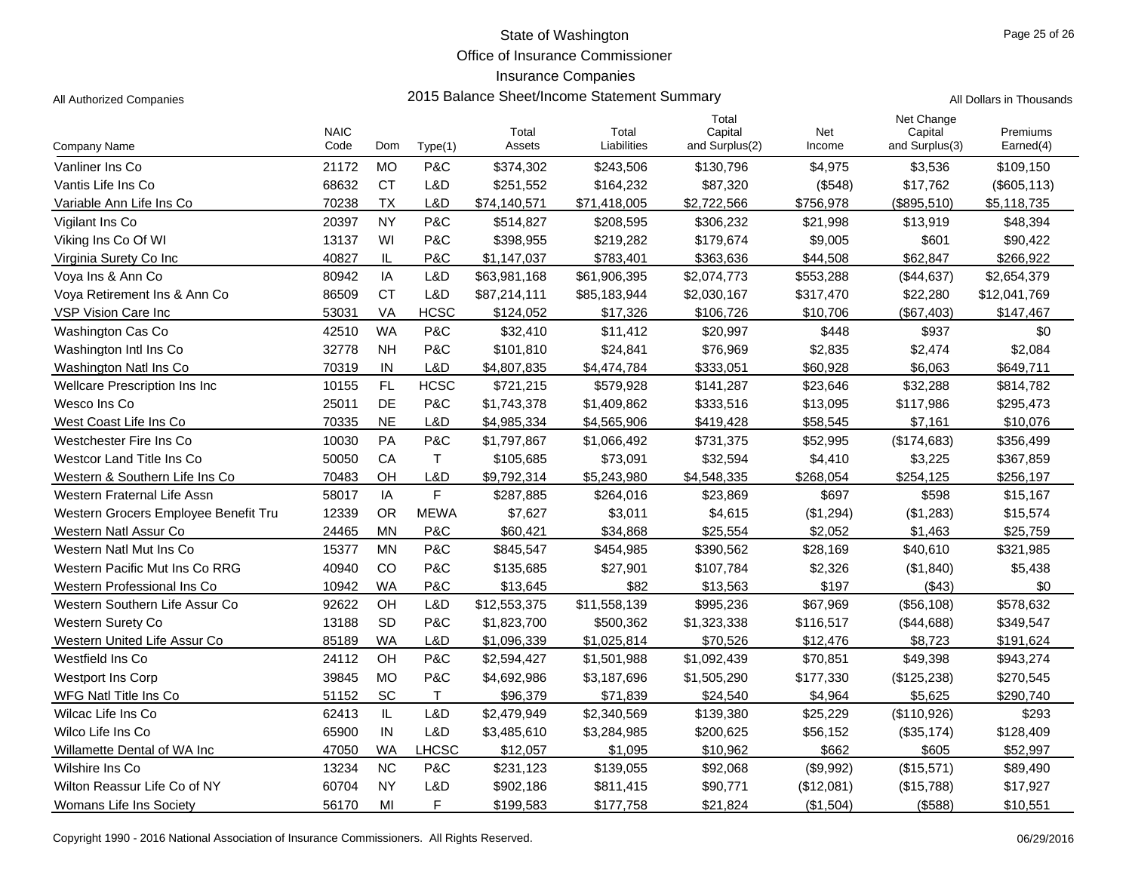Office of Insurance Commissioner

Total

## Insurance Companies

All Authorized Companies **2015 Balance Sheet/Income Statement Summary** All Dollars in Thousands

| Company Name                         | <b>NAIC</b><br>Code | Dom       | Type(1)      | Total<br>Assets | Total<br>Liabilities | Capital<br>and Surplus(2) | Net<br>Income | Capital<br>and Surplus(3) | Premiums<br>Earned(4) |
|--------------------------------------|---------------------|-----------|--------------|-----------------|----------------------|---------------------------|---------------|---------------------------|-----------------------|
| Vanliner Ins Co                      | 21172               | <b>MO</b> | P&C          | \$374,302       | \$243,506            | \$130,796                 | \$4,975       | \$3,536                   | \$109,150             |
| Vantis Life Ins Co                   | 68632               | <b>CT</b> | L&D          | \$251,552       | \$164,232            | \$87,320                  | (\$548)       | \$17,762                  | (\$605, 113)          |
| Variable Ann Life Ins Co             | 70238               | ТX        | L&D          | \$74,140,571    | \$71,418,005         | \$2,722,566               | \$756,978     | (\$895,510)               | \$5,118,735           |
| Vigilant Ins Co                      | 20397               | <b>NY</b> | P&C          | \$514,827       | \$208,595            | \$306,232                 | \$21,998      | \$13,919                  | \$48,394              |
| Viking Ins Co Of WI                  | 13137               | WI        | P&C          | \$398,955       | \$219,282            | \$179,674                 | \$9,005       | \$601                     | \$90,422              |
| Virginia Surety Co Inc               | 40827               | IL        | P&C          | \$1,147,037     | \$783,401            | \$363,636                 | \$44,508      | \$62,847                  | \$266,922             |
| Voya Ins & Ann Co                    | 80942               | IA        | L&D          | \$63,981,168    | \$61,906,395         | \$2,074,773               | \$553,288     | (\$44,637)                | \$2,654,379           |
| Vova Retirement Ins & Ann Co         | 86509               | <b>CT</b> | L&D          | \$87,214,111    | \$85,183,944         | \$2,030,167               | \$317,470     | \$22,280                  | \$12,041,769          |
| VSP Vision Care Inc                  | 53031               | VA        | <b>HCSC</b>  | \$124,052       | \$17,326             | \$106,726                 | \$10,706      | (\$67,403)                | \$147,467             |
| <b>Washington Cas Co</b>             | 42510               | <b>WA</b> | P&C          | \$32,410        | \$11,412             | \$20,997                  | \$448         | \$937                     | \$0                   |
| Washington Intl Ins Co               | 32778               | <b>NH</b> | P&C.         | \$101,810       | \$24,841             | \$76,969                  | \$2,835       | \$2,474                   | \$2,084               |
| Washington Natl Ins Co               | 70319               | IN        | L&D          | \$4,807,835     | \$4,474,784          | \$333,051                 | \$60,928      | \$6,063                   | \$649,711             |
| Wellcare Prescription Ins Inc        | 10155               | FL.       | <b>HCSC</b>  | \$721,215       | \$579,928            | \$141,287                 | \$23,646      | \$32,288                  | \$814,782             |
| Wesco Ins Co                         | 25011               | DE        | P&C          | \$1,743,378     | \$1,409,862          | \$333,516                 | \$13,095      | \$117,986                 | \$295,473             |
| West Coast Life Ins Co               | 70335               | <b>NE</b> | L&D          | \$4,985,334     | \$4,565,906          | \$419,428                 | \$58,545      | \$7,161                   | \$10,076              |
| Westchester Fire Ins Co              | 10030               | PA        | P&C          | \$1,797,867     | \$1,066,492          | \$731,375                 | \$52,995      | (\$174,683)               | \$356,499             |
| Westcor Land Title Ins Co            | 50050               | СA        | T.           | \$105,685       | \$73,091             | \$32,594                  | \$4,410       | \$3,225                   | \$367,859             |
| Western & Southern Life Ins Co       | 70483               | OН        | L&D          | \$9,792,314     | \$5,243,980          | \$4,548,335               | \$268,054     | \$254,125                 | \$256,197             |
| Western Fraternal Life Assn          | 58017               | IA        | F            | \$287,885       | \$264,016            | \$23,869                  | \$697         | \$598                     | \$15,167              |
| Western Grocers Employee Benefit Tru | 12339               | <b>OR</b> | <b>MEWA</b>  | \$7,627         | \$3,011              | \$4,615                   | (\$1,294)     | (\$1,283)                 | \$15,574              |
| Western Natl Assur Co                | 24465               | ΜN        | P&C          | \$60,421        | \$34,868             | \$25,554                  | \$2,052       | \$1,463                   | \$25,759              |
| Western Natl Mut Ins Co              | 15377               | ΜN        | P&C          | \$845,547       | \$454,985            | \$390,562                 | \$28,169      | \$40,610                  | \$321,985             |
| Western Pacific Mut Ins Co RRG       | 40940               | CO        | P&C          | \$135,685       | \$27,901             | \$107,784                 | \$2,326       | (\$1,840)                 | \$5,438               |
| Western Professional Ins Co          | 10942               | WA        | P&C          | \$13,645        | \$82                 | \$13,563                  | \$197         | ( \$43)                   | \$0                   |
| Western Southern Life Assur Co       | 92622               | OH        | L&D          | \$12,553,375    | \$11,558,139         | \$995,236                 | \$67,969      | (\$56,108)                | \$578,632             |
| <b>Western Surety Co</b>             | 13188               | <b>SD</b> | P&C          | \$1,823,700     | \$500,362            | \$1,323,338               | \$116,517     | (\$44,688)                | \$349,547             |
| Western United Life Assur Co         | 85189               | WA        | L&D          | \$1,096,339     | \$1,025,814          | \$70,526                  | \$12,476      | \$8,723                   | \$191,624             |
| Westfield Ins Co                     | 24112               | OH        | P&C          | \$2,594,427     | \$1,501,988          | \$1,092,439               | \$70,851      | \$49,398                  | \$943,274             |
| <b>Westport Ins Corp</b>             | 39845               | <b>MO</b> | P&C          | \$4,692,986     | \$3,187,696          | \$1,505,290               | \$177,330     | (\$125,238)               | \$270,545             |
| WFG Natl Title Ins Co                | 51152               | <b>SC</b> | $\mathsf{T}$ | \$96,379        | \$71,839             | \$24,540                  | \$4,964       | \$5,625                   | \$290,740             |
| Wilcac Life Ins Co                   | 62413               | IL.       | L&D          | \$2,479,949     | \$2,340,569          | \$139,380                 | \$25,229      | (\$110,926)               | \$293                 |
| Wilco Life Ins Co                    | 65900               | IN        | L&D          | \$3,485,610     | \$3,284,985          | \$200,625                 | \$56,152      | (\$35,174)                | \$128,409             |
| Willamette Dental of WA Inc          | 47050               | WA        | LHCSC        | \$12,057        | \$1,095              | \$10,962                  | \$662         | \$605                     | \$52,997              |
| Wilshire Ins Co                      | 13234               | <b>NC</b> | P&C          | \$231,123       | \$139,055            | \$92,068                  | (\$9,992)     | (\$15,571)                | \$89,490              |
| Wilton Reassur Life Co of NY         | 60704               | <b>NY</b> | L&D          | \$902,186       | \$811,415            | \$90,771                  | (\$12,081)    | (\$15,788)                | \$17,927              |
| Womans Life Ins Society              | 56170               | MI        | F            | \$199,583       | \$177,758            | \$21,824                  | (\$1,504)     | (\$588)                   | \$10,551              |

Page 25 of 26

Net Change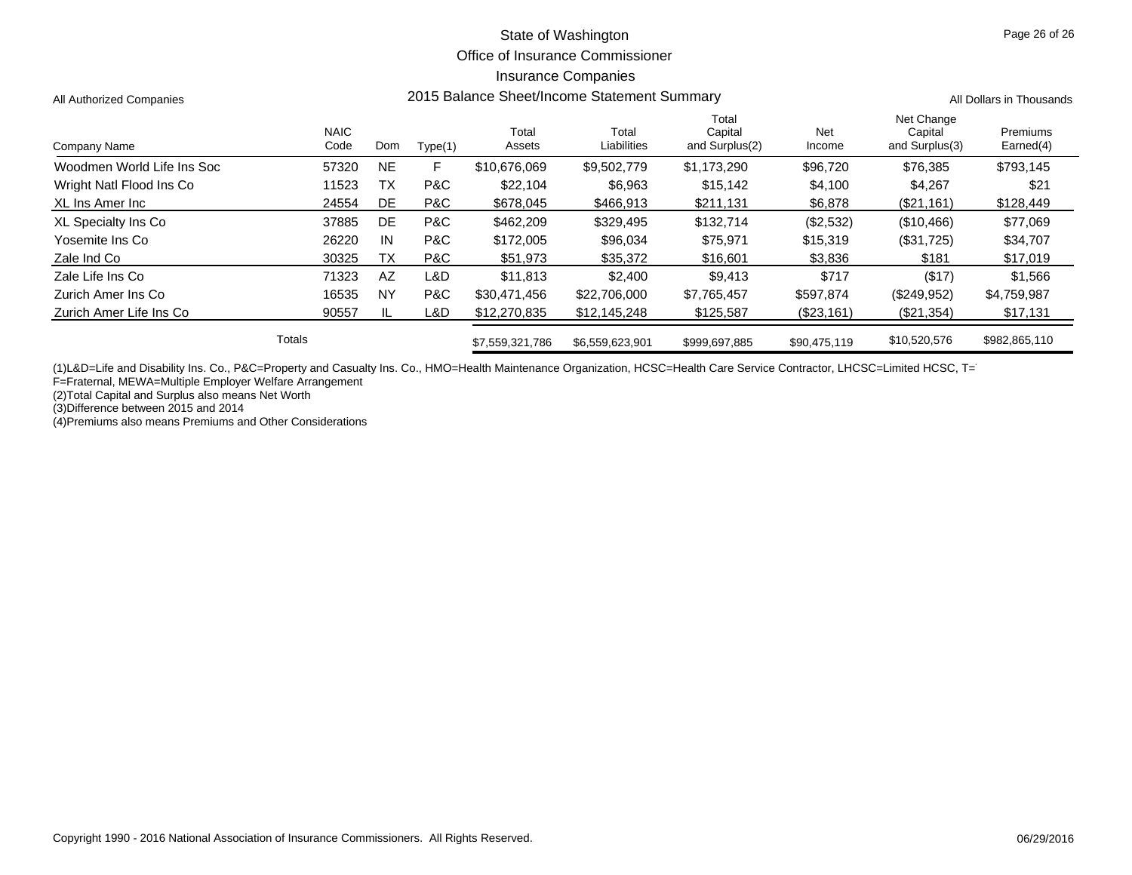#### Office of Insurance Commissioner

#### Insurance Companies

All Authorized Companies **2015 Balance Sheet/Income Statement Summary** All Dollars in Thousands

| Company Name               |        | <b>NAIC</b><br>Code | Dom       | Type(1) | Total<br>Assets | Total<br>Liabilities | Total<br>Capital<br>and Surplus(2) | <b>Net</b><br>Income | Net Change<br>Capital<br>and Surplus(3) | Premiums<br>Earned(4) |
|----------------------------|--------|---------------------|-----------|---------|-----------------|----------------------|------------------------------------|----------------------|-----------------------------------------|-----------------------|
| Woodmen World Life Ins Soc |        | 57320               | <b>NE</b> | F       | \$10,676,069    | \$9,502,779          | \$1,173,290                        | \$96,720             | \$76.385                                | \$793,145             |
| Wright Natl Flood Ins Co   |        | 11523               | ТX        | P&C     | \$22,104        | \$6,963              | \$15,142                           | \$4,100              | \$4,267                                 | \$21                  |
| XL Ins Amer Inc            |        | 24554               | DE        | P&C     | \$678,045       | \$466,913            | \$211,131                          | \$6,878              | (\$21,161)                              | \$128,449             |
| XL Specialty Ins Co        |        | 37885               | DE        | P&C     | \$462,209       | \$329.495            | \$132.714                          | (\$2,532)            | (\$10,466)                              | \$77,069              |
| Yosemite Ins Co            |        | 26220               | IN        | P&C     | \$172,005       | \$96,034             | \$75,971                           | \$15,319             | (\$31,725)                              | \$34,707              |
| Zale Ind Co                |        | 30325               | ТX        | P&C     | \$51.973        | \$35,372             | \$16,601                           | \$3,836              | \$181                                   | \$17,019              |
| Zale Life Ins Co           |        | 71323               | AZ        | L&D     | \$11.813        | \$2,400              | \$9.413                            | \$717                | (\$17)                                  | \$1,566               |
| Zurich Amer Ins Co         |        | 16535               | <b>NY</b> | P&C     | \$30,471,456    | \$22,706,000         | \$7,765,457                        | \$597,874            | (\$249,952)                             | \$4,759,987           |
| Zurich Amer Life Ins Co    |        | 90557               | IL        | L&D     | \$12,270,835    | \$12,145,248         | \$125,587                          | (\$23,161)           | (\$21,354)                              | \$17,131              |
|                            | Totals |                     |           |         | \$7,559,321,786 | \$6,559,623,901      | \$999,697,885                      | \$90,475,119         | \$10,520,576                            | \$982,865,110         |

(1)L&D=Life and Disability Ins. Co., P&C=Property and Casualty Ins. Co., HMO=Health Maintenance Organization, HCSC=Health Care Service Contractor, LHCSC=Limited HCSC, T= F=Fraternal, MEWA=Multiple Employer Welfare Arrangement

(2)Total Capital and Surplus also means Net Worth

(3)Difference between 2015 and 2014

(4)Premiums also means Premiums and Other Considerations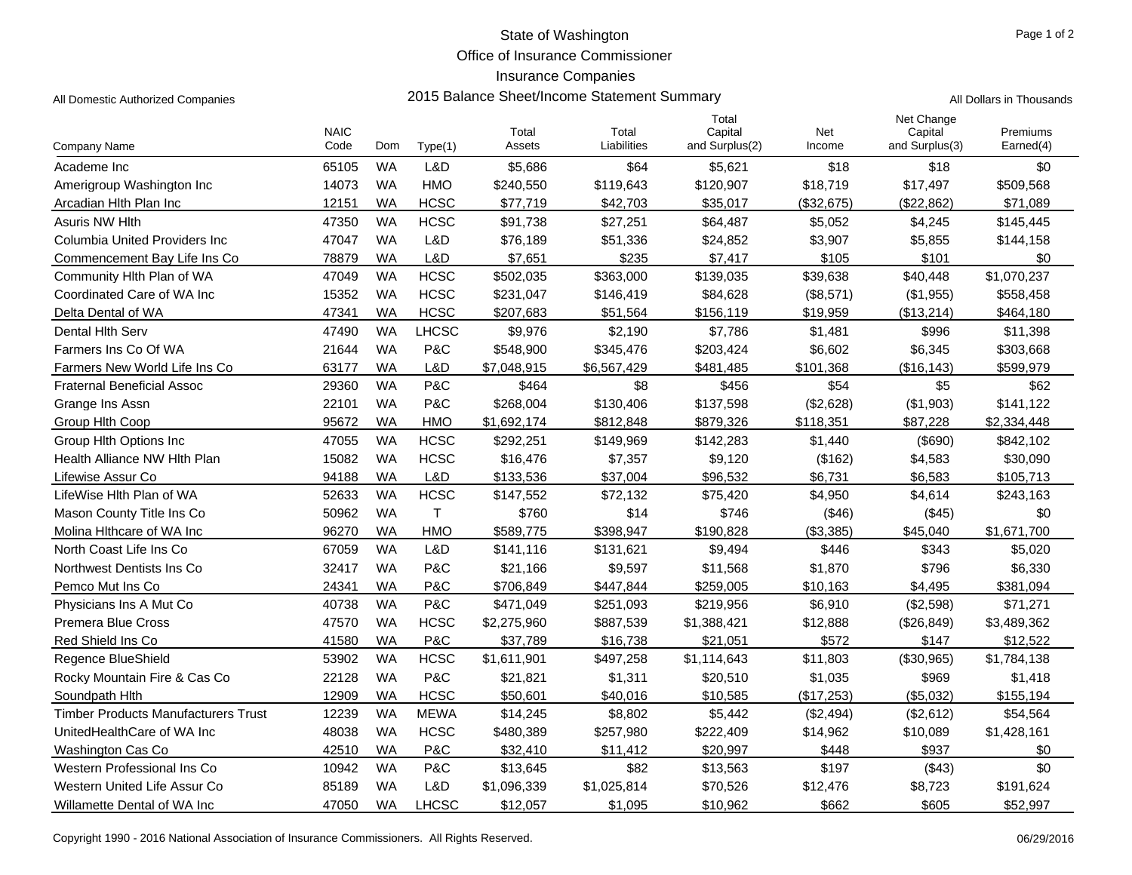Office of Insurance Commissioner

## Insurance Companies

| <b>WA</b><br>\$5,686<br>\$64<br>Academe Inc<br>65105<br>L&D<br>\$5,621<br>\$18<br>\$18<br>\$0<br><b>WA</b><br>14073<br><b>HMO</b><br>\$240,550<br>\$119,643<br>\$120,907<br>\$18.719<br>\$17,497<br>\$509,568<br>Amerigroup Washington Inc<br><b>HCSC</b><br>Arcadian Hith Plan Inc<br>12151<br>WA<br>\$77,719<br>\$42,703<br>\$35.017<br>(\$32,675)<br>(\$22,862)<br>\$71,089<br>47350<br><b>WA</b><br><b>HCSC</b><br>\$4,245<br><b>Asuris NW Hith</b><br>\$91,738<br>\$27,251<br>\$64,487<br>\$5,052<br>\$145,445<br>L&D<br>Columbia United Providers Inc.<br>47047<br><b>WA</b><br>\$76,189<br>\$51,336<br>\$24,852<br>\$3,907<br>\$5,855<br>\$144,158<br>L&D<br>Commencement Bay Life Ins Co<br>78879<br>WA<br>\$7,651<br>\$235<br>\$7,417<br>\$105<br>\$101<br>\$0<br><b>WA</b><br><b>HCSC</b><br>\$1,070,237<br>Community Hith Plan of WA<br>47049<br>\$502,035<br>\$363,000<br>\$139,035<br>\$39,638<br>\$40,448<br><b>HCSC</b><br>15352<br><b>WA</b><br>(\$1,955)<br>Coordinated Care of WA Inc<br>\$231,047<br>\$146,419<br>\$84,628<br>(\$8,571)<br>\$558,458<br>47341<br><b>WA</b><br><b>HCSC</b><br>Delta Dental of WA<br>\$207,683<br>\$51,564<br>\$156,119<br>\$19,959<br>(\$13,214)<br>\$464,180<br>47490<br><b>WA</b><br><b>LHCSC</b><br>\$996<br>Dental Hith Serv<br>\$9,976<br>\$2,190<br>\$7,786<br>\$1,481<br>\$11,398<br><b>WA</b><br>P&C<br>Farmers Ins Co Of WA<br>21644<br>\$548,900<br>\$345,476<br>\$203,424<br>\$6,602<br>\$6,345<br>\$303,668<br>L&D<br>63177<br><b>WA</b><br>\$7,048,915<br>\$101,368<br>(\$16, 143)<br>\$599,979<br>Farmers New World Life Ins Co<br>\$6,567,429<br>\$481,485<br>29360<br><b>WA</b><br>P&C<br>\$464<br>\$8<br>\$456<br>\$54<br>\$5<br>\$62<br><b>Fraternal Beneficial Assoc</b><br>22101<br><b>WA</b><br>P&C<br>\$268,004<br>\$137,598<br>(\$2,628)<br>(\$1,903)<br>\$141,122<br>Grange Ins Assn<br>\$130,406<br>95672<br>\$118,351<br>\$87,228<br>\$2,334,448<br><b>WA</b><br><b>HMO</b><br>\$1,692,174<br>\$812,848<br>\$879,326<br>Group Hith Coop<br>47055<br><b>WA</b><br><b>HCSC</b><br>\$292,251<br>(\$690)<br>Group Hith Options Inc<br>\$149,969<br>\$142,283<br>\$1,440<br>\$842,102<br>Health Alliance NW Hith Plan<br>15082<br><b>WA</b><br><b>HCSC</b><br>\$16,476<br>\$7,357<br>\$9,120<br>(\$162)<br>\$4,583<br>\$30,090<br>94188<br><b>WA</b><br>L&D<br>\$133,536<br>\$37,004<br>\$96.532<br>\$6.731<br>\$6.583<br>\$105,713<br>Lifewise Assur Co<br>LifeWise Hlth Plan of WA<br>52633<br><b>WA</b><br><b>HCSC</b><br>\$147,552<br>\$72,132<br>\$75,420<br>\$4,950<br>\$4,614<br>\$243,163<br>50962<br>$\mathsf{T}$<br>Mason County Title Ins Co<br><b>WA</b><br>\$760<br>\$14<br>\$746<br>(\$46)<br>(\$45)<br>\$0<br>Molina Hithcare of WA Inc<br>96270<br>WA<br><b>HMO</b><br>\$589,775<br>\$398,947<br>\$190,828<br>(\$3,385)<br>\$45,040<br>\$1,671,700<br><b>WA</b><br>North Coast Life Ins Co<br>67059<br>L&D<br>\$141,116<br>\$446<br>\$343<br>\$131,621<br>\$9,494<br>\$5,020<br><b>WA</b><br>P&C<br>\$1,870<br>\$796<br>32417<br>\$21,166<br>\$9,597<br>\$11,568<br>\$6,330<br>Northwest Dentists Ins Co<br>24341<br>P&C<br>WA<br>\$706,849<br>\$447,844<br>\$259.005<br>\$10,163<br>\$4,495<br>\$381,094<br>Pemco Mut Ins Co<br><b>WA</b><br>40738<br>P&C<br>\$6,910<br>Physicians Ins A Mut Co.<br>\$471,049<br>\$251,093<br>\$219,956<br>(\$2,598)<br>\$71,271<br><b>HCSC</b><br><b>WA</b><br><b>Premera Blue Cross</b><br>47570<br>\$2,275,960<br>\$887,539<br>\$1,388,421<br>\$12,888<br>(\$26,849)<br>\$3,489,362<br>41580<br><b>WA</b><br>P&C<br>\$37,789<br>\$21,051<br>\$572<br>\$147<br>\$12,522<br>Red Shield Ins Co<br>\$16.738<br>53902<br><b>WA</b><br><b>HCSC</b><br>\$1,114,643<br>\$1,784,138<br><b>Regence BlueShield</b><br>\$1,611,901<br>\$497,258<br>\$11,803<br>(\$30,965)<br>22128<br><b>WA</b><br>P&C<br>\$1,418<br>Rocky Mountain Fire & Cas Co<br>\$21,821<br>\$1,311<br>\$20,510<br>\$1,035<br>\$969<br><b>HCSC</b><br>12909<br>\$50,601<br>\$40,016<br>\$10,585<br>(\$5,032)<br>\$155,194<br>WA<br>(\$17,253)<br>Soundpath Hith<br><b>WA</b><br>12239<br><b>MEWA</b><br>\$14,245<br>\$8,802<br>\$5,442<br>(\$2,494)<br>(\$2,612)<br>\$54,564<br><b>Timber Products Manufacturers Trust</b><br>UnitedHealthCare of WA Inc<br>48038<br><b>WA</b><br><b>HCSC</b><br>\$222,409<br>\$1,428,161<br>\$480,389<br>\$257,980<br>\$14,962<br>\$10,089<br>\$937<br>Washington Cas Co<br>42510<br><b>WA</b><br>P&C<br>\$32,410<br>\$11,412<br>\$20,997<br>\$448<br>\$0<br>\$0<br>10942<br><b>WA</b><br>P&C<br>\$13,645<br>\$82<br>\$13,563<br>\$197<br>(\$43)<br>Western Professional Ins Co<br>L&D<br>Western United Life Assur Co<br>85189<br><b>WA</b><br>\$1,096,339<br>\$1,025,814<br>\$70,526<br>\$12,476<br>\$8,723<br>\$191,624<br><b>LHCSC</b><br>\$662<br>Willamette Dental of WA Inc<br>47050<br><b>WA</b><br>\$12,057<br>\$1,095<br>\$10,962<br>\$605<br>\$52,997 |              | <b>NAIC</b> |     |         | Total  | Total       | Total<br>Capital | Net    | Net Change<br>Capital | Premiums  |
|---------------------------------------------------------------------------------------------------------------------------------------------------------------------------------------------------------------------------------------------------------------------------------------------------------------------------------------------------------------------------------------------------------------------------------------------------------------------------------------------------------------------------------------------------------------------------------------------------------------------------------------------------------------------------------------------------------------------------------------------------------------------------------------------------------------------------------------------------------------------------------------------------------------------------------------------------------------------------------------------------------------------------------------------------------------------------------------------------------------------------------------------------------------------------------------------------------------------------------------------------------------------------------------------------------------------------------------------------------------------------------------------------------------------------------------------------------------------------------------------------------------------------------------------------------------------------------------------------------------------------------------------------------------------------------------------------------------------------------------------------------------------------------------------------------------------------------------------------------------------------------------------------------------------------------------------------------------------------------------------------------------------------------------------------------------------------------------------------------------------------------------------------------------------------------------------------------------------------------------------------------------------------------------------------------------------------------------------------------------------------------------------------------------------------------------------------------------------------------------------------------------------------------------------------------------------------------------------------------------------------------------------------------------------------------------------------------------------------------------------------------------------------------------------------------------------------------------------------------------------------------------------------------------------------------------------------------------------------------------------------------------------------------------------------------------------------------------------------------------------------------------------------------------------------------------------------------------------------------------------------------------------------------------------------------------------------------------------------------------------------------------------------------------------------------------------------------------------------------------------------------------------------------------------------------------------------------------------------------------------------------------------------------------------------------------------------------------------------------------------------------------------------------------------------------------------------------------------------------------------------------------------------------------------------------------------------------------------------------------------------------------------------------------------------------------------------------------------------------------------------------------------------------------------------------------------------------------------------------------------------------------------------------------------------------------------------------------------------------------------------------------------------------------------------------------------------------------------------------------------------------------------------------------------------------------------------------------------------------------------------------------------------------------------------------------------------------------------------------------------------------------------------------------------------------------------------------------------------------------------------------------|--------------|-------------|-----|---------|--------|-------------|------------------|--------|-----------------------|-----------|
|                                                                                                                                                                                                                                                                                                                                                                                                                                                                                                                                                                                                                                                                                                                                                                                                                                                                                                                                                                                                                                                                                                                                                                                                                                                                                                                                                                                                                                                                                                                                                                                                                                                                                                                                                                                                                                                                                                                                                                                                                                                                                                                                                                                                                                                                                                                                                                                                                                                                                                                                                                                                                                                                                                                                                                                                                                                                                                                                                                                                                                                                                                                                                                                                                                                                                                                                                                                                                                                                                                                                                                                                                                                                                                                                                                                                                                                                                                                                                                                                                                                                                                                                                                                                                                                                                                                                                                                                                                                                                                                                                                                                                                                                                                                                                                                                                                                                                       | Company Name | Code        | Dom | Type(1) | Assets | Liabilities | and Surplus(2)   | Income | and Surplus(3)        | Earned(4) |
|                                                                                                                                                                                                                                                                                                                                                                                                                                                                                                                                                                                                                                                                                                                                                                                                                                                                                                                                                                                                                                                                                                                                                                                                                                                                                                                                                                                                                                                                                                                                                                                                                                                                                                                                                                                                                                                                                                                                                                                                                                                                                                                                                                                                                                                                                                                                                                                                                                                                                                                                                                                                                                                                                                                                                                                                                                                                                                                                                                                                                                                                                                                                                                                                                                                                                                                                                                                                                                                                                                                                                                                                                                                                                                                                                                                                                                                                                                                                                                                                                                                                                                                                                                                                                                                                                                                                                                                                                                                                                                                                                                                                                                                                                                                                                                                                                                                                                       |              |             |     |         |        |             |                  |        |                       |           |
|                                                                                                                                                                                                                                                                                                                                                                                                                                                                                                                                                                                                                                                                                                                                                                                                                                                                                                                                                                                                                                                                                                                                                                                                                                                                                                                                                                                                                                                                                                                                                                                                                                                                                                                                                                                                                                                                                                                                                                                                                                                                                                                                                                                                                                                                                                                                                                                                                                                                                                                                                                                                                                                                                                                                                                                                                                                                                                                                                                                                                                                                                                                                                                                                                                                                                                                                                                                                                                                                                                                                                                                                                                                                                                                                                                                                                                                                                                                                                                                                                                                                                                                                                                                                                                                                                                                                                                                                                                                                                                                                                                                                                                                                                                                                                                                                                                                                                       |              |             |     |         |        |             |                  |        |                       |           |
|                                                                                                                                                                                                                                                                                                                                                                                                                                                                                                                                                                                                                                                                                                                                                                                                                                                                                                                                                                                                                                                                                                                                                                                                                                                                                                                                                                                                                                                                                                                                                                                                                                                                                                                                                                                                                                                                                                                                                                                                                                                                                                                                                                                                                                                                                                                                                                                                                                                                                                                                                                                                                                                                                                                                                                                                                                                                                                                                                                                                                                                                                                                                                                                                                                                                                                                                                                                                                                                                                                                                                                                                                                                                                                                                                                                                                                                                                                                                                                                                                                                                                                                                                                                                                                                                                                                                                                                                                                                                                                                                                                                                                                                                                                                                                                                                                                                                                       |              |             |     |         |        |             |                  |        |                       |           |
|                                                                                                                                                                                                                                                                                                                                                                                                                                                                                                                                                                                                                                                                                                                                                                                                                                                                                                                                                                                                                                                                                                                                                                                                                                                                                                                                                                                                                                                                                                                                                                                                                                                                                                                                                                                                                                                                                                                                                                                                                                                                                                                                                                                                                                                                                                                                                                                                                                                                                                                                                                                                                                                                                                                                                                                                                                                                                                                                                                                                                                                                                                                                                                                                                                                                                                                                                                                                                                                                                                                                                                                                                                                                                                                                                                                                                                                                                                                                                                                                                                                                                                                                                                                                                                                                                                                                                                                                                                                                                                                                                                                                                                                                                                                                                                                                                                                                                       |              |             |     |         |        |             |                  |        |                       |           |
|                                                                                                                                                                                                                                                                                                                                                                                                                                                                                                                                                                                                                                                                                                                                                                                                                                                                                                                                                                                                                                                                                                                                                                                                                                                                                                                                                                                                                                                                                                                                                                                                                                                                                                                                                                                                                                                                                                                                                                                                                                                                                                                                                                                                                                                                                                                                                                                                                                                                                                                                                                                                                                                                                                                                                                                                                                                                                                                                                                                                                                                                                                                                                                                                                                                                                                                                                                                                                                                                                                                                                                                                                                                                                                                                                                                                                                                                                                                                                                                                                                                                                                                                                                                                                                                                                                                                                                                                                                                                                                                                                                                                                                                                                                                                                                                                                                                                                       |              |             |     |         |        |             |                  |        |                       |           |
|                                                                                                                                                                                                                                                                                                                                                                                                                                                                                                                                                                                                                                                                                                                                                                                                                                                                                                                                                                                                                                                                                                                                                                                                                                                                                                                                                                                                                                                                                                                                                                                                                                                                                                                                                                                                                                                                                                                                                                                                                                                                                                                                                                                                                                                                                                                                                                                                                                                                                                                                                                                                                                                                                                                                                                                                                                                                                                                                                                                                                                                                                                                                                                                                                                                                                                                                                                                                                                                                                                                                                                                                                                                                                                                                                                                                                                                                                                                                                                                                                                                                                                                                                                                                                                                                                                                                                                                                                                                                                                                                                                                                                                                                                                                                                                                                                                                                                       |              |             |     |         |        |             |                  |        |                       |           |
|                                                                                                                                                                                                                                                                                                                                                                                                                                                                                                                                                                                                                                                                                                                                                                                                                                                                                                                                                                                                                                                                                                                                                                                                                                                                                                                                                                                                                                                                                                                                                                                                                                                                                                                                                                                                                                                                                                                                                                                                                                                                                                                                                                                                                                                                                                                                                                                                                                                                                                                                                                                                                                                                                                                                                                                                                                                                                                                                                                                                                                                                                                                                                                                                                                                                                                                                                                                                                                                                                                                                                                                                                                                                                                                                                                                                                                                                                                                                                                                                                                                                                                                                                                                                                                                                                                                                                                                                                                                                                                                                                                                                                                                                                                                                                                                                                                                                                       |              |             |     |         |        |             |                  |        |                       |           |
|                                                                                                                                                                                                                                                                                                                                                                                                                                                                                                                                                                                                                                                                                                                                                                                                                                                                                                                                                                                                                                                                                                                                                                                                                                                                                                                                                                                                                                                                                                                                                                                                                                                                                                                                                                                                                                                                                                                                                                                                                                                                                                                                                                                                                                                                                                                                                                                                                                                                                                                                                                                                                                                                                                                                                                                                                                                                                                                                                                                                                                                                                                                                                                                                                                                                                                                                                                                                                                                                                                                                                                                                                                                                                                                                                                                                                                                                                                                                                                                                                                                                                                                                                                                                                                                                                                                                                                                                                                                                                                                                                                                                                                                                                                                                                                                                                                                                                       |              |             |     |         |        |             |                  |        |                       |           |
|                                                                                                                                                                                                                                                                                                                                                                                                                                                                                                                                                                                                                                                                                                                                                                                                                                                                                                                                                                                                                                                                                                                                                                                                                                                                                                                                                                                                                                                                                                                                                                                                                                                                                                                                                                                                                                                                                                                                                                                                                                                                                                                                                                                                                                                                                                                                                                                                                                                                                                                                                                                                                                                                                                                                                                                                                                                                                                                                                                                                                                                                                                                                                                                                                                                                                                                                                                                                                                                                                                                                                                                                                                                                                                                                                                                                                                                                                                                                                                                                                                                                                                                                                                                                                                                                                                                                                                                                                                                                                                                                                                                                                                                                                                                                                                                                                                                                                       |              |             |     |         |        |             |                  |        |                       |           |
|                                                                                                                                                                                                                                                                                                                                                                                                                                                                                                                                                                                                                                                                                                                                                                                                                                                                                                                                                                                                                                                                                                                                                                                                                                                                                                                                                                                                                                                                                                                                                                                                                                                                                                                                                                                                                                                                                                                                                                                                                                                                                                                                                                                                                                                                                                                                                                                                                                                                                                                                                                                                                                                                                                                                                                                                                                                                                                                                                                                                                                                                                                                                                                                                                                                                                                                                                                                                                                                                                                                                                                                                                                                                                                                                                                                                                                                                                                                                                                                                                                                                                                                                                                                                                                                                                                                                                                                                                                                                                                                                                                                                                                                                                                                                                                                                                                                                                       |              |             |     |         |        |             |                  |        |                       |           |
|                                                                                                                                                                                                                                                                                                                                                                                                                                                                                                                                                                                                                                                                                                                                                                                                                                                                                                                                                                                                                                                                                                                                                                                                                                                                                                                                                                                                                                                                                                                                                                                                                                                                                                                                                                                                                                                                                                                                                                                                                                                                                                                                                                                                                                                                                                                                                                                                                                                                                                                                                                                                                                                                                                                                                                                                                                                                                                                                                                                                                                                                                                                                                                                                                                                                                                                                                                                                                                                                                                                                                                                                                                                                                                                                                                                                                                                                                                                                                                                                                                                                                                                                                                                                                                                                                                                                                                                                                                                                                                                                                                                                                                                                                                                                                                                                                                                                                       |              |             |     |         |        |             |                  |        |                       |           |
|                                                                                                                                                                                                                                                                                                                                                                                                                                                                                                                                                                                                                                                                                                                                                                                                                                                                                                                                                                                                                                                                                                                                                                                                                                                                                                                                                                                                                                                                                                                                                                                                                                                                                                                                                                                                                                                                                                                                                                                                                                                                                                                                                                                                                                                                                                                                                                                                                                                                                                                                                                                                                                                                                                                                                                                                                                                                                                                                                                                                                                                                                                                                                                                                                                                                                                                                                                                                                                                                                                                                                                                                                                                                                                                                                                                                                                                                                                                                                                                                                                                                                                                                                                                                                                                                                                                                                                                                                                                                                                                                                                                                                                                                                                                                                                                                                                                                                       |              |             |     |         |        |             |                  |        |                       |           |
|                                                                                                                                                                                                                                                                                                                                                                                                                                                                                                                                                                                                                                                                                                                                                                                                                                                                                                                                                                                                                                                                                                                                                                                                                                                                                                                                                                                                                                                                                                                                                                                                                                                                                                                                                                                                                                                                                                                                                                                                                                                                                                                                                                                                                                                                                                                                                                                                                                                                                                                                                                                                                                                                                                                                                                                                                                                                                                                                                                                                                                                                                                                                                                                                                                                                                                                                                                                                                                                                                                                                                                                                                                                                                                                                                                                                                                                                                                                                                                                                                                                                                                                                                                                                                                                                                                                                                                                                                                                                                                                                                                                                                                                                                                                                                                                                                                                                                       |              |             |     |         |        |             |                  |        |                       |           |
|                                                                                                                                                                                                                                                                                                                                                                                                                                                                                                                                                                                                                                                                                                                                                                                                                                                                                                                                                                                                                                                                                                                                                                                                                                                                                                                                                                                                                                                                                                                                                                                                                                                                                                                                                                                                                                                                                                                                                                                                                                                                                                                                                                                                                                                                                                                                                                                                                                                                                                                                                                                                                                                                                                                                                                                                                                                                                                                                                                                                                                                                                                                                                                                                                                                                                                                                                                                                                                                                                                                                                                                                                                                                                                                                                                                                                                                                                                                                                                                                                                                                                                                                                                                                                                                                                                                                                                                                                                                                                                                                                                                                                                                                                                                                                                                                                                                                                       |              |             |     |         |        |             |                  |        |                       |           |
|                                                                                                                                                                                                                                                                                                                                                                                                                                                                                                                                                                                                                                                                                                                                                                                                                                                                                                                                                                                                                                                                                                                                                                                                                                                                                                                                                                                                                                                                                                                                                                                                                                                                                                                                                                                                                                                                                                                                                                                                                                                                                                                                                                                                                                                                                                                                                                                                                                                                                                                                                                                                                                                                                                                                                                                                                                                                                                                                                                                                                                                                                                                                                                                                                                                                                                                                                                                                                                                                                                                                                                                                                                                                                                                                                                                                                                                                                                                                                                                                                                                                                                                                                                                                                                                                                                                                                                                                                                                                                                                                                                                                                                                                                                                                                                                                                                                                                       |              |             |     |         |        |             |                  |        |                       |           |
|                                                                                                                                                                                                                                                                                                                                                                                                                                                                                                                                                                                                                                                                                                                                                                                                                                                                                                                                                                                                                                                                                                                                                                                                                                                                                                                                                                                                                                                                                                                                                                                                                                                                                                                                                                                                                                                                                                                                                                                                                                                                                                                                                                                                                                                                                                                                                                                                                                                                                                                                                                                                                                                                                                                                                                                                                                                                                                                                                                                                                                                                                                                                                                                                                                                                                                                                                                                                                                                                                                                                                                                                                                                                                                                                                                                                                                                                                                                                                                                                                                                                                                                                                                                                                                                                                                                                                                                                                                                                                                                                                                                                                                                                                                                                                                                                                                                                                       |              |             |     |         |        |             |                  |        |                       |           |
|                                                                                                                                                                                                                                                                                                                                                                                                                                                                                                                                                                                                                                                                                                                                                                                                                                                                                                                                                                                                                                                                                                                                                                                                                                                                                                                                                                                                                                                                                                                                                                                                                                                                                                                                                                                                                                                                                                                                                                                                                                                                                                                                                                                                                                                                                                                                                                                                                                                                                                                                                                                                                                                                                                                                                                                                                                                                                                                                                                                                                                                                                                                                                                                                                                                                                                                                                                                                                                                                                                                                                                                                                                                                                                                                                                                                                                                                                                                                                                                                                                                                                                                                                                                                                                                                                                                                                                                                                                                                                                                                                                                                                                                                                                                                                                                                                                                                                       |              |             |     |         |        |             |                  |        |                       |           |
|                                                                                                                                                                                                                                                                                                                                                                                                                                                                                                                                                                                                                                                                                                                                                                                                                                                                                                                                                                                                                                                                                                                                                                                                                                                                                                                                                                                                                                                                                                                                                                                                                                                                                                                                                                                                                                                                                                                                                                                                                                                                                                                                                                                                                                                                                                                                                                                                                                                                                                                                                                                                                                                                                                                                                                                                                                                                                                                                                                                                                                                                                                                                                                                                                                                                                                                                                                                                                                                                                                                                                                                                                                                                                                                                                                                                                                                                                                                                                                                                                                                                                                                                                                                                                                                                                                                                                                                                                                                                                                                                                                                                                                                                                                                                                                                                                                                                                       |              |             |     |         |        |             |                  |        |                       |           |
|                                                                                                                                                                                                                                                                                                                                                                                                                                                                                                                                                                                                                                                                                                                                                                                                                                                                                                                                                                                                                                                                                                                                                                                                                                                                                                                                                                                                                                                                                                                                                                                                                                                                                                                                                                                                                                                                                                                                                                                                                                                                                                                                                                                                                                                                                                                                                                                                                                                                                                                                                                                                                                                                                                                                                                                                                                                                                                                                                                                                                                                                                                                                                                                                                                                                                                                                                                                                                                                                                                                                                                                                                                                                                                                                                                                                                                                                                                                                                                                                                                                                                                                                                                                                                                                                                                                                                                                                                                                                                                                                                                                                                                                                                                                                                                                                                                                                                       |              |             |     |         |        |             |                  |        |                       |           |
|                                                                                                                                                                                                                                                                                                                                                                                                                                                                                                                                                                                                                                                                                                                                                                                                                                                                                                                                                                                                                                                                                                                                                                                                                                                                                                                                                                                                                                                                                                                                                                                                                                                                                                                                                                                                                                                                                                                                                                                                                                                                                                                                                                                                                                                                                                                                                                                                                                                                                                                                                                                                                                                                                                                                                                                                                                                                                                                                                                                                                                                                                                                                                                                                                                                                                                                                                                                                                                                                                                                                                                                                                                                                                                                                                                                                                                                                                                                                                                                                                                                                                                                                                                                                                                                                                                                                                                                                                                                                                                                                                                                                                                                                                                                                                                                                                                                                                       |              |             |     |         |        |             |                  |        |                       |           |
|                                                                                                                                                                                                                                                                                                                                                                                                                                                                                                                                                                                                                                                                                                                                                                                                                                                                                                                                                                                                                                                                                                                                                                                                                                                                                                                                                                                                                                                                                                                                                                                                                                                                                                                                                                                                                                                                                                                                                                                                                                                                                                                                                                                                                                                                                                                                                                                                                                                                                                                                                                                                                                                                                                                                                                                                                                                                                                                                                                                                                                                                                                                                                                                                                                                                                                                                                                                                                                                                                                                                                                                                                                                                                                                                                                                                                                                                                                                                                                                                                                                                                                                                                                                                                                                                                                                                                                                                                                                                                                                                                                                                                                                                                                                                                                                                                                                                                       |              |             |     |         |        |             |                  |        |                       |           |
|                                                                                                                                                                                                                                                                                                                                                                                                                                                                                                                                                                                                                                                                                                                                                                                                                                                                                                                                                                                                                                                                                                                                                                                                                                                                                                                                                                                                                                                                                                                                                                                                                                                                                                                                                                                                                                                                                                                                                                                                                                                                                                                                                                                                                                                                                                                                                                                                                                                                                                                                                                                                                                                                                                                                                                                                                                                                                                                                                                                                                                                                                                                                                                                                                                                                                                                                                                                                                                                                                                                                                                                                                                                                                                                                                                                                                                                                                                                                                                                                                                                                                                                                                                                                                                                                                                                                                                                                                                                                                                                                                                                                                                                                                                                                                                                                                                                                                       |              |             |     |         |        |             |                  |        |                       |           |
|                                                                                                                                                                                                                                                                                                                                                                                                                                                                                                                                                                                                                                                                                                                                                                                                                                                                                                                                                                                                                                                                                                                                                                                                                                                                                                                                                                                                                                                                                                                                                                                                                                                                                                                                                                                                                                                                                                                                                                                                                                                                                                                                                                                                                                                                                                                                                                                                                                                                                                                                                                                                                                                                                                                                                                                                                                                                                                                                                                                                                                                                                                                                                                                                                                                                                                                                                                                                                                                                                                                                                                                                                                                                                                                                                                                                                                                                                                                                                                                                                                                                                                                                                                                                                                                                                                                                                                                                                                                                                                                                                                                                                                                                                                                                                                                                                                                                                       |              |             |     |         |        |             |                  |        |                       |           |
|                                                                                                                                                                                                                                                                                                                                                                                                                                                                                                                                                                                                                                                                                                                                                                                                                                                                                                                                                                                                                                                                                                                                                                                                                                                                                                                                                                                                                                                                                                                                                                                                                                                                                                                                                                                                                                                                                                                                                                                                                                                                                                                                                                                                                                                                                                                                                                                                                                                                                                                                                                                                                                                                                                                                                                                                                                                                                                                                                                                                                                                                                                                                                                                                                                                                                                                                                                                                                                                                                                                                                                                                                                                                                                                                                                                                                                                                                                                                                                                                                                                                                                                                                                                                                                                                                                                                                                                                                                                                                                                                                                                                                                                                                                                                                                                                                                                                                       |              |             |     |         |        |             |                  |        |                       |           |
|                                                                                                                                                                                                                                                                                                                                                                                                                                                                                                                                                                                                                                                                                                                                                                                                                                                                                                                                                                                                                                                                                                                                                                                                                                                                                                                                                                                                                                                                                                                                                                                                                                                                                                                                                                                                                                                                                                                                                                                                                                                                                                                                                                                                                                                                                                                                                                                                                                                                                                                                                                                                                                                                                                                                                                                                                                                                                                                                                                                                                                                                                                                                                                                                                                                                                                                                                                                                                                                                                                                                                                                                                                                                                                                                                                                                                                                                                                                                                                                                                                                                                                                                                                                                                                                                                                                                                                                                                                                                                                                                                                                                                                                                                                                                                                                                                                                                                       |              |             |     |         |        |             |                  |        |                       |           |
|                                                                                                                                                                                                                                                                                                                                                                                                                                                                                                                                                                                                                                                                                                                                                                                                                                                                                                                                                                                                                                                                                                                                                                                                                                                                                                                                                                                                                                                                                                                                                                                                                                                                                                                                                                                                                                                                                                                                                                                                                                                                                                                                                                                                                                                                                                                                                                                                                                                                                                                                                                                                                                                                                                                                                                                                                                                                                                                                                                                                                                                                                                                                                                                                                                                                                                                                                                                                                                                                                                                                                                                                                                                                                                                                                                                                                                                                                                                                                                                                                                                                                                                                                                                                                                                                                                                                                                                                                                                                                                                                                                                                                                                                                                                                                                                                                                                                                       |              |             |     |         |        |             |                  |        |                       |           |
|                                                                                                                                                                                                                                                                                                                                                                                                                                                                                                                                                                                                                                                                                                                                                                                                                                                                                                                                                                                                                                                                                                                                                                                                                                                                                                                                                                                                                                                                                                                                                                                                                                                                                                                                                                                                                                                                                                                                                                                                                                                                                                                                                                                                                                                                                                                                                                                                                                                                                                                                                                                                                                                                                                                                                                                                                                                                                                                                                                                                                                                                                                                                                                                                                                                                                                                                                                                                                                                                                                                                                                                                                                                                                                                                                                                                                                                                                                                                                                                                                                                                                                                                                                                                                                                                                                                                                                                                                                                                                                                                                                                                                                                                                                                                                                                                                                                                                       |              |             |     |         |        |             |                  |        |                       |           |
|                                                                                                                                                                                                                                                                                                                                                                                                                                                                                                                                                                                                                                                                                                                                                                                                                                                                                                                                                                                                                                                                                                                                                                                                                                                                                                                                                                                                                                                                                                                                                                                                                                                                                                                                                                                                                                                                                                                                                                                                                                                                                                                                                                                                                                                                                                                                                                                                                                                                                                                                                                                                                                                                                                                                                                                                                                                                                                                                                                                                                                                                                                                                                                                                                                                                                                                                                                                                                                                                                                                                                                                                                                                                                                                                                                                                                                                                                                                                                                                                                                                                                                                                                                                                                                                                                                                                                                                                                                                                                                                                                                                                                                                                                                                                                                                                                                                                                       |              |             |     |         |        |             |                  |        |                       |           |
|                                                                                                                                                                                                                                                                                                                                                                                                                                                                                                                                                                                                                                                                                                                                                                                                                                                                                                                                                                                                                                                                                                                                                                                                                                                                                                                                                                                                                                                                                                                                                                                                                                                                                                                                                                                                                                                                                                                                                                                                                                                                                                                                                                                                                                                                                                                                                                                                                                                                                                                                                                                                                                                                                                                                                                                                                                                                                                                                                                                                                                                                                                                                                                                                                                                                                                                                                                                                                                                                                                                                                                                                                                                                                                                                                                                                                                                                                                                                                                                                                                                                                                                                                                                                                                                                                                                                                                                                                                                                                                                                                                                                                                                                                                                                                                                                                                                                                       |              |             |     |         |        |             |                  |        |                       |           |
|                                                                                                                                                                                                                                                                                                                                                                                                                                                                                                                                                                                                                                                                                                                                                                                                                                                                                                                                                                                                                                                                                                                                                                                                                                                                                                                                                                                                                                                                                                                                                                                                                                                                                                                                                                                                                                                                                                                                                                                                                                                                                                                                                                                                                                                                                                                                                                                                                                                                                                                                                                                                                                                                                                                                                                                                                                                                                                                                                                                                                                                                                                                                                                                                                                                                                                                                                                                                                                                                                                                                                                                                                                                                                                                                                                                                                                                                                                                                                                                                                                                                                                                                                                                                                                                                                                                                                                                                                                                                                                                                                                                                                                                                                                                                                                                                                                                                                       |              |             |     |         |        |             |                  |        |                       |           |
|                                                                                                                                                                                                                                                                                                                                                                                                                                                                                                                                                                                                                                                                                                                                                                                                                                                                                                                                                                                                                                                                                                                                                                                                                                                                                                                                                                                                                                                                                                                                                                                                                                                                                                                                                                                                                                                                                                                                                                                                                                                                                                                                                                                                                                                                                                                                                                                                                                                                                                                                                                                                                                                                                                                                                                                                                                                                                                                                                                                                                                                                                                                                                                                                                                                                                                                                                                                                                                                                                                                                                                                                                                                                                                                                                                                                                                                                                                                                                                                                                                                                                                                                                                                                                                                                                                                                                                                                                                                                                                                                                                                                                                                                                                                                                                                                                                                                                       |              |             |     |         |        |             |                  |        |                       |           |
|                                                                                                                                                                                                                                                                                                                                                                                                                                                                                                                                                                                                                                                                                                                                                                                                                                                                                                                                                                                                                                                                                                                                                                                                                                                                                                                                                                                                                                                                                                                                                                                                                                                                                                                                                                                                                                                                                                                                                                                                                                                                                                                                                                                                                                                                                                                                                                                                                                                                                                                                                                                                                                                                                                                                                                                                                                                                                                                                                                                                                                                                                                                                                                                                                                                                                                                                                                                                                                                                                                                                                                                                                                                                                                                                                                                                                                                                                                                                                                                                                                                                                                                                                                                                                                                                                                                                                                                                                                                                                                                                                                                                                                                                                                                                                                                                                                                                                       |              |             |     |         |        |             |                  |        |                       |           |
|                                                                                                                                                                                                                                                                                                                                                                                                                                                                                                                                                                                                                                                                                                                                                                                                                                                                                                                                                                                                                                                                                                                                                                                                                                                                                                                                                                                                                                                                                                                                                                                                                                                                                                                                                                                                                                                                                                                                                                                                                                                                                                                                                                                                                                                                                                                                                                                                                                                                                                                                                                                                                                                                                                                                                                                                                                                                                                                                                                                                                                                                                                                                                                                                                                                                                                                                                                                                                                                                                                                                                                                                                                                                                                                                                                                                                                                                                                                                                                                                                                                                                                                                                                                                                                                                                                                                                                                                                                                                                                                                                                                                                                                                                                                                                                                                                                                                                       |              |             |     |         |        |             |                  |        |                       |           |
|                                                                                                                                                                                                                                                                                                                                                                                                                                                                                                                                                                                                                                                                                                                                                                                                                                                                                                                                                                                                                                                                                                                                                                                                                                                                                                                                                                                                                                                                                                                                                                                                                                                                                                                                                                                                                                                                                                                                                                                                                                                                                                                                                                                                                                                                                                                                                                                                                                                                                                                                                                                                                                                                                                                                                                                                                                                                                                                                                                                                                                                                                                                                                                                                                                                                                                                                                                                                                                                                                                                                                                                                                                                                                                                                                                                                                                                                                                                                                                                                                                                                                                                                                                                                                                                                                                                                                                                                                                                                                                                                                                                                                                                                                                                                                                                                                                                                                       |              |             |     |         |        |             |                  |        |                       |           |
|                                                                                                                                                                                                                                                                                                                                                                                                                                                                                                                                                                                                                                                                                                                                                                                                                                                                                                                                                                                                                                                                                                                                                                                                                                                                                                                                                                                                                                                                                                                                                                                                                                                                                                                                                                                                                                                                                                                                                                                                                                                                                                                                                                                                                                                                                                                                                                                                                                                                                                                                                                                                                                                                                                                                                                                                                                                                                                                                                                                                                                                                                                                                                                                                                                                                                                                                                                                                                                                                                                                                                                                                                                                                                                                                                                                                                                                                                                                                                                                                                                                                                                                                                                                                                                                                                                                                                                                                                                                                                                                                                                                                                                                                                                                                                                                                                                                                                       |              |             |     |         |        |             |                  |        |                       |           |
|                                                                                                                                                                                                                                                                                                                                                                                                                                                                                                                                                                                                                                                                                                                                                                                                                                                                                                                                                                                                                                                                                                                                                                                                                                                                                                                                                                                                                                                                                                                                                                                                                                                                                                                                                                                                                                                                                                                                                                                                                                                                                                                                                                                                                                                                                                                                                                                                                                                                                                                                                                                                                                                                                                                                                                                                                                                                                                                                                                                                                                                                                                                                                                                                                                                                                                                                                                                                                                                                                                                                                                                                                                                                                                                                                                                                                                                                                                                                                                                                                                                                                                                                                                                                                                                                                                                                                                                                                                                                                                                                                                                                                                                                                                                                                                                                                                                                                       |              |             |     |         |        |             |                  |        |                       |           |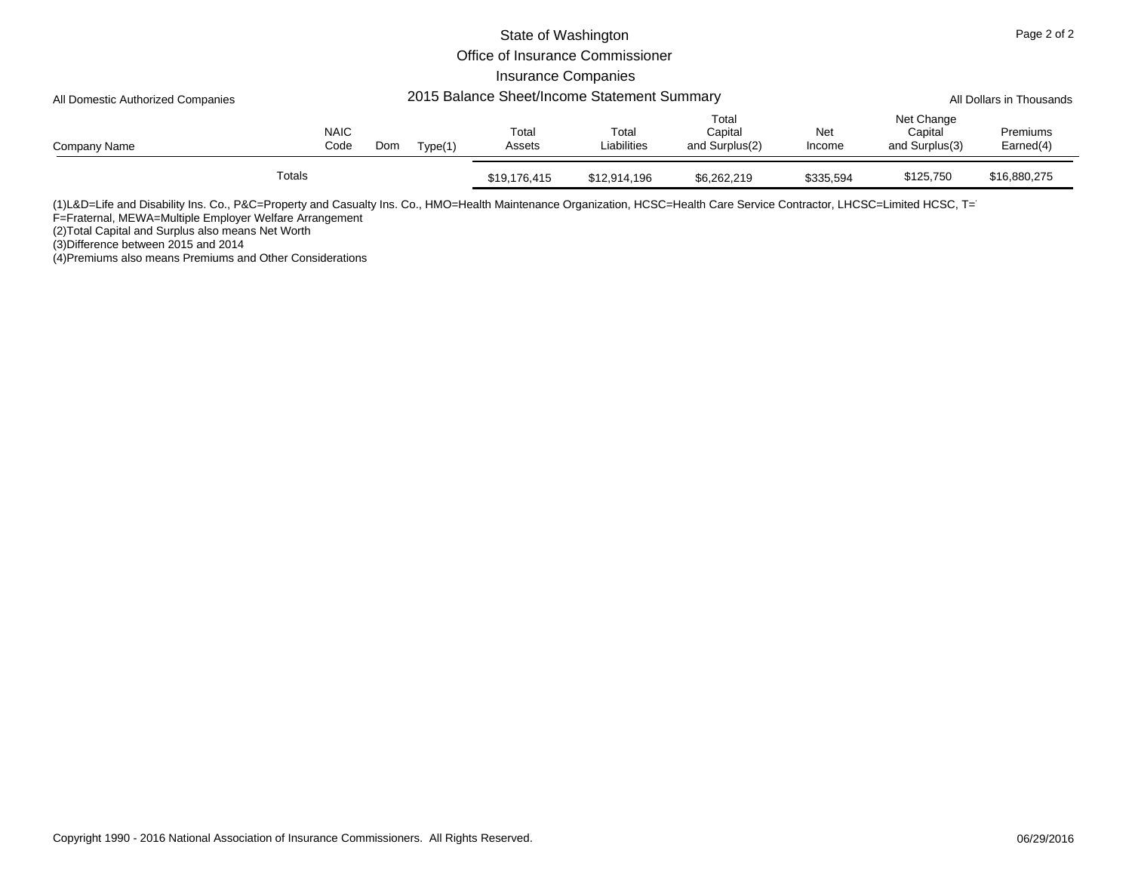|                                   |        |                     |     |         | Page 2 of 2                |                                             |                                    |               |                                         |                          |
|-----------------------------------|--------|---------------------|-----|---------|----------------------------|---------------------------------------------|------------------------------------|---------------|-----------------------------------------|--------------------------|
|                                   |        |                     |     |         |                            |                                             |                                    |               |                                         |                          |
|                                   |        |                     |     |         | <b>Insurance Companies</b> |                                             |                                    |               |                                         |                          |
| All Domestic Authorized Companies |        |                     |     |         |                            | 2015 Balance Sheet/Income Statement Summary |                                    |               |                                         | All Dollars in Thousands |
| Company Name                      |        | <b>NAIC</b><br>Code | Dom | Type(1) | Total<br>Assets            | Total<br>Liabilities                        | Total<br>Capital<br>and Surplus(2) | Net<br>Income | Net Change<br>Capital<br>and Surplus(3) | Premiums<br>Earned(4)    |
|                                   | Totals |                     |     |         | \$19,176,415               | \$12,914,196                                | \$6,262,219                        | \$335.594     | \$125,750                               | \$16,880,275             |

(1)L&D=Life and Disability Ins. Co., P&C=Property and Casualty Ins. Co., HMO=Health Maintenance Organization, HCSC=Health Care Service Contractor, LHCSC=Limited HCSC, T=

F=Fraternal, MEWA=Multiple Employer Welfare Arrangement

(2)Total Capital and Surplus also means Net Worth

(3)Difference between 2015 and 2014 (4)Premiums also means Premiums and Other Considerations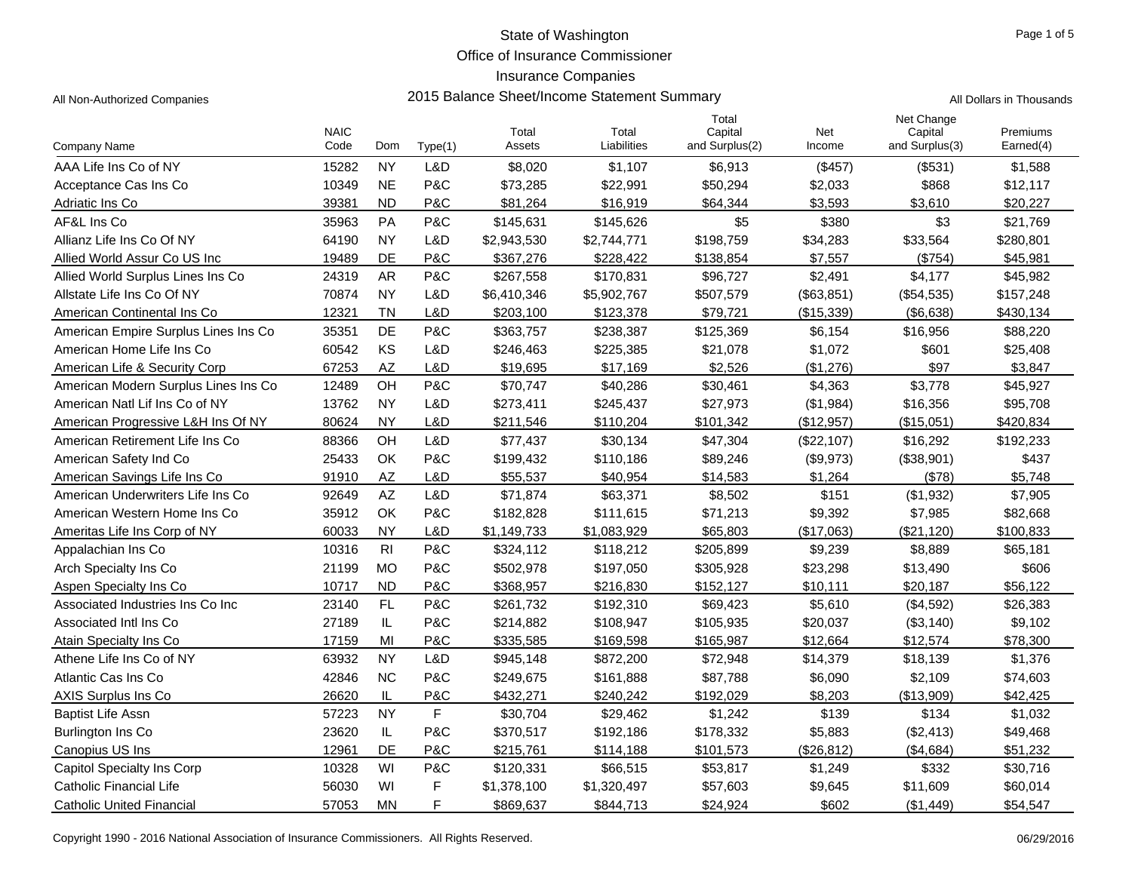Office of Insurance Commissioner

## Insurance Companies

All Non-Authorized Companies **2015 Balance Sheet/Income Statement Summary** All Dollars in Thousands

Page 1 of 5

|                                      | <b>NAIC</b> |                        |         | Total       | Total       | Total<br>Capital | Net        | Net Change<br>Capital | Premiums  |
|--------------------------------------|-------------|------------------------|---------|-------------|-------------|------------------|------------|-----------------------|-----------|
| <b>Company Name</b>                  | Code        | Dom                    | Type(1) | Assets      | Liabilities | and Surplus(2)   | Income     | and Surplus(3)        | Earned(4) |
| AAA Life Ins Co of NY                | 15282       | <b>NY</b>              | L&D     | \$8,020     | \$1,107     | \$6,913          | (\$457)    | (\$531)               | \$1,588   |
| Acceptance Cas Ins Co                | 10349       | <b>NE</b>              | P&C     | \$73,285    | \$22,991    | \$50,294         | \$2,033    | \$868                 | \$12,117  |
| Adriatic Ins Co                      | 39381       | <b>ND</b>              | P&C     | \$81,264    | \$16,919    | \$64,344         | \$3,593    | \$3,610               | \$20,227  |
| AF&L Ins Co                          | 35963       | <b>PA</b>              | P&C     | \$145,631   | \$145,626   | \$5              | \$380      | \$3                   | \$21,769  |
| Allianz Life Ins Co Of NY            | 64190       | <b>NY</b>              | L&D     | \$2,943,530 | \$2,744,771 | \$198,759        | \$34,283   | \$33,564              | \$280,801 |
| Allied World Assur Co US Inc.        | 19489       | DE                     | P&C     | \$367,276   | \$228.422   | \$138,854        | \$7,557    | (\$754)               | \$45,981  |
| Allied World Surplus Lines Ins Co    | 24319       | <b>AR</b>              | P&C     | \$267,558   | \$170,831   | \$96,727         | \$2,491    | \$4,177               | \$45,982  |
| Allstate Life Ins Co Of NY           | 70874       | <b>NY</b>              | L&D     | \$6,410,346 | \$5,902,767 | \$507,579        | (\$63,851) | (\$54,535)            | \$157,248 |
| American Continental Ins Co          | 12321       | TN                     | L&D     | \$203,100   | \$123,378   | \$79,721         | (\$15,339) | (\$6,638)             | \$430,134 |
| American Empire Surplus Lines Ins Co | 35351       | DE                     | P&C     | \$363,757   | \$238,387   | \$125,369        | \$6,154    | \$16,956              | \$88,220  |
| American Home Life Ins Co            | 60542       | KS                     | L&D     | \$246,463   | \$225,385   | \$21,078         | \$1,072    | \$601                 | \$25,408  |
| American Life & Security Corp        | 67253       | AZ                     | L&D     | \$19,695    | \$17,169    | \$2,526          | (\$1,276)  | \$97                  | \$3,847   |
| American Modern Surplus Lines Ins Co | 12489       | OH                     | P&C     | \$70,747    | \$40,286    | \$30,461         | \$4,363    | \$3,778               | \$45,927  |
| American Natl Lif Ins Co of NY       | 13762       | <b>NY</b>              | L&D     | \$273,411   | \$245,437   | \$27,973         | (\$1,984)  | \$16,356              | \$95,708  |
| American Progressive L&H Ins Of NY   | 80624       | <b>NY</b>              | L&D     | \$211,546   | \$110,204   | \$101,342        | (\$12,957) | (\$15,051)            | \$420,834 |
| American Retirement Life Ins Co      | 88366       | OH                     | L&D     | \$77,437    | \$30,134    | \$47,304         | (\$22,107) | \$16,292              | \$192,233 |
| American Safety Ind Co               | 25433       | OK                     | P&C     | \$199,432   | \$110,186   | \$89,246         | (\$9,973)  | (\$38,901)            | \$437     |
| American Savings Life Ins Co         | 91910       | <b>AZ</b>              | L&D     | \$55,537    | \$40,954    | \$14,583         | \$1,264    | (\$78)                | \$5,748   |
| American Underwriters Life Ins Co    | 92649       | $\mathsf{A}\mathsf{Z}$ | L&D     | \$71,874    | \$63,371    | \$8,502          | \$151      | (\$1,932)             | \$7,905   |
| American Western Home Ins Co         | 35912       | OK                     | P&C     | \$182,828   | \$111,615   | \$71,213         | \$9,392    | \$7,985               | \$82,668  |
| Ameritas Life Ins Corp of NY         | 60033       | <b>NY</b>              | L&D     | \$1,149,733 | \$1,083,929 | \$65,803         | (\$17,063) | (\$21,120)            | \$100,833 |
| Appalachian Ins Co                   | 10316       | R <sub>l</sub>         | P&C     | \$324,112   | \$118,212   | \$205,899        | \$9,239    | \$8,889               | \$65,181  |
| Arch Specialty Ins Co                | 21199       | <b>MO</b>              | P&C     | \$502,978   | \$197,050   | \$305,928        | \$23,298   | \$13,490              | \$606     |
| Aspen Specialty Ins Co               | 10717       | <b>ND</b>              | P&C     | \$368,957   | \$216,830   | \$152,127        | \$10,111   | \$20,187              | \$56,122  |
| Associated Industries Ins Co Inc     | 23140       | FL                     | P&C     | \$261,732   | \$192,310   | \$69,423         | \$5,610    | (\$4,592)             | \$26,383  |
| Associated Intl Ins Co               | 27189       | IL                     | P&C     | \$214,882   | \$108,947   | \$105,935        | \$20,037   | (\$3,140)             | \$9,102   |
| Atain Specialty Ins Co.              | 17159       | MI                     | P&C     | \$335,585   | \$169,598   | \$165,987        | \$12.664   | \$12,574              | \$78,300  |
| Athene Life Ins Co of NY             | 63932       | <b>NY</b>              | L&D     | \$945,148   | \$872,200   | \$72,948         | \$14,379   | \$18,139              | \$1,376   |
| Atlantic Cas Ins Co                  | 42846       | <b>NC</b>              | P&C     | \$249,675   | \$161,888   | \$87,788         | \$6,090    | \$2,109               | \$74,603  |
| <b>AXIS Surplus Ins Co</b>           | 26620       | IL                     | P&C     | \$432,271   | \$240,242   | \$192,029        | \$8,203    | (\$13,909)            | \$42,425  |
| <b>Baptist Life Assn</b>             | 57223       | <b>NY</b>              | F       | \$30,704    | \$29,462    | \$1,242          | \$139      | \$134                 | \$1,032   |
| Burlington Ins Co                    | 23620       | IL                     | P&C     | \$370,517   | \$192,186   | \$178,332        | \$5,883    | (\$2,413)             | \$49,468  |
| Canopius US Ins                      | 12961       | DE                     | P&C     | \$215,761   | \$114,188   | \$101,573        | (\$26.812) | (\$4,684)             | \$51,232  |
| Capitol Specialty Ins Corp           | 10328       | WI                     | P&C     | \$120,331   | \$66,515    | \$53,817         | \$1,249    | \$332                 | \$30,716  |
| <b>Catholic Financial Life</b>       | 56030       | WI                     | F       | \$1,378,100 | \$1,320,497 | \$57,603         | \$9,645    | \$11,609              | \$60,014  |
| <b>Catholic United Financial</b>     | 57053       | <b>MN</b>              | F       | \$869,637   | \$844,713   | \$24,924         | \$602      | (\$1,449)             | \$54,547  |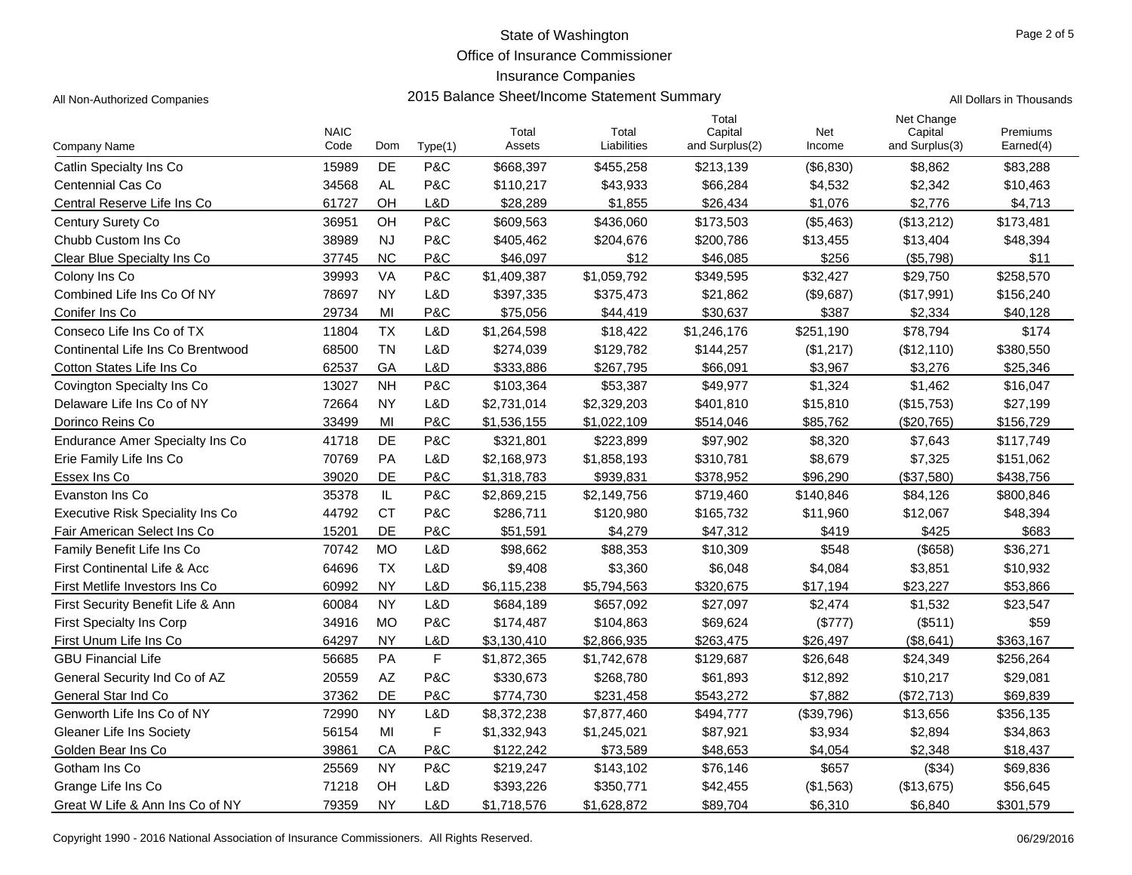Office of Insurance Commissioner

## Insurance Companies

All Non-Authorized Companies **2015 Balance Sheet/Income Statement Summary** All Non-Authorized Companies

|  |  |  |  | Il Dollars in Thousands |
|--|--|--|--|-------------------------|
|--|--|--|--|-------------------------|

|                                         | <b>NAIC</b> |           |         | Total       | Total       | Total<br>Capital | Net        | Net Change<br>Capital | Premiums  |
|-----------------------------------------|-------------|-----------|---------|-------------|-------------|------------------|------------|-----------------------|-----------|
| Company Name                            | Code        | Dom       | Type(1) | Assets      | Liabilities | and Surplus(2)   | Income     | and Surplus(3)        | Earned(4) |
| Catlin Specialty Ins Co.                | 15989       | <b>DE</b> | P&C     | \$668,397   | \$455,258   | \$213,139        | (\$6,830)  | \$8,862               | \$83,288  |
| Centennial Cas Co                       | 34568       | <b>AL</b> | P&C     | \$110,217   | \$43,933    | \$66,284         | \$4,532    | \$2,342               | \$10,463  |
| Central Reserve Life Ins Co             | 61727       | OH        | L&D     | \$28,289    | \$1,855     | \$26,434         | \$1,076    | \$2,776               | \$4,713   |
| Century Surety Co                       | 36951       | OH        | P&C     | \$609,563   | \$436,060   | \$173,503        | (\$5,463)  | (\$13,212)            | \$173,481 |
| Chubb Custom Ins Co                     | 38989       | <b>NJ</b> | P&C     | \$405,462   | \$204,676   | \$200,786        | \$13,455   | \$13,404              | \$48,394  |
| Clear Blue Specialty Ins Co             | 37745       | <b>NC</b> | P&C     | \$46.097    | \$12        | \$46.085         | \$256      | (\$5,798)             | \$11      |
| Colony Ins Co                           | 39993       | VA        | P&C     | \$1,409,387 | \$1,059,792 | \$349,595        | \$32,427   | \$29,750              | \$258,570 |
| Combined Life Ins Co Of NY              | 78697       | <b>NY</b> | L&D     | \$397,335   | \$375,473   | \$21,862         | (\$9,687)  | (\$17,991)            | \$156,240 |
| Conifer Ins Co                          | 29734       | MI        | P&C     | \$75,056    | \$44,419    | \$30,637         | \$387      | \$2,334               | \$40,128  |
| Conseco Life Ins Co of TX               | 11804       | <b>TX</b> | L&D     | \$1,264,598 | \$18,422    | \$1,246,176      | \$251,190  | \$78,794              | \$174     |
| Continental Life Ins Co Brentwood       | 68500       | <b>TN</b> | L&D     | \$274,039   | \$129,782   | \$144,257        | (\$1,217)  | (\$12,110)            | \$380,550 |
| Cotton States Life Ins Co               | 62537       | GA        | L&D     | \$333,886   | \$267,795   | \$66,091         | \$3,967    | \$3,276               | \$25,346  |
| Covington Specialty Ins Co              | 13027       | <b>NH</b> | P&C     | \$103,364   | \$53,387    | \$49,977         | \$1,324    | \$1,462               | \$16,047  |
| Delaware Life Ins Co of NY              | 72664       | <b>NY</b> | L&D     | \$2,731,014 | \$2,329,203 | \$401,810        | \$15,810   | (\$15,753)            | \$27,199  |
| Dorinco Reins Co                        | 33499       | MI        | P&C     | \$1,536,155 | \$1,022,109 | \$514,046        | \$85,762   | (\$20,765)            | \$156,729 |
| Endurance Amer Specialty Ins Co         | 41718       | DE        | P&C     | \$321,801   | \$223,899   | \$97,902         | \$8,320    | \$7,643               | \$117,749 |
| Erie Family Life Ins Co                 | 70769       | PA        | L&D     | \$2,168,973 | \$1,858,193 | \$310,781        | \$8,679    | \$7,325               | \$151,062 |
| Essex Ins Co                            | 39020       | DE        | P&C     | \$1,318,783 | \$939,831   | \$378,952        | \$96,290   | (\$37,580)            | \$438,756 |
| Evanston Ins Co                         | 35378       | IL        | P&C     | \$2,869,215 | \$2,149,756 | \$719,460        | \$140,846  | \$84,126              | \$800,846 |
| <b>Executive Risk Speciality Ins Co</b> | 44792       | <b>CT</b> | P&C     | \$286,711   | \$120,980   | \$165,732        | \$11,960   | \$12,067              | \$48,394  |
| Fair American Select Ins Co             | 15201       | DE        | P&C     | \$51,591    | \$4,279     | \$47,312         | \$419      | \$425                 | \$683     |
| Family Benefit Life Ins Co              | 70742       | <b>MO</b> | L&D     | \$98,662    | \$88,353    | \$10,309         | \$548      | (\$658)               | \$36,271  |
| <b>First Continental Life &amp; Acc</b> | 64696       | <b>TX</b> | L&D     | \$9,408     | \$3,360     | \$6,048          | \$4,084    | \$3,851               | \$10,932  |
| First Metlife Investors Ins Co          | 60992       | <b>NY</b> | L&D     | \$6,115,238 | \$5,794,563 | \$320,675        | \$17,194   | \$23,227              | \$53,866  |
| First Security Benefit Life & Ann       | 60084       | <b>NY</b> | L&D     | \$684,189   | \$657,092   | \$27,097         | \$2,474    | \$1,532               | \$23,547  |
| <b>First Specialty Ins Corp</b>         | 34916       | <b>MO</b> | P&C     | \$174,487   | \$104,863   | \$69,624         | (\$777)    | (\$511)               | \$59      |
| First Unum Life Ins Co                  | 64297       | <b>NY</b> | L&D     | \$3,130,410 | \$2,866,935 | \$263,475        | \$26,497   | (\$8,641)             | \$363,167 |
| <b>GBU Financial Life</b>               | 56685       | PA        | F       | \$1,872,365 | \$1,742,678 | \$129,687        | \$26,648   | \$24,349              | \$256,264 |
| General Security Ind Co of AZ           | 20559       | AZ        | P&C     | \$330,673   | \$268,780   | \$61,893         | \$12,892   | \$10,217              | \$29,081  |
| General Star Ind Co                     | 37362       | <b>DE</b> | P&C     | \$774,730   | \$231,458   | \$543,272        | \$7,882    | (\$72,713)            | \$69,839  |
| Genworth Life Ins Co of NY              | 72990       | <b>NY</b> | L&D     | \$8,372,238 | \$7,877,460 | \$494,777        | (\$39,796) | \$13,656              | \$356,135 |
| Gleaner Life Ins Society                | 56154       | MI        | F       | \$1,332,943 | \$1,245,021 | \$87,921         | \$3,934    | \$2,894               | \$34,863  |
| Golden Bear Ins Co                      | 39861       | CA        | P&C     | \$122,242   | \$73,589    | \$48,653         | \$4,054    | \$2,348               | \$18,437  |
| Gotham Ins Co                           | 25569       | <b>NY</b> | P&C     | \$219,247   | \$143,102   | \$76,146         | \$657      | (\$34)                | \$69,836  |
| Grange Life Ins Co                      | 71218       | OH        | L&D     | \$393,226   | \$350,771   | \$42,455         | (\$1,563)  | (\$13,675)            | \$56,645  |
| Great W Life & Ann Ins Co of NY         | 79359       | <b>NY</b> | L&D     | \$1,718,576 | \$1,628,872 | \$89,704         | \$6,310    | \$6,840               | \$301,579 |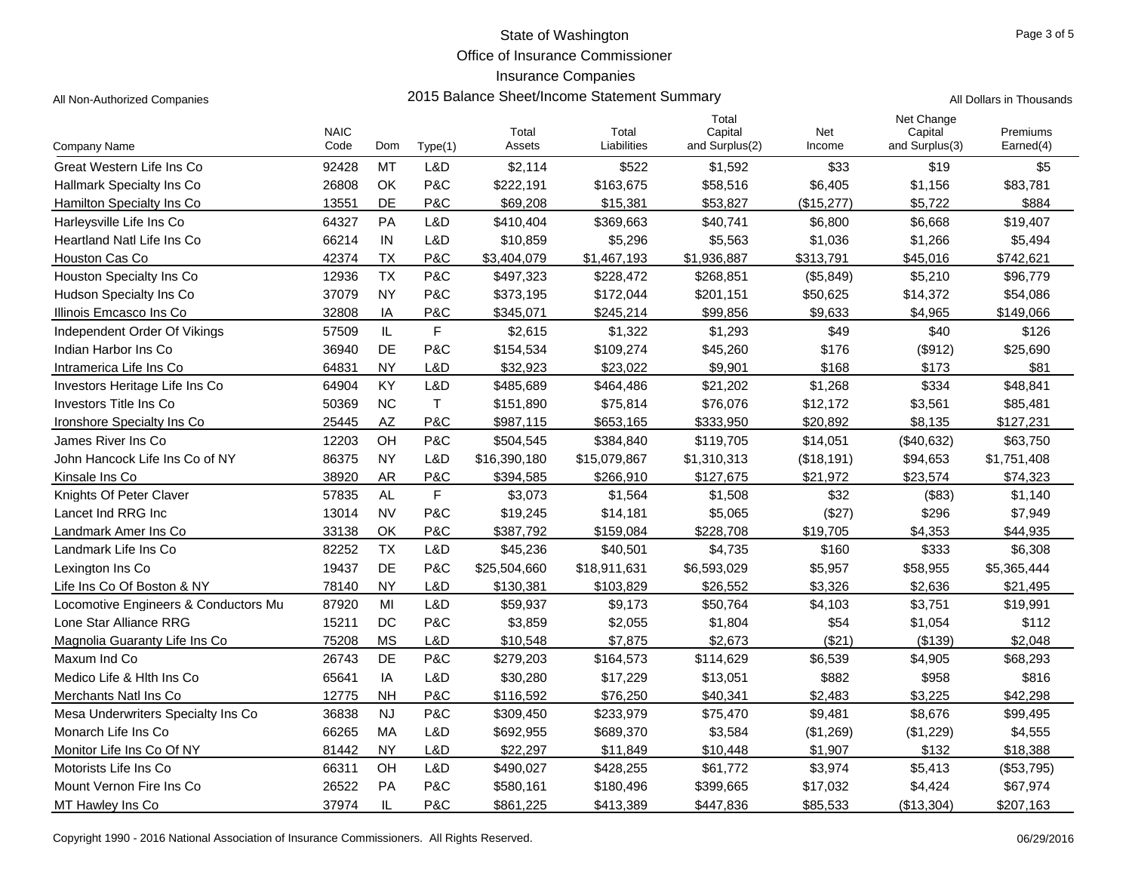Office of Insurance Commissioner

### Insurance Companies

All Non-Authorized Companies **2015 Balance Sheet/Income Statement Summary** All Non-Authorized Companies

|                                      | <b>NAIC</b> |           |             | Total        | Total        | Total<br>Capital | Net        | Net Change<br>Capital | Premiums    |
|--------------------------------------|-------------|-----------|-------------|--------------|--------------|------------------|------------|-----------------------|-------------|
| <b>Company Name</b>                  | Code        | Dom       | Type(1)     | Assets       | Liabilities  | and Surplus(2)   | Income     | and Surplus(3)        | Earned(4)   |
| Great Western Life Ins Co            | 92428       | <b>MT</b> | L&D         | \$2,114      | \$522        | \$1,592          | \$33       | \$19                  | \$5         |
| <b>Hallmark Specialty Ins Co</b>     | 26808       | OK        | P&C         | \$222,191    | \$163,675    | \$58,516         | \$6,405    | \$1,156               | \$83,781    |
| Hamilton Specialty Ins Co.           | 13551       | <b>DE</b> | P&C         | \$69,208     | \$15,381     | \$53,827         | (\$15,277) | \$5,722               | \$884       |
| Harleysville Life Ins Co             | 64327       | PA        | L&D         | \$410,404    | \$369,663    | \$40,741         | \$6,800    | \$6,668               | \$19,407    |
| <b>Heartland Natl Life Ins Co</b>    | 66214       | IN        | L&D         | \$10,859     | \$5,296      | \$5,563          | \$1,036    | \$1,266               | \$5,494     |
| Houston Cas Co                       | 42374       | <b>TX</b> | P&C         | \$3,404,079  | \$1,467,193  | \$1,936,887      | \$313,791  | \$45,016              | \$742,621   |
| Houston Specialty Ins Co             | 12936       | <b>TX</b> | P&C         | \$497,323    | \$228,472    | \$268,851        | (\$5,849)  | \$5,210               | \$96,779    |
| Hudson Specialty Ins Co              | 37079       | <b>NY</b> | P&C         | \$373,195    | \$172,044    | \$201,151        | \$50,625   | \$14,372              | \$54,086    |
| Illinois Emcasco Ins Co              | 32808       | IA        | P&C         | \$345,071    | \$245,214    | \$99,856         | \$9,633    | \$4,965               | \$149,066   |
| Independent Order Of Vikings         | 57509       | IL        | $\mathsf F$ | \$2,615      | \$1,322      | \$1,293          | \$49       | \$40                  | \$126       |
| Indian Harbor Ins Co                 | 36940       | DE        | P&C         | \$154,534    | \$109,274    | \$45,260         | \$176      | (\$912)               | \$25,690    |
| Intramerica Life Ins Co              | 64831       | <b>NY</b> | L&D         | \$32.923     | \$23,022     | \$9,901          | \$168      | \$173                 | \$81        |
| Investors Heritage Life Ins Co       | 64904       | KY        | L&D         | \$485,689    | \$464,486    | \$21,202         | \$1,268    | \$334                 | \$48,841    |
| Investors Title Ins Co               | 50369       | <b>NC</b> | $\top$      | \$151,890    | \$75,814     | \$76,076         | \$12,172   | \$3,561               | \$85,481    |
| Ironshore Specialty Ins Co.          | 25445       | AZ        | P&C         | \$987,115    | \$653,165    | \$333,950        | \$20,892   | \$8,135               | \$127,231   |
| James River Ins Co                   | 12203       | OH        | P&C         | \$504,545    | \$384,840    | \$119,705        | \$14,051   | (\$40,632)            | \$63,750    |
| John Hancock Life Ins Co of NY       | 86375       | <b>NY</b> | L&D         | \$16,390,180 | \$15,079,867 | \$1,310,313      | (\$18,191) | \$94,653              | \$1,751,408 |
| Kinsale Ins Co                       | 38920       | <b>AR</b> | P&C         | \$394,585    | \$266,910    | \$127,675        | \$21,972   | \$23,574              | \$74,323    |
| Knights Of Peter Claver              | 57835       | <b>AL</b> | F           | \$3,073      | \$1,564      | \$1,508          | \$32       | (\$83)                | \$1,140     |
| Lancet Ind RRG Inc                   | 13014       | <b>NV</b> | P&C         | \$19,245     | \$14,181     | \$5.065          | (\$27)     | \$296                 | \$7,949     |
| Landmark Amer Ins Co                 | 33138       | ОК        | P&C         | \$387,792    | \$159,084    | \$228,708        | \$19,705   | \$4,353               | \$44,935    |
| Landmark Life Ins Co                 | 82252       | <b>TX</b> | L&D         | \$45,236     | \$40,501     | \$4,735          | \$160      | \$333                 | \$6,308     |
| Lexington Ins Co                     | 19437       | DE        | P&C         | \$25,504,660 | \$18,911,631 | \$6,593,029      | \$5,957    | \$58,955              | \$5,365,444 |
| Life Ins Co Of Boston & NY           | 78140       | <b>NY</b> | L&D         | \$130,381    | \$103,829    | \$26,552         | \$3,326    | \$2,636               | \$21,495    |
| Locomotive Engineers & Conductors Mu | 87920       | MI        | L&D         | \$59,937     | \$9,173      | \$50,764         | \$4,103    | \$3,751               | \$19,991    |
| Lone Star Alliance RRG               | 15211       | <b>DC</b> | P&C         | \$3,859      | \$2,055      | \$1,804          | \$54       | \$1,054               | \$112       |
| Magnolia Guaranty Life Ins Co        | 75208       | <b>MS</b> | L&D         | \$10,548     | \$7,875      | \$2.673          | (\$21)     | (\$139)               | \$2,048     |
| Maxum Ind Co                         | 26743       | DE        | P&C         | \$279,203    | \$164,573    | \$114,629        | \$6,539    | \$4,905               | \$68,293    |
| Medico Life & Hith Ins Co            | 65641       | IA        | L&D         | \$30,280     | \$17,229     | \$13,051         | \$882      | \$958                 | \$816       |
| Merchants Natl Ins Co                | 12775       | <b>NH</b> | P&C         | \$116,592    | \$76,250     | \$40,341         | \$2,483    | \$3,225               | \$42,298    |
| Mesa Underwriters Specialty Ins Co.  | 36838       | <b>NJ</b> | P&C         | \$309,450    | \$233,979    | \$75,470         | \$9,481    | \$8,676               | \$99,495    |
| Monarch Life Ins Co                  | 66265       | <b>MA</b> | L&D         | \$692,955    | \$689,370    | \$3,584          | (\$1,269)  | (\$1,229)             | \$4,555     |
| Monitor Life Ins Co Of NY            | 81442       | <b>NY</b> | L&D         | \$22,297     | \$11,849     | \$10,448         | \$1.907    | \$132                 | \$18,388    |
| Motorists Life Ins Co                | 66311       | OH        | L&D         | \$490,027    | \$428,255    | \$61,772         | \$3,974    | \$5,413               | (\$53,795)  |
| Mount Vernon Fire Ins Co             | 26522       | <b>PA</b> | P&C         | \$580,161    | \$180,496    | \$399,665        | \$17,032   | \$4,424               | \$67,974    |
| MT Hawley Ins Co                     | 37974       | IL        | P&C         | \$861,225    | \$413,389    | \$447,836        | \$85,533   | (\$13,304)            | \$207,163   |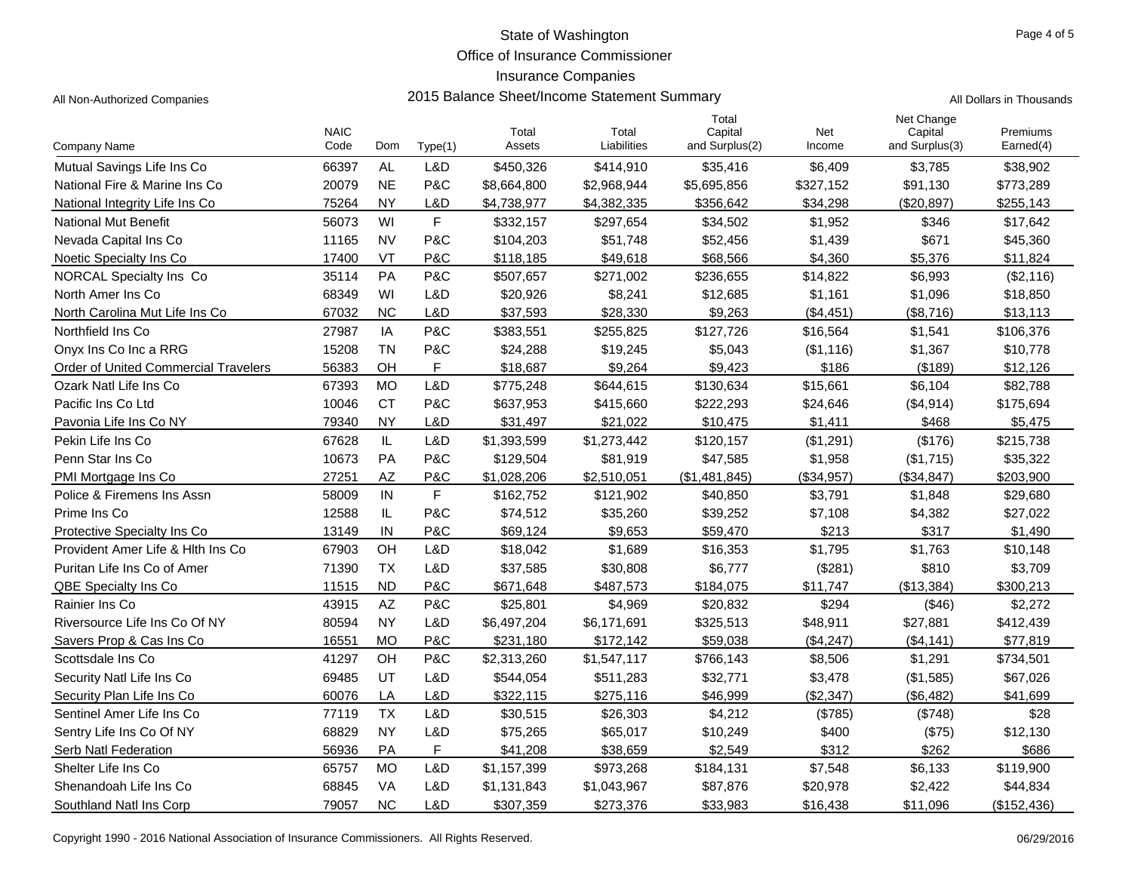Office of Insurance Commissioner

## Insurance Companies

All Non-Authorized Companies **2015 Balance Sheet/Income Statement Summary** All Non-Authorized Companies

|  | Il Dollars in Thousands |  |
|--|-------------------------|--|

|                                      | <b>NAIC</b> |                        |         | Total       | Total       | Total<br>Capital | Net        | Net Change<br>Capital | Premiums    |
|--------------------------------------|-------------|------------------------|---------|-------------|-------------|------------------|------------|-----------------------|-------------|
| Company Name                         | Code        | Dom                    | Type(1) | Assets      | Liabilities | and Surplus(2)   | Income     | and Surplus(3)        | Earned(4)   |
| Mutual Savings Life Ins Co           | 66397       | <b>AL</b>              | L&D     | \$450,326   | \$414,910   | \$35,416         | \$6,409    | \$3,785               | \$38,902    |
| National Fire & Marine Ins Co        | 20079       | <b>NE</b>              | P&C     | \$8,664,800 | \$2,968,944 | \$5,695,856      | \$327,152  | \$91,130              | \$773,289   |
| National Integrity Life Ins Co       | 75264       | <b>NY</b>              | L&D     | \$4,738,977 | \$4,382,335 | \$356,642        | \$34,298   | (\$20,897)            | \$255,143   |
| <b>National Mut Benefit</b>          | 56073       | WI                     | F       | \$332,157   | \$297,654   | \$34,502         | \$1,952    | \$346                 | \$17,642    |
| Nevada Capital Ins Co                | 11165       | <b>NV</b>              | P&C     | \$104,203   | \$51,748    | \$52,456         | \$1,439    | \$671                 | \$45,360    |
| Noetic Specialty Ins Co              | 17400       | VT                     | P&C     | \$118,185   | \$49,618    | \$68,566         | \$4,360    | \$5,376               | \$11,824    |
| <b>NORCAL Specialty Ins Co</b>       | 35114       | PA                     | P&C     | \$507,657   | \$271,002   | \$236,655        | \$14,822   | \$6,993               | (\$2,116)   |
| North Amer Ins Co                    | 68349       | WI                     | L&D     | \$20,926    | \$8,241     | \$12,685         | \$1,161    | \$1,096               | \$18,850    |
| North Carolina Mut Life Ins Co       | 67032       | <b>NC</b>              | L&D     | \$37,593    | \$28,330    | \$9,263          | (\$4,451)  | (\$8,716)             | \$13,113    |
| Northfield Ins Co.                   | 27987       | IA                     | P&C     | \$383,551   | \$255,825   | \$127,726        | \$16,564   | \$1,541               | \$106,376   |
| Onvx Ins Co Inc a RRG                | 15208       | <b>TN</b>              | P&C     | \$24,288    | \$19,245    | \$5,043          | (\$1,116)  | \$1,367               | \$10,778    |
| Order of United Commercial Travelers | 56383       | OH                     | F.      | \$18,687    | \$9.264     | \$9.423          | \$186      | (\$189)               | \$12,126    |
| Ozark Natl Life Ins Co               | 67393       | <b>MO</b>              | L&D     | \$775,248   | \$644,615   | \$130,634        | \$15,661   | \$6,104               | \$82,788    |
| Pacific Ins Co Ltd                   | 10046       | <b>CT</b>              | P&C     | \$637,953   | \$415,660   | \$222,293        | \$24,646   | (\$4,914)             | \$175,694   |
| Pavonia Life Ins Co NY               | 79340       | <b>NY</b>              | L&D     | \$31,497    | \$21,022    | \$10,475         | \$1,411    | \$468                 | \$5,475     |
| Pekin Life Ins Co                    | 67628       | $\mathsf{IL}$          | L&D     | \$1,393,599 | \$1,273,442 | \$120,157        | (\$1,291)  | (\$176)               | \$215,738   |
| Penn Star Ins Co                     | 10673       | PA                     | P&C     | \$129,504   | \$81,919    | \$47,585         | \$1,958    | (\$1,715)             | \$35,322    |
| PMI Mortgage Ins Co                  | 27251       | AZ                     | P&C     | \$1,028,206 | \$2,510,051 | (\$1,481,845)    | (\$34,957) | (\$34, 847)           | \$203,900   |
| Police & Firemens Ins Assn           | 58009       | IN                     | F       | \$162,752   | \$121,902   | \$40,850         | \$3,791    | \$1,848               | \$29,680    |
| Prime Ins Co                         | 12588       | IL                     | P&C     | \$74,512    | \$35,260    | \$39,252         | \$7,108    | \$4,382               | \$27,022    |
| Protective Specialty Ins Co          | 13149       | IN                     | P&C     | \$69.124    | \$9,653     | \$59.470         | \$213      | \$317                 | \$1,490     |
| Provident Amer Life & Hith Ins Co.   | 67903       | OH                     | L&D     | \$18,042    | \$1,689     | \$16,353         | \$1,795    | \$1,763               | \$10,148    |
| Puritan Life Ins Co of Amer          | 71390       | <b>TX</b>              | L&D     | \$37,585    | \$30,808    | \$6,777          | (\$281)    | \$810                 | \$3,709     |
| <b>QBE Specialty Ins Co</b>          | 11515       | <b>ND</b>              | P&C     | \$671,648   | \$487,573   | \$184,075        | \$11,747   | (\$13,384)            | \$300,213   |
| Rainier Ins Co                       | 43915       | $\mathsf{A}\mathsf{Z}$ | P&C     | \$25,801    | \$4,969     | \$20,832         | \$294      | (\$46)                | \$2,272     |
| Riversource Life Ins Co Of NY        | 80594       | <b>NY</b>              | L&D     | \$6,497,204 | \$6,171,691 | \$325,513        | \$48,911   | \$27,881              | \$412,439   |
| Savers Prop & Cas Ins Co             | 16551       | <b>MO</b>              | P&C     | \$231,180   | \$172,142   | \$59,038         | (\$4,247)  | (\$4, 141)            | \$77,819    |
| Scottsdale Ins Co                    | 41297       | OH                     | P&C     | \$2,313,260 | \$1,547,117 | \$766,143        | \$8,506    | \$1,291               | \$734,501   |
| Security Natl Life Ins Co            | 69485       | UT                     | L&D     | \$544,054   | \$511,283   | \$32,771         | \$3,478    | (\$1,585)             | \$67,026    |
| Security Plan Life Ins Co            | 60076       | LA                     | L&D     | \$322.115   | \$275,116   | \$46,999         | (S2.347)   | (\$6,482)             | \$41,699    |
| Sentinel Amer Life Ins Co            | 77119       | <b>TX</b>              | L&D     | \$30,515    | \$26,303    | \$4,212          | (\$785)    | (\$748)               | \$28        |
| Sentry Life Ins Co Of NY             | 68829       | <b>NY</b>              | L&D     | \$75,265    | \$65,017    | \$10,249         | \$400      | (\$75)                | \$12,130    |
| Serb Natl Federation                 | 56936       | PA                     | F       | \$41,208    | \$38,659    | \$2,549          | \$312      | \$262                 | \$686       |
| Shelter Life Ins Co                  | 65757       | <b>MO</b>              | L&D     | \$1,157,399 | \$973,268   | \$184,131        | \$7,548    | \$6,133               | \$119,900   |
| Shenandoah Life Ins Co               | 68845       | <b>VA</b>              | L&D     | \$1,131,843 | \$1,043,967 | \$87,876         | \$20,978   | \$2,422               | \$44,834    |
| Southland Natl Ins Corp              | 79057       | <b>NC</b>              | L&D     | \$307,359   | \$273,376   | \$33,983         | \$16,438   | \$11,096              | (\$152,436) |